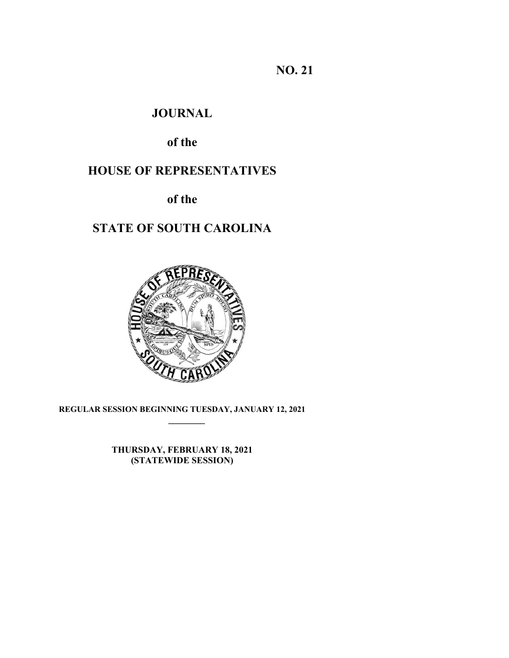**NO. 21** 

# **JOURNAL**

# **of the**

# **HOUSE OF REPRESENTATIVES**

# **of the**

# **STATE OF SOUTH CAROLINA**



# **REGULAR SESSION BEGINNING TUESDAY, JANUARY 12, 2021**

**THURSDAY, FEBRUARY 18, 2021 (STATEWIDE SESSION)**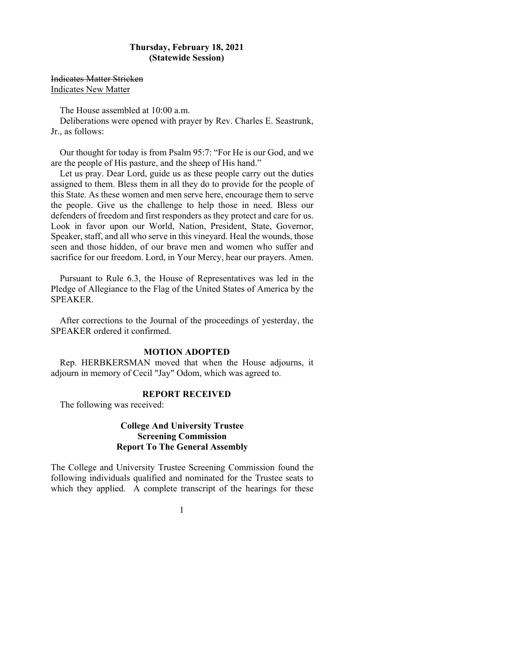### **Thursday, February 18, 2021 (Statewide Session)**

Indicates Matter Stricken Indicates New Matter

The House assembled at 10:00 a.m.

Deliberations were opened with prayer by Rev. Charles E. Seastrunk, Jr., as follows:

 Our thought for today is from Psalm 95:7: "For He is our God, and we are the people of His pasture, and the sheep of His hand."

 Let us pray. Dear Lord, guide us as these people carry out the duties assigned to them. Bless them in all they do to provide for the people of this State. As these women and men serve here, encourage them to serve the people. Give us the challenge to help those in need. Bless our defenders of freedom and first responders as they protect and care for us. Look in favor upon our World, Nation, President, State, Governor, Speaker, staff, and all who serve in this vineyard. Heal the wounds, those seen and those hidden, of our brave men and women who suffer and sacrifice for our freedom. Lord, in Your Mercy, hear our prayers. Amen.

Pursuant to Rule 6.3, the House of Representatives was led in the Pledge of Allegiance to the Flag of the United States of America by the SPEAKER.

After corrections to the Journal of the proceedings of yesterday, the SPEAKER ordered it confirmed.

#### **MOTION ADOPTED**

Rep. HERBKERSMAN moved that when the House adjourns, it adjourn in memory of Cecil "Jay" Odom, which was agreed to.

### **REPORT RECEIVED**

The following was received:

# **College And University Trustee Screening Commission Report To The General Assembly**

The College and University Trustee Screening Commission found the following individuals qualified and nominated for the Trustee seats to which they applied. A complete transcript of the hearings for these

## 1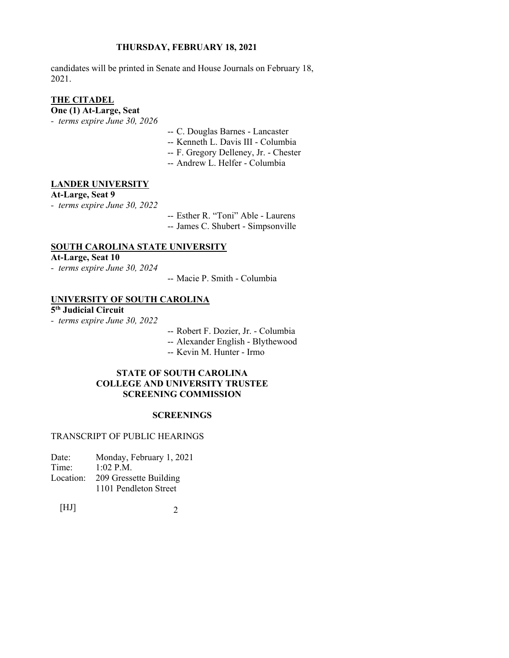candidates will be printed in Senate and House Journals on February 18, 2021.

# **THE CITADEL**

**One (1) At-Large, Seat** 

- *terms expire June 30, 2026*
- -- C. Douglas Barnes Lancaster
- -- Kenneth L. Davis III Columbia
- -- F. Gregory Delleney, Jr. Chester
- -- Andrew L. Helfer Columbia

#### **LANDER UNIVERSITY**

### **At-Large, Seat 9**

*- terms expire June 30, 2022*

 -- Esther R. "Toni" Able - Laurens -- James C. Shubert - Simpsonville

# **SOUTH CAROLINA STATE UNIVERSITY**

**At-Large, Seat 10** 

- *terms expire June 30, 2024*
- -- Macie P. Smith Columbia

## **UNIVERSITY OF SOUTH CAROLINA**

**5th Judicial Circuit** 

- *terms expire June 30, 2022*
- -- Robert F. Dozier, Jr. Columbia
- -- Alexander English Blythewood
- -- Kevin M. Hunter Irmo

#### **STATE OF SOUTH CAROLINA COLLEGE AND UNIVERSITY TRUSTEE SCREENING COMMISSION**

### **SCREENINGS**

#### TRANSCRIPT OF PUBLIC HEARINGS

| Date:     | Monday, February 1, 2021 |
|-----------|--------------------------|
| Time:     | $1:02$ P.M.              |
| Location: | 209 Gressette Building   |
|           | 1101 Pendleton Street    |
|           |                          |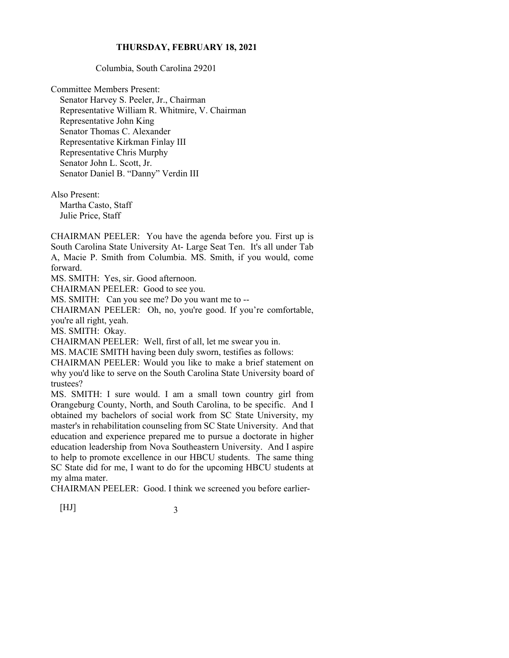Columbia, South Carolina 29201

Committee Members Present: Senator Harvey S. Peeler, Jr., Chairman Representative William R. Whitmire, V. Chairman Representative John King Senator Thomas C. Alexander Representative Kirkman Finlay III Representative Chris Murphy Senator John L. Scott, Jr. Senator Daniel B. "Danny" Verdin III

Also Present: Martha Casto, Staff Julie Price, Staff

CHAIRMAN PEELER: You have the agenda before you. First up is South Carolina State University At- Large Seat Ten. It's all under Tab A, Macie P. Smith from Columbia. MS. Smith, if you would, come forward.

MS. SMITH: Yes, sir. Good afternoon.

CHAIRMAN PEELER: Good to see you.

MS. SMITH: Can you see me? Do you want me to --

CHAIRMAN PEELER: Oh, no, you're good. If you're comfortable, you're all right, yeah.

MS. SMITH: Okay.

CHAIRMAN PEELER: Well, first of all, let me swear you in.

MS. MACIE SMITH having been duly sworn, testifies as follows:

CHAIRMAN PEELER: Would you like to make a brief statement on why you'd like to serve on the South Carolina State University board of trustees?

MS. SMITH: I sure would. I am a small town country girl from Orangeburg County, North, and South Carolina, to be specific. And I obtained my bachelors of social work from SC State University, my master's in rehabilitation counseling from SC State University. And that education and experience prepared me to pursue a doctorate in higher education leadership from Nova Southeastern University. And I aspire to help to promote excellence in our HBCU students. The same thing SC State did for me, I want to do for the upcoming HBCU students at my alma mater.

CHAIRMAN PEELER: Good. I think we screened you before earlier-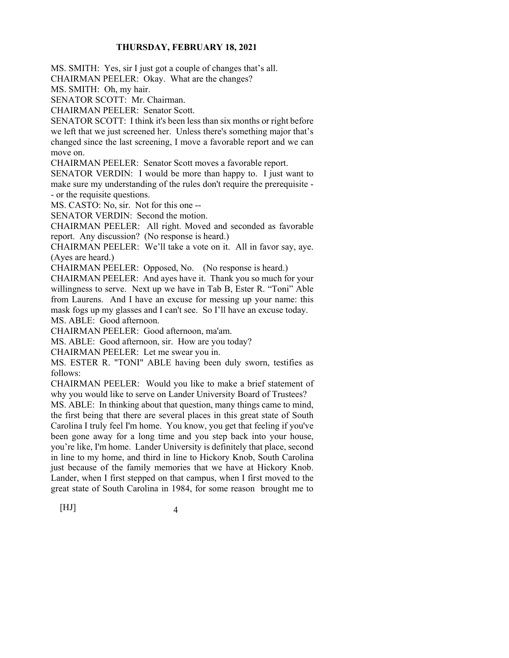MS. SMITH: Yes, sir I just got a couple of changes that's all.

CHAIRMAN PEELER: Okay. What are the changes?

MS. SMITH: Oh, my hair.

SENATOR SCOTT: Mr. Chairman.

CHAIRMAN PEELER: Senator Scott.

SENATOR SCOTT: I think it's been less than six months or right before we left that we just screened her. Unless there's something major that's changed since the last screening, I move a favorable report and we can move on.

CHAIRMAN PEELER: Senator Scott moves a favorable report.

SENATOR VERDIN: I would be more than happy to. I just want to make sure my understanding of the rules don't require the prerequisite - - or the requisite questions.

MS. CASTO: No, sir. Not for this one --

SENATOR VERDIN: Second the motion.

CHAIRMAN PEELER: All right. Moved and seconded as favorable report. Any discussion? (No response is heard.)

CHAIRMAN PEELER: We'll take a vote on it. All in favor say, aye. (Ayes are heard.)

CHAIRMAN PEELER: Opposed, No. (No response is heard.)

CHAIRMAN PEELER: And ayes have it. Thank you so much for your willingness to serve. Next up we have in Tab B, Ester R. "Toni" Able from Laurens. And I have an excuse for messing up your name: this mask fogs up my glasses and I can't see. So I'll have an excuse today. MS. ABLE: Good afternoon.

CHAIRMAN PEELER: Good afternoon, ma'am.

MS. ABLE: Good afternoon, sir. How are you today?

CHAIRMAN PEELER: Let me swear you in.

MS. ESTER R. "TONI" ABLE having been duly sworn, testifies as follows:

CHAIRMAN PEELER: Would you like to make a brief statement of why you would like to serve on Lander University Board of Trustees?

MS. ABLE: In thinking about that question, many things came to mind, the first being that there are several places in this great state of South Carolina I truly feel I'm home. You know, you get that feeling if you've been gone away for a long time and you step back into your house, you're like, I'm home. Lander University is definitely that place, second in line to my home, and third in line to Hickory Knob, South Carolina just because of the family memories that we have at Hickory Knob. Lander, when I first stepped on that campus, when I first moved to the great state of South Carolina in 1984, for some reason brought me to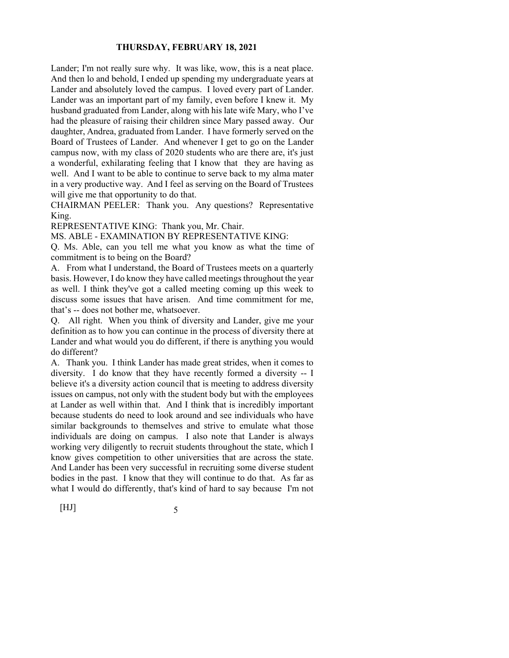Lander; I'm not really sure why. It was like, wow, this is a neat place. And then lo and behold, I ended up spending my undergraduate years at Lander and absolutely loved the campus. I loved every part of Lander. Lander was an important part of my family, even before I knew it. My husband graduated from Lander, along with his late wife Mary, who I've had the pleasure of raising their children since Mary passed away. Our daughter, Andrea, graduated from Lander. I have formerly served on the Board of Trustees of Lander. And whenever I get to go on the Lander campus now, with my class of 2020 students who are there are, it's just a wonderful, exhilarating feeling that I know that they are having as well. And I want to be able to continue to serve back to my alma mater in a very productive way. And I feel as serving on the Board of Trustees will give me that opportunity to do that.

CHAIRMAN PEELER: Thank you. Any questions? Representative King.

REPRESENTATIVE KING: Thank you, Mr. Chair.

MS. ABLE - EXAMINATION BY REPRESENTATIVE KING:

Q. Ms. Able, can you tell me what you know as what the time of commitment is to being on the Board?

A. From what I understand, the Board of Trustees meets on a quarterly basis. However, I do know they have called meetings throughout the year as well. I think they've got a called meeting coming up this week to discuss some issues that have arisen. And time commitment for me, that's -- does not bother me, whatsoever.

Q. All right. When you think of diversity and Lander, give me your definition as to how you can continue in the process of diversity there at Lander and what would you do different, if there is anything you would do different?

A. Thank you. I think Lander has made great strides, when it comes to diversity. I do know that they have recently formed a diversity -- I believe it's a diversity action council that is meeting to address diversity issues on campus, not only with the student body but with the employees at Lander as well within that. And I think that is incredibly important because students do need to look around and see individuals who have similar backgrounds to themselves and strive to emulate what those individuals are doing on campus. I also note that Lander is always working very diligently to recruit students throughout the state, which I know gives competition to other universities that are across the state. And Lander has been very successful in recruiting some diverse student bodies in the past. I know that they will continue to do that. As far as what I would do differently, that's kind of hard to say because I'm not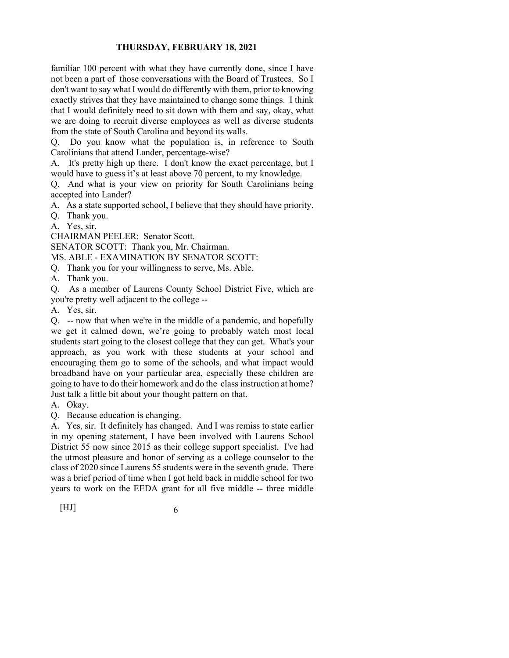familiar 100 percent with what they have currently done, since I have not been a part of those conversations with the Board of Trustees. So I don't want to say what I would do differently with them, prior to knowing exactly strives that they have maintained to change some things. I think that I would definitely need to sit down with them and say, okay, what we are doing to recruit diverse employees as well as diverse students from the state of South Carolina and beyond its walls.

Q. Do you know what the population is, in reference to South Carolinians that attend Lander, percentage-wise?

A. It's pretty high up there. I don't know the exact percentage, but I would have to guess it's at least above 70 percent, to my knowledge.

Q. And what is your view on priority for South Carolinians being accepted into Lander?

A. As a state supported school, I believe that they should have priority.

Q. Thank you.

A. Yes, sir.

CHAIRMAN PEELER: Senator Scott.

SENATOR SCOTT: Thank you, Mr. Chairman.

MS. ABLE - EXAMINATION BY SENATOR SCOTT:

Q. Thank you for your willingness to serve, Ms. Able.

A. Thank you.

Q. As a member of Laurens County School District Five, which are you're pretty well adjacent to the college --

A. Yes, sir.

Q. -- now that when we're in the middle of a pandemic, and hopefully we get it calmed down, we're going to probably watch most local students start going to the closest college that they can get. What's your approach, as you work with these students at your school and encouraging them go to some of the schools, and what impact would broadband have on your particular area, especially these children are going to have to do their homework and do the class instruction at home? Just talk a little bit about your thought pattern on that.

A. Okay.

Q. Because education is changing.

A. Yes, sir. It definitely has changed. And I was remiss to state earlier in my opening statement, I have been involved with Laurens School District 55 now since 2015 as their college support specialist. I've had the utmost pleasure and honor of serving as a college counselor to the class of 2020 since Laurens 55 students were in the seventh grade. There was a brief period of time when I got held back in middle school for two years to work on the EEDA grant for all five middle -- three middle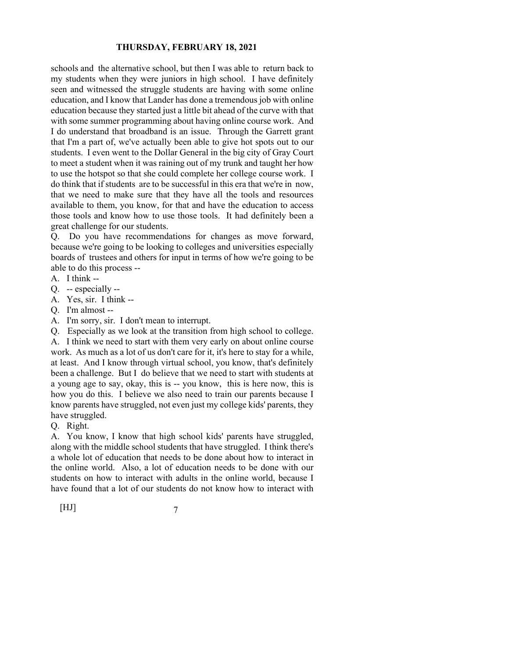schools and the alternative school, but then I was able to return back to my students when they were juniors in high school. I have definitely seen and witnessed the struggle students are having with some online education, and I know that Lander has done a tremendous job with online education because they started just a little bit ahead of the curve with that with some summer programming about having online course work. And I do understand that broadband is an issue. Through the Garrett grant that I'm a part of, we've actually been able to give hot spots out to our students. I even went to the Dollar General in the big city of Gray Court to meet a student when it was raining out of my trunk and taught her how to use the hotspot so that she could complete her college course work. I do think that if students are to be successful in this era that we're in now, that we need to make sure that they have all the tools and resources available to them, you know, for that and have the education to access those tools and know how to use those tools. It had definitely been a great challenge for our students.

Q. Do you have recommendations for changes as move forward, because we're going to be looking to colleges and universities especially boards of trustees and others for input in terms of how we're going to be able to do this process --

- A. I think --
- Q. -- especially --
- A. Yes, sir. I think --
- Q. I'm almost --
- A. I'm sorry, sir. I don't mean to interrupt.

Q. Especially as we look at the transition from high school to college.

A. I think we need to start with them very early on about online course work. As much as a lot of us don't care for it, it's here to stay for a while, at least. And I know through virtual school, you know, that's definitely been a challenge. But I do believe that we need to start with students at a young age to say, okay, this is -- you know, this is here now, this is how you do this. I believe we also need to train our parents because I know parents have struggled, not even just my college kids' parents, they have struggled.

Q. Right.

A. You know, I know that high school kids' parents have struggled, along with the middle school students that have struggled. I think there's a whole lot of education that needs to be done about how to interact in the online world. Also, a lot of education needs to be done with our students on how to interact with adults in the online world, because I have found that a lot of our students do not know how to interact with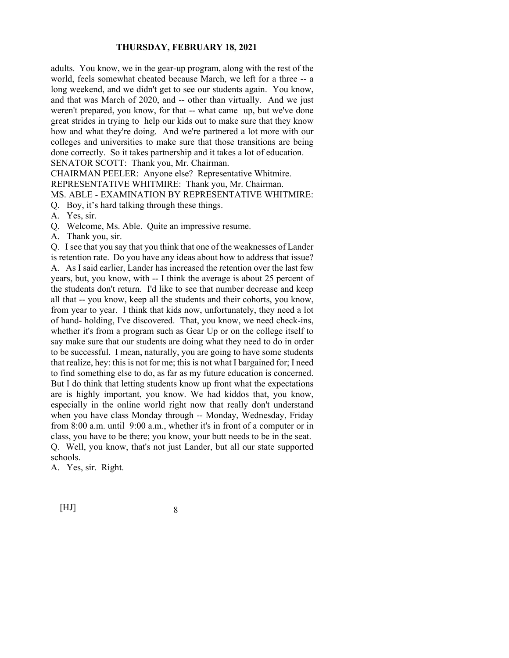adults. You know, we in the gear-up program, along with the rest of the world, feels somewhat cheated because March, we left for a three -- a long weekend, and we didn't get to see our students again. You know, and that was March of 2020, and -- other than virtually. And we just weren't prepared, you know, for that -- what came up, but we've done great strides in trying to help our kids out to make sure that they know how and what they're doing. And we're partnered a lot more with our colleges and universities to make sure that those transitions are being done correctly. So it takes partnership and it takes a lot of education. SENATOR SCOTT: Thank you, Mr. Chairman.

CHAIRMAN PEELER: Anyone else? Representative Whitmire.

REPRESENTATIVE WHITMIRE: Thank you, Mr. Chairman.

#### MS. ABLE - EXAMINATION BY REPRESENTATIVE WHITMIRE:

Q. Boy, it's hard talking through these things.

A. Yes, sir.

Q. Welcome, Ms. Able. Quite an impressive resume.

A. Thank you, sir.

Q. I see that you say that you think that one of the weaknesses of Lander is retention rate. Do you have any ideas about how to address that issue? A. As I said earlier, Lander has increased the retention over the last few years, but, you know, with -- I think the average is about 25 percent of the students don't return. I'd like to see that number decrease and keep all that -- you know, keep all the students and their cohorts, you know, from year to year. I think that kids now, unfortunately, they need a lot of hand- holding, I've discovered. That, you know, we need check-ins, whether it's from a program such as Gear Up or on the college itself to say make sure that our students are doing what they need to do in order to be successful. I mean, naturally, you are going to have some students that realize, hey: this is not for me; this is not what I bargained for; I need to find something else to do, as far as my future education is concerned. But I do think that letting students know up front what the expectations are is highly important, you know. We had kiddos that, you know, especially in the online world right now that really don't understand when you have class Monday through -- Monday, Wednesday, Friday from 8:00 a.m. until 9:00 a.m., whether it's in front of a computer or in class, you have to be there; you know, your butt needs to be in the seat. Q. Well, you know, that's not just Lander, but all our state supported schools.

A. Yes, sir. Right.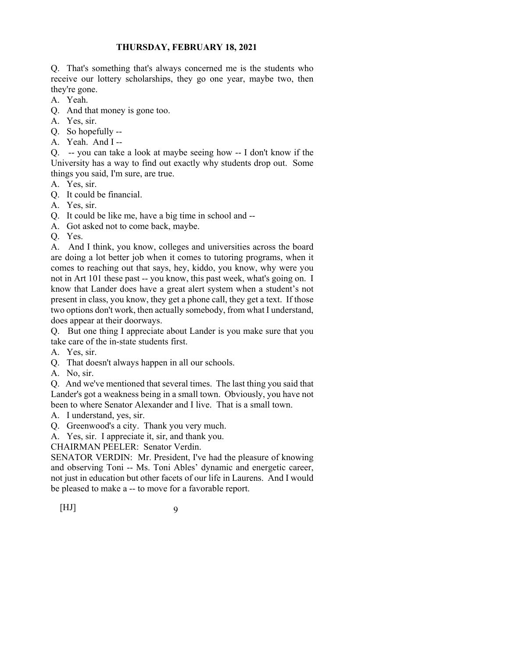Q. That's something that's always concerned me is the students who receive our lottery scholarships, they go one year, maybe two, then they're gone.

- A. Yeah.
- Q. And that money is gone too.
- A. Yes, sir.
- Q. So hopefully --
- A. Yeah. And I --

Q. -- you can take a look at maybe seeing how -- I don't know if the University has a way to find out exactly why students drop out. Some things you said, I'm sure, are true.

- A. Yes, sir.
- Q. It could be financial.
- A. Yes, sir.
- Q. It could be like me, have a big time in school and --
- A. Got asked not to come back, maybe.
- Q. Yes.

A. And I think, you know, colleges and universities across the board are doing a lot better job when it comes to tutoring programs, when it comes to reaching out that says, hey, kiddo, you know, why were you not in Art 101 these past -- you know, this past week, what's going on. I know that Lander does have a great alert system when a student's not present in class, you know, they get a phone call, they get a text. If those two options don't work, then actually somebody, from what I understand, does appear at their doorways.

Q. But one thing I appreciate about Lander is you make sure that you take care of the in-state students first.

A. Yes, sir.

- Q. That doesn't always happen in all our schools.
- A. No, sir.

Q. And we've mentioned that several times. The last thing you said that Lander's got a weakness being in a small town. Obviously, you have not been to where Senator Alexander and I live. That is a small town.

A. I understand, yes, sir.

Q. Greenwood's a city. Thank you very much.

A. Yes, sir. I appreciate it, sir, and thank you.

CHAIRMAN PEELER: Senator Verdin.

SENATOR VERDIN: Mr. President, I've had the pleasure of knowing and observing Toni -- Ms. Toni Ables' dynamic and energetic career, not just in education but other facets of our life in Laurens. And I would be pleased to make a -- to move for a favorable report.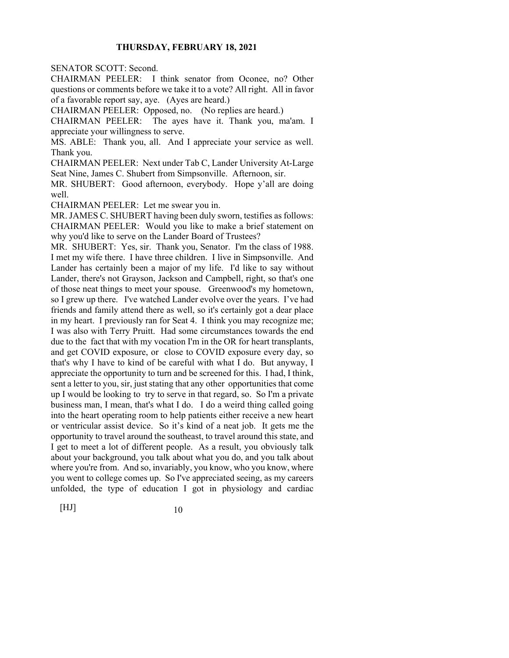SENATOR SCOTT: Second.

CHAIRMAN PEELER: I think senator from Oconee, no? Other questions or comments before we take it to a vote? All right. All in favor of a favorable report say, aye. (Ayes are heard.)

CHAIRMAN PEELER: Opposed, no. (No replies are heard.)

CHAIRMAN PEELER: The ayes have it. Thank you, ma'am. I appreciate your willingness to serve.

MS. ABLE: Thank you, all. And I appreciate your service as well. Thank you.

CHAIRMAN PEELER: Next under Tab C, Lander University At-Large Seat Nine, James C. Shubert from Simpsonville. Afternoon, sir.

MR. SHUBERT: Good afternoon, everybody. Hope y'all are doing well.

CHAIRMAN PEELER: Let me swear you in.

MR. JAMES C. SHUBERT having been duly sworn, testifies as follows: CHAIRMAN PEELER: Would you like to make a brief statement on why you'd like to serve on the Lander Board of Trustees?

MR. SHUBERT: Yes, sir. Thank you, Senator. I'm the class of 1988. I met my wife there. I have three children. I live in Simpsonville. And Lander has certainly been a major of my life. I'd like to say without Lander, there's not Grayson, Jackson and Campbell, right, so that's one of those neat things to meet your spouse. Greenwood's my hometown, so I grew up there. I've watched Lander evolve over the years. I've had friends and family attend there as well, so it's certainly got a dear place in my heart. I previously ran for Seat 4. I think you may recognize me; I was also with Terry Pruitt. Had some circumstances towards the end due to the fact that with my vocation I'm in the OR for heart transplants, and get COVID exposure, or close to COVID exposure every day, so that's why I have to kind of be careful with what I do. But anyway, I appreciate the opportunity to turn and be screened for this. I had, I think, sent a letter to you, sir, just stating that any other opportunities that come up I would be looking to try to serve in that regard, so. So I'm a private business man, I mean, that's what I do. I do a weird thing called going into the heart operating room to help patients either receive a new heart or ventricular assist device. So it's kind of a neat job. It gets me the opportunity to travel around the southeast, to travel around this state, and I get to meet a lot of different people. As a result, you obviously talk about your background, you talk about what you do, and you talk about where you're from. And so, invariably, you know, who you know, where you went to college comes up. So I've appreciated seeing, as my careers unfolded, the type of education I got in physiology and cardiac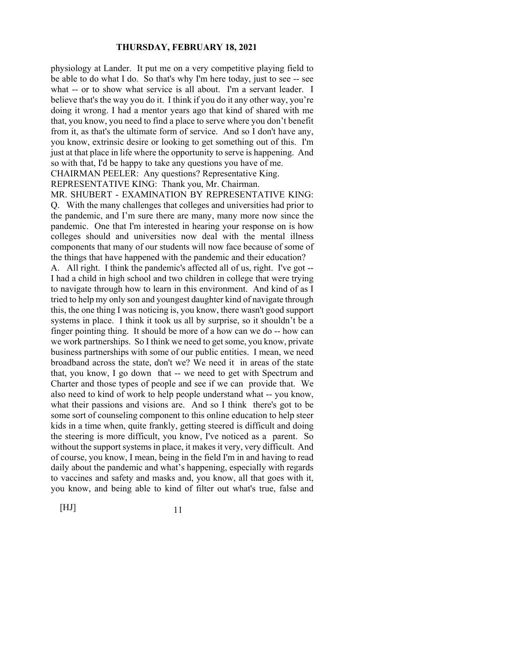physiology at Lander. It put me on a very competitive playing field to be able to do what I do. So that's why I'm here today, just to see -- see what -- or to show what service is all about. I'm a servant leader. I believe that's the way you do it. I think if you do it any other way, you're doing it wrong. I had a mentor years ago that kind of shared with me that, you know, you need to find a place to serve where you don't benefit from it, as that's the ultimate form of service. And so I don't have any, you know, extrinsic desire or looking to get something out of this. I'm just at that place in life where the opportunity to serve is happening. And so with that, I'd be happy to take any questions you have of me.

CHAIRMAN PEELER: Any questions? Representative King.

#### REPRESENTATIVE KING: Thank you, Mr. Chairman.

MR. SHUBERT - EXAMINATION BY REPRESENTATIVE KING: Q. With the many challenges that colleges and universities had prior to the pandemic, and I'm sure there are many, many more now since the pandemic. One that I'm interested in hearing your response on is how colleges should and universities now deal with the mental illness components that many of our students will now face because of some of the things that have happened with the pandemic and their education?

A. All right. I think the pandemic's affected all of us, right. I've got -- I had a child in high school and two children in college that were trying to navigate through how to learn in this environment. And kind of as I tried to help my only son and youngest daughter kind of navigate through this, the one thing I was noticing is, you know, there wasn't good support systems in place. I think it took us all by surprise, so it shouldn't be a finger pointing thing. It should be more of a how can we do -- how can we work partnerships. So I think we need to get some, you know, private business partnerships with some of our public entities. I mean, we need broadband across the state, don't we? We need it in areas of the state that, you know, I go down that -- we need to get with Spectrum and Charter and those types of people and see if we can provide that. We also need to kind of work to help people understand what -- you know, what their passions and visions are. And so I think there's got to be some sort of counseling component to this online education to help steer kids in a time when, quite frankly, getting steered is difficult and doing the steering is more difficult, you know, I've noticed as a parent. So without the support systems in place, it makes it very, very difficult. And of course, you know, I mean, being in the field I'm in and having to read daily about the pandemic and what's happening, especially with regards to vaccines and safety and masks and, you know, all that goes with it, you know, and being able to kind of filter out what's true, false and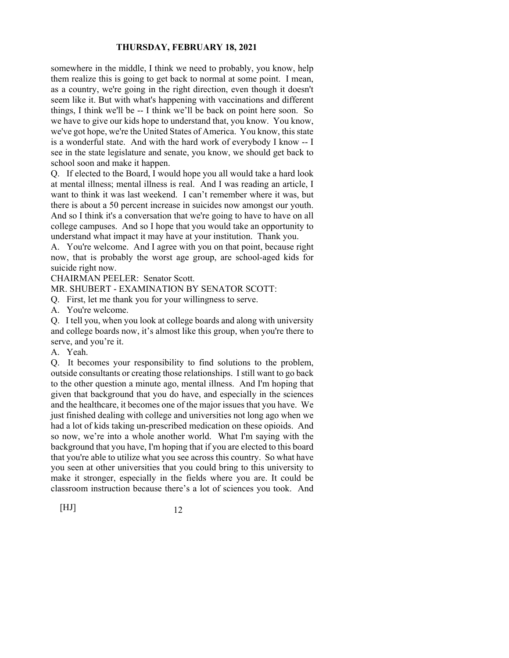somewhere in the middle, I think we need to probably, you know, help them realize this is going to get back to normal at some point. I mean, as a country, we're going in the right direction, even though it doesn't seem like it. But with what's happening with vaccinations and different things, I think we'll be -- I think we'll be back on point here soon. So we have to give our kids hope to understand that, you know. You know, we've got hope, we're the United States of America. You know, this state is a wonderful state. And with the hard work of everybody I know -- I see in the state legislature and senate, you know, we should get back to school soon and make it happen.

Q. If elected to the Board, I would hope you all would take a hard look at mental illness; mental illness is real. And I was reading an article, I want to think it was last weekend. I can't remember where it was, but there is about a 50 percent increase in suicides now amongst our youth. And so I think it's a conversation that we're going to have to have on all college campuses. And so I hope that you would take an opportunity to understand what impact it may have at your institution. Thank you.

A. You're welcome. And I agree with you on that point, because right now, that is probably the worst age group, are school-aged kids for suicide right now.

CHAIRMAN PEELER: Senator Scott.

MR. SHUBERT - EXAMINATION BY SENATOR SCOTT:

Q. First, let me thank you for your willingness to serve.

A. You're welcome.

Q. I tell you, when you look at college boards and along with university and college boards now, it's almost like this group, when you're there to serve, and you're it.

A. Yeah.

Q. It becomes your responsibility to find solutions to the problem, outside consultants or creating those relationships. I still want to go back to the other question a minute ago, mental illness. And I'm hoping that given that background that you do have, and especially in the sciences and the healthcare, it becomes one of the major issues that you have. We just finished dealing with college and universities not long ago when we had a lot of kids taking un-prescribed medication on these opioids. And so now, we're into a whole another world. What I'm saying with the background that you have, I'm hoping that if you are elected to this board that you're able to utilize what you see across this country. So what have you seen at other universities that you could bring to this university to make it stronger, especially in the fields where you are. It could be classroom instruction because there's a lot of sciences you took. And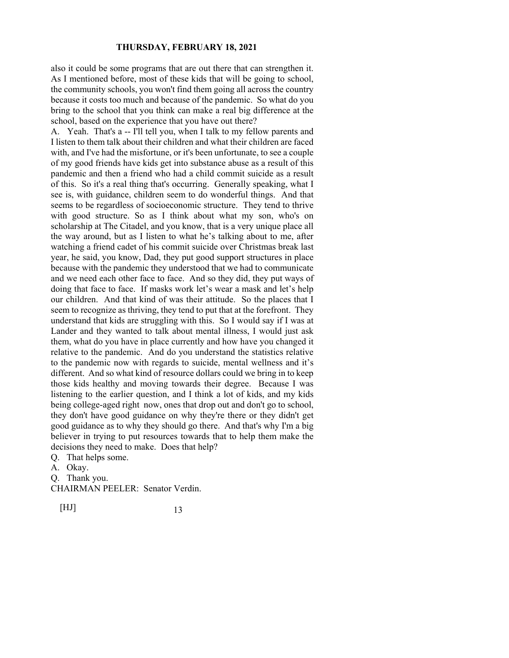also it could be some programs that are out there that can strengthen it. As I mentioned before, most of these kids that will be going to school, the community schools, you won't find them going all across the country because it costs too much and because of the pandemic. So what do you bring to the school that you think can make a real big difference at the school, based on the experience that you have out there?

A. Yeah. That's a -- I'll tell you, when I talk to my fellow parents and I listen to them talk about their children and what their children are faced with, and I've had the misfortune, or it's been unfortunate, to see a couple of my good friends have kids get into substance abuse as a result of this pandemic and then a friend who had a child commit suicide as a result of this. So it's a real thing that's occurring. Generally speaking, what I see is, with guidance, children seem to do wonderful things. And that seems to be regardless of socioeconomic structure. They tend to thrive with good structure. So as I think about what my son, who's on scholarship at The Citadel, and you know, that is a very unique place all the way around, but as I listen to what he's talking about to me, after watching a friend cadet of his commit suicide over Christmas break last year, he said, you know, Dad, they put good support structures in place because with the pandemic they understood that we had to communicate and we need each other face to face. And so they did, they put ways of doing that face to face. If masks work let's wear a mask and let's help our children. And that kind of was their attitude. So the places that I seem to recognize as thriving, they tend to put that at the forefront. They understand that kids are struggling with this. So I would say if I was at Lander and they wanted to talk about mental illness, I would just ask them, what do you have in place currently and how have you changed it relative to the pandemic. And do you understand the statistics relative to the pandemic now with regards to suicide, mental wellness and it's different. And so what kind of resource dollars could we bring in to keep those kids healthy and moving towards their degree. Because I was listening to the earlier question, and I think a lot of kids, and my kids being college-aged right now, ones that drop out and don't go to school, they don't have good guidance on why they're there or they didn't get good guidance as to why they should go there. And that's why I'm a big believer in trying to put resources towards that to help them make the decisions they need to make. Does that help?

Q. That helps some.

A. Okay.

Q. Thank you.

CHAIRMAN PEELER: Senator Verdin.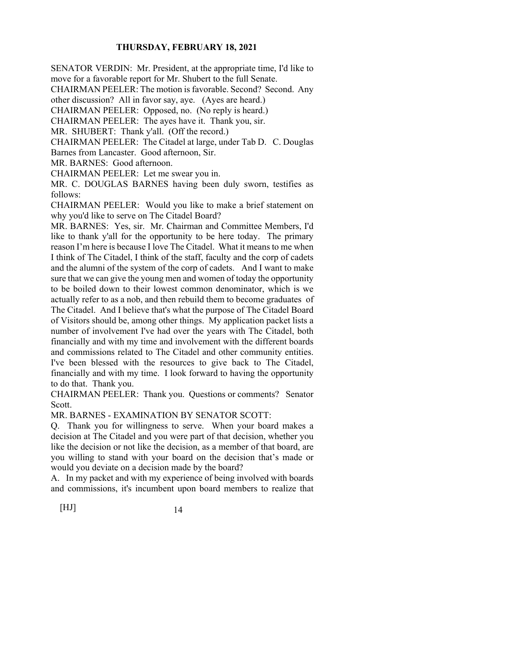SENATOR VERDIN: Mr. President, at the appropriate time, I'd like to

move for a favorable report for Mr. Shubert to the full Senate.

CHAIRMAN PEELER: The motion is favorable. Second? Second. Any

other discussion? All in favor say, aye. (Ayes are heard.)

CHAIRMAN PEELER: Opposed, no. (No reply is heard.)

CHAIRMAN PEELER: The ayes have it. Thank you, sir.

MR. SHUBERT: Thank y'all. (Off the record.)

CHAIRMAN PEELER: The Citadel at large, under Tab D. C. Douglas

Barnes from Lancaster. Good afternoon, Sir.

MR. BARNES: Good afternoon.

CHAIRMAN PEELER: Let me swear you in.

MR. C. DOUGLAS BARNES having been duly sworn, testifies as follows:

CHAIRMAN PEELER: Would you like to make a brief statement on why you'd like to serve on The Citadel Board?

MR. BARNES: Yes, sir. Mr. Chairman and Committee Members, I'd like to thank y'all for the opportunity to be here today. The primary reason I'm here is because I love The Citadel. What it means to me when I think of The Citadel, I think of the staff, faculty and the corp of cadets and the alumni of the system of the corp of cadets. And I want to make sure that we can give the young men and women of today the opportunity to be boiled down to their lowest common denominator, which is we actually refer to as a nob, and then rebuild them to become graduates of The Citadel. And I believe that's what the purpose of The Citadel Board of Visitors should be, among other things. My application packet lists a number of involvement I've had over the years with The Citadel, both financially and with my time and involvement with the different boards and commissions related to The Citadel and other community entities. I've been blessed with the resources to give back to The Citadel, financially and with my time. I look forward to having the opportunity to do that. Thank you.

CHAIRMAN PEELER: Thank you. Questions or comments? Senator Scott.

MR. BARNES - EXAMINATION BY SENATOR SCOTT:

Q. Thank you for willingness to serve. When your board makes a decision at The Citadel and you were part of that decision, whether you like the decision or not like the decision, as a member of that board, are you willing to stand with your board on the decision that's made or would you deviate on a decision made by the board?

A. In my packet and with my experience of being involved with boards and commissions, it's incumbent upon board members to realize that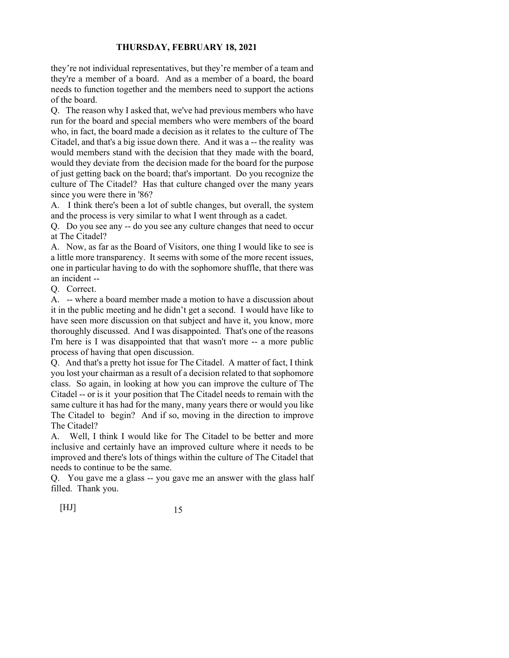they're not individual representatives, but they're member of a team and they're a member of a board. And as a member of a board, the board needs to function together and the members need to support the actions of the board.

Q. The reason why I asked that, we've had previous members who have run for the board and special members who were members of the board who, in fact, the board made a decision as it relates to the culture of The Citadel, and that's a big issue down there. And it was a -- the reality was would members stand with the decision that they made with the board, would they deviate from the decision made for the board for the purpose of just getting back on the board; that's important. Do you recognize the culture of The Citadel? Has that culture changed over the many years since you were there in '86?

A. I think there's been a lot of subtle changes, but overall, the system and the process is very similar to what I went through as a cadet.

Q. Do you see any -- do you see any culture changes that need to occur at The Citadel?

A. Now, as far as the Board of Visitors, one thing I would like to see is a little more transparency. It seems with some of the more recent issues, one in particular having to do with the sophomore shuffle, that there was an incident --

Q. Correct.

A. -- where a board member made a motion to have a discussion about it in the public meeting and he didn't get a second. I would have like to have seen more discussion on that subject and have it, you know, more thoroughly discussed. And I was disappointed. That's one of the reasons I'm here is I was disappointed that that wasn't more -- a more public process of having that open discussion.

Q. And that's a pretty hot issue for The Citadel. A matter of fact, I think you lost your chairman as a result of a decision related to that sophomore class. So again, in looking at how you can improve the culture of The Citadel -- or is it your position that The Citadel needs to remain with the same culture it has had for the many, many years there or would you like The Citadel to begin? And if so, moving in the direction to improve The Citadel?

A. Well, I think I would like for The Citadel to be better and more inclusive and certainly have an improved culture where it needs to be improved and there's lots of things within the culture of The Citadel that needs to continue to be the same.

Q. You gave me a glass -- you gave me an answer with the glass half filled. Thank you.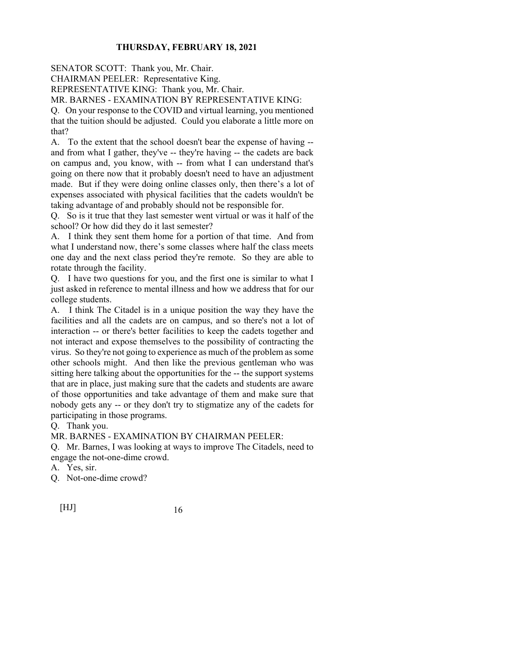SENATOR SCOTT: Thank you, Mr. Chair.

CHAIRMAN PEELER: Representative King.

REPRESENTATIVE KING: Thank you, Mr. Chair.

MR. BARNES - EXAMINATION BY REPRESENTATIVE KING:

Q. On your response to the COVID and virtual learning, you mentioned that the tuition should be adjusted. Could you elaborate a little more on that?

A. To the extent that the school doesn't bear the expense of having - and from what I gather, they've -- they're having -- the cadets are back on campus and, you know, with -- from what I can understand that's going on there now that it probably doesn't need to have an adjustment made. But if they were doing online classes only, then there's a lot of expenses associated with physical facilities that the cadets wouldn't be taking advantage of and probably should not be responsible for.

Q. So is it true that they last semester went virtual or was it half of the school? Or how did they do it last semester?

A. I think they sent them home for a portion of that time. And from what I understand now, there's some classes where half the class meets one day and the next class period they're remote. So they are able to rotate through the facility.

Q. I have two questions for you, and the first one is similar to what I just asked in reference to mental illness and how we address that for our college students.

A. I think The Citadel is in a unique position the way they have the facilities and all the cadets are on campus, and so there's not a lot of interaction -- or there's better facilities to keep the cadets together and not interact and expose themselves to the possibility of contracting the virus. So they're not going to experience as much of the problem as some other schools might. And then like the previous gentleman who was sitting here talking about the opportunities for the -- the support systems that are in place, just making sure that the cadets and students are aware of those opportunities and take advantage of them and make sure that nobody gets any -- or they don't try to stigmatize any of the cadets for participating in those programs.

Q. Thank you.

MR. BARNES - EXAMINATION BY CHAIRMAN PEELER:

Q. Mr. Barnes, I was looking at ways to improve The Citadels, need to engage the not-one-dime crowd.

A. Yes, sir.

Q. Not-one-dime crowd?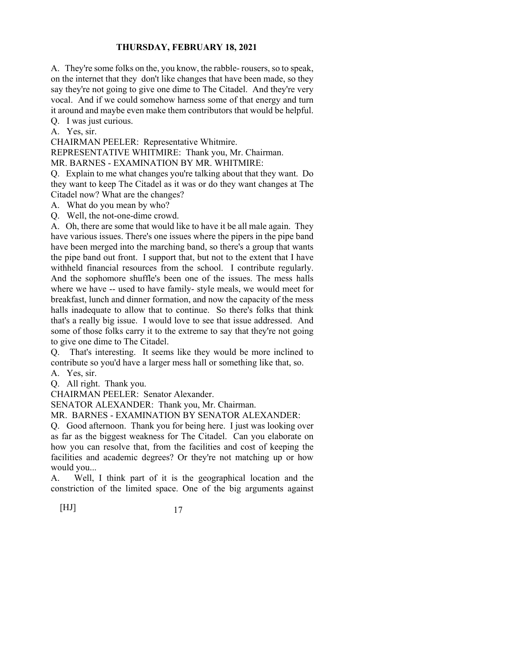A. They're some folks on the, you know, the rabble- rousers, so to speak, on the internet that they don't like changes that have been made, so they say they're not going to give one dime to The Citadel. And they're very vocal. And if we could somehow harness some of that energy and turn it around and maybe even make them contributors that would be helpful.

Q. I was just curious.

A. Yes, sir.

CHAIRMAN PEELER: Representative Whitmire.

REPRESENTATIVE WHITMIRE: Thank you, Mr. Chairman.

MR. BARNES - EXAMINATION BY MR. WHITMIRE:

Q. Explain to me what changes you're talking about that they want. Do they want to keep The Citadel as it was or do they want changes at The Citadel now? What are the changes?

A. What do you mean by who?

Q. Well, the not-one-dime crowd.

A. Oh, there are some that would like to have it be all male again. They have various issues. There's one issues where the pipers in the pipe band have been merged into the marching band, so there's a group that wants the pipe band out front. I support that, but not to the extent that I have withheld financial resources from the school. I contribute regularly. And the sophomore shuffle's been one of the issues. The mess halls where we have -- used to have family- style meals, we would meet for breakfast, lunch and dinner formation, and now the capacity of the mess halls inadequate to allow that to continue. So there's folks that think that's a really big issue. I would love to see that issue addressed. And some of those folks carry it to the extreme to say that they're not going to give one dime to The Citadel.

Q. That's interesting. It seems like they would be more inclined to contribute so you'd have a larger mess hall or something like that, so.

A. Yes, sir.

Q. All right. Thank you.

CHAIRMAN PEELER: Senator Alexander.

SENATOR ALEXANDER: Thank you, Mr. Chairman.

MR. BARNES - EXAMINATION BY SENATOR ALEXANDER:

Q. Good afternoon. Thank you for being here. I just was looking over as far as the biggest weakness for The Citadel. Can you elaborate on how you can resolve that, from the facilities and cost of keeping the facilities and academic degrees? Or they're not matching up or how would you...

A. Well, I think part of it is the geographical location and the constriction of the limited space. One of the big arguments against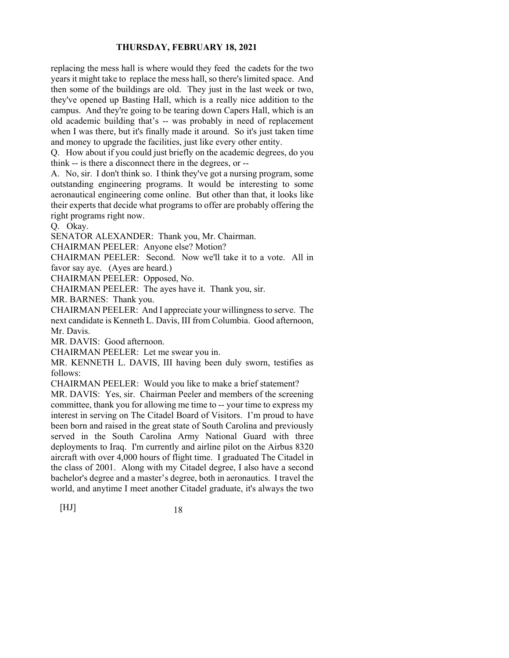replacing the mess hall is where would they feed the cadets for the two years it might take to replace the mess hall, so there's limited space. And then some of the buildings are old. They just in the last week or two, they've opened up Basting Hall, which is a really nice addition to the campus. And they're going to be tearing down Capers Hall, which is an old academic building that's -- was probably in need of replacement when I was there, but it's finally made it around. So it's just taken time and money to upgrade the facilities, just like every other entity.

Q. How about if you could just briefly on the academic degrees, do you think -- is there a disconnect there in the degrees, or --

A. No, sir. I don't think so. I think they've got a nursing program, some outstanding engineering programs. It would be interesting to some aeronautical engineering come online. But other than that, it looks like their experts that decide what programs to offer are probably offering the right programs right now.

Q. Okay.

SENATOR ALEXANDER: Thank you, Mr. Chairman.

CHAIRMAN PEELER: Anyone else? Motion?

CHAIRMAN PEELER: Second. Now we'll take it to a vote. All in favor say aye. (Ayes are heard.)

CHAIRMAN PEELER: Opposed, No.

CHAIRMAN PEELER: The ayes have it. Thank you, sir.

MR. BARNES: Thank you.

CHAIRMAN PEELER: And I appreciate your willingness to serve. The next candidate is Kenneth L. Davis, III from Columbia. Good afternoon, Mr. Davis.

MR. DAVIS: Good afternoon.

CHAIRMAN PEELER: Let me swear you in.

MR. KENNETH L. DAVIS, III having been duly sworn, testifies as follows:

CHAIRMAN PEELER: Would you like to make a brief statement?

MR. DAVIS: Yes, sir. Chairman Peeler and members of the screening committee, thank you for allowing me time to -- your time to express my interest in serving on The Citadel Board of Visitors. I'm proud to have been born and raised in the great state of South Carolina and previously served in the South Carolina Army National Guard with three deployments to Iraq. I'm currently and airline pilot on the Airbus 8320 aircraft with over 4,000 hours of flight time. I graduated The Citadel in the class of 2001. Along with my Citadel degree, I also have a second bachelor's degree and a master's degree, both in aeronautics. I travel the world, and anytime I meet another Citadel graduate, it's always the two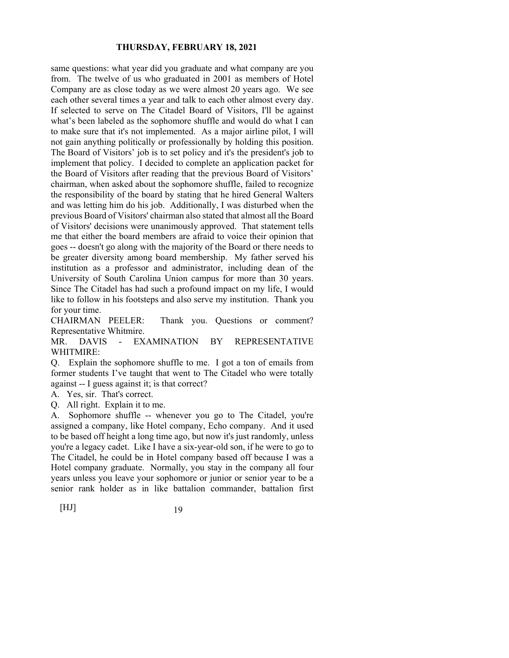same questions: what year did you graduate and what company are you from. The twelve of us who graduated in 2001 as members of Hotel Company are as close today as we were almost 20 years ago. We see each other several times a year and talk to each other almost every day. If selected to serve on The Citadel Board of Visitors, I'll be against what's been labeled as the sophomore shuffle and would do what I can to make sure that it's not implemented. As a major airline pilot, I will not gain anything politically or professionally by holding this position. The Board of Visitors' job is to set policy and it's the president's job to implement that policy. I decided to complete an application packet for the Board of Visitors after reading that the previous Board of Visitors' chairman, when asked about the sophomore shuffle, failed to recognize the responsibility of the board by stating that he hired General Walters and was letting him do his job. Additionally, I was disturbed when the previous Board of Visitors' chairman also stated that almost all the Board of Visitors' decisions were unanimously approved. That statement tells me that either the board members are afraid to voice their opinion that goes -- doesn't go along with the majority of the Board or there needs to be greater diversity among board membership. My father served his institution as a professor and administrator, including dean of the University of South Carolina Union campus for more than 30 years. Since The Citadel has had such a profound impact on my life, I would like to follow in his footsteps and also serve my institution. Thank you for your time.

CHAIRMAN PEELER: Thank you. Questions or comment? Representative Whitmire.

MR. DAVIS - EXAMINATION BY REPRESENTATIVE WHITMIRE:

Q. Explain the sophomore shuffle to me. I got a ton of emails from former students I've taught that went to The Citadel who were totally against -- I guess against it; is that correct?

A. Yes, sir. That's correct.

Q. All right. Explain it to me.

A. Sophomore shuffle -- whenever you go to The Citadel, you're assigned a company, like Hotel company, Echo company. And it used to be based off height a long time ago, but now it's just randomly, unless you're a legacy cadet. Like I have a six-year-old son, if he were to go to The Citadel, he could be in Hotel company based off because I was a Hotel company graduate. Normally, you stay in the company all four years unless you leave your sophomore or junior or senior year to be a senior rank holder as in like battalion commander, battalion first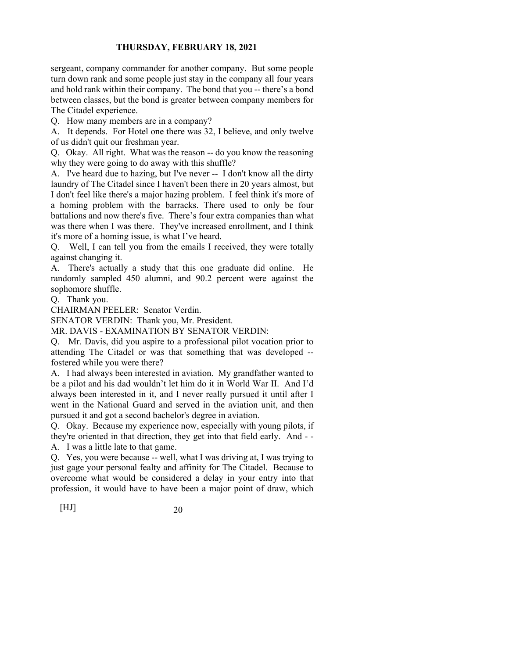sergeant, company commander for another company. But some people turn down rank and some people just stay in the company all four years and hold rank within their company. The bond that you -- there's a bond between classes, but the bond is greater between company members for The Citadel experience.

Q. How many members are in a company?

A. It depends. For Hotel one there was 32, I believe, and only twelve of us didn't quit our freshman year.

Q. Okay. All right. What was the reason -- do you know the reasoning why they were going to do away with this shuffle?

A. I've heard due to hazing, but I've never -- I don't know all the dirty laundry of The Citadel since I haven't been there in 20 years almost, but I don't feel like there's a major hazing problem. I feel think it's more of a homing problem with the barracks. There used to only be four battalions and now there's five. There's four extra companies than what was there when I was there. They've increased enrollment, and I think it's more of a homing issue, is what I've heard.

Q. Well, I can tell you from the emails I received, they were totally against changing it.

A. There's actually a study that this one graduate did online. He randomly sampled 450 alumni, and 90.2 percent were against the sophomore shuffle.

Q. Thank you.

CHAIRMAN PEELER: Senator Verdin.

SENATOR VERDIN: Thank you, Mr. President.

MR. DAVIS - EXAMINATION BY SENATOR VERDIN:

Q. Mr. Davis, did you aspire to a professional pilot vocation prior to attending The Citadel or was that something that was developed - fostered while you were there?

A. I had always been interested in aviation. My grandfather wanted to be a pilot and his dad wouldn't let him do it in World War II. And I'd always been interested in it, and I never really pursued it until after I went in the National Guard and served in the aviation unit, and then pursued it and got a second bachelor's degree in aviation.

Q. Okay. Because my experience now, especially with young pilots, if they're oriented in that direction, they get into that field early. And - - A. I was a little late to that game.

Q. Yes, you were because -- well, what I was driving at, I was trying to just gage your personal fealty and affinity for The Citadel. Because to overcome what would be considered a delay in your entry into that profession, it would have to have been a major point of draw, which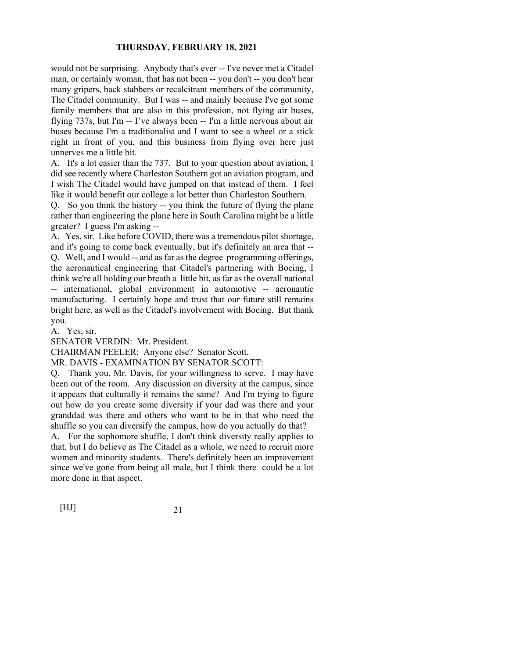would not be surprising. Anybody that's ever -- I've never met a Citadel man, or certainly woman, that has not been -- you don't -- you don't hear many gripers, back stabbers or recalcitrant members of the community, The Citadel community. But I was -- and mainly because I've got some family members that are also in this profession, not flying air buses, flying 737s, but I'm -- I've always been -- I'm a little nervous about air buses because I'm a traditionalist and I want to see a wheel or a stick right in front of you, and this business from flying over here just unnerves me a little bit.

A. It's a lot easier than the 737. But to your question about aviation, I did see recently where Charleston Southern got an aviation program, and I wish The Citadel would have jumped on that instead of them. I feel like it would benefit our college a lot better than Charleston Southern.

Q. So you think the history -- you think the future of flying the plane rather than engineering the plane here in South Carolina might be a little greater? I guess I'm asking --

A. Yes, sir. Like before COVID, there was a tremendous pilot shortage, and it's going to come back eventually, but it's definitely an area that -- Q. Well, and I would -- and as far as the degree programming offerings, the aeronautical engineering that Citadel's partnering with Boeing, I think we're all holding our breath a little bit, as far as the overall national -- international, global environment in automotive -- aeronautic manufacturing. I certainly hope and trust that our future still remains bright here, as well as the Citadel's involvement with Boeing. But thank you.

A. Yes, sir.

SENATOR VERDIN: Mr. President.

CHAIRMAN PEELER: Anyone else? Senator Scott.

MR. DAVIS - EXAMINATION BY SENATOR SCOTT:

Q. Thank you, Mr. Davis, for your willingness to serve. I may have been out of the room. Any discussion on diversity at the campus, since it appears that culturally it remains the same? And I'm trying to figure out how do you create some diversity if your dad was there and your granddad was there and others who want to be in that who need the shuffle so you can diversify the campus, how do you actually do that?

A. For the sophomore shuffle, I don't think diversity really applies to that, but I do believe as The Citadel as a whole, we need to recruit more women and minority students. There's definitely been an improvement since we've gone from being all male, but I think there could be a lot more done in that aspect.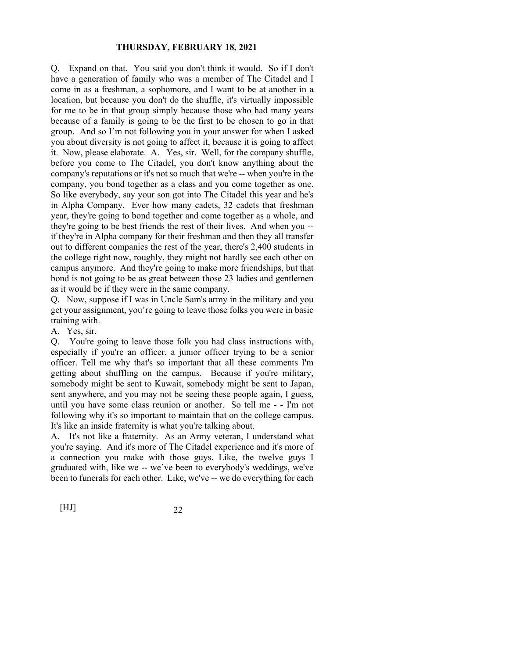Q. Expand on that. You said you don't think it would. So if I don't have a generation of family who was a member of The Citadel and I come in as a freshman, a sophomore, and I want to be at another in a location, but because you don't do the shuffle, it's virtually impossible for me to be in that group simply because those who had many years because of a family is going to be the first to be chosen to go in that group. And so I'm not following you in your answer for when I asked you about diversity is not going to affect it, because it is going to affect it. Now, please elaborate. A. Yes, sir. Well, for the company shuffle, before you come to The Citadel, you don't know anything about the company's reputations or it's not so much that we're -- when you're in the company, you bond together as a class and you come together as one. So like everybody, say your son got into The Citadel this year and he's in Alpha Company. Ever how many cadets, 32 cadets that freshman year, they're going to bond together and come together as a whole, and they're going to be best friends the rest of their lives. And when you - if they're in Alpha company for their freshman and then they all transfer out to different companies the rest of the year, there's 2,400 students in the college right now, roughly, they might not hardly see each other on campus anymore. And they're going to make more friendships, but that bond is not going to be as great between those 23 ladies and gentlemen as it would be if they were in the same company.

Q. Now, suppose if I was in Uncle Sam's army in the military and you get your assignment, you're going to leave those folks you were in basic training with.

A. Yes, sir.

Q. You're going to leave those folk you had class instructions with, especially if you're an officer, a junior officer trying to be a senior officer. Tell me why that's so important that all these comments I'm getting about shuffling on the campus. Because if you're military, somebody might be sent to Kuwait, somebody might be sent to Japan, sent anywhere, and you may not be seeing these people again, I guess, until you have some class reunion or another. So tell me - - I'm not following why it's so important to maintain that on the college campus. It's like an inside fraternity is what you're talking about.

A. It's not like a fraternity. As an Army veteran, I understand what you're saying. And it's more of The Citadel experience and it's more of a connection you make with those guys. Like, the twelve guys I graduated with, like we -- we've been to everybody's weddings, we've been to funerals for each other. Like, we've -- we do everything for each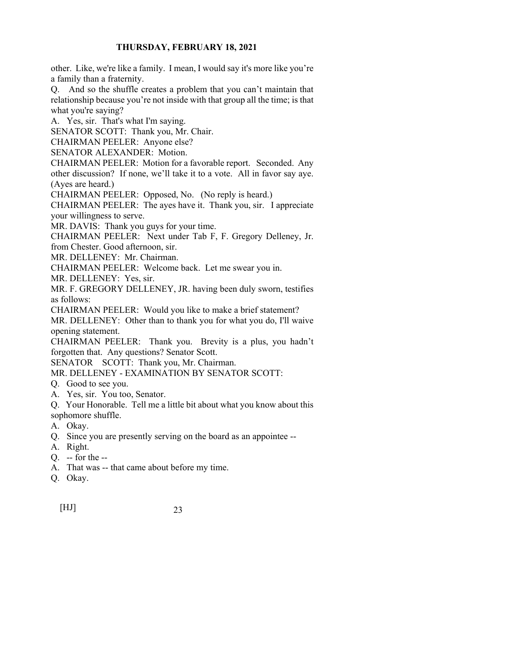other. Like, we're like a family. I mean, I would say it's more like you're a family than a fraternity.

Q. And so the shuffle creates a problem that you can't maintain that relationship because you're not inside with that group all the time; is that what you're saying?

A. Yes, sir. That's what I'm saying.

SENATOR SCOTT: Thank you, Mr. Chair.

CHAIRMAN PEELER: Anyone else?

SENATOR ALEXANDER: Motion.

CHAIRMAN PEELER: Motion for a favorable report. Seconded. Any other discussion? If none, we'll take it to a vote. All in favor say aye.

(Ayes are heard.)

CHAIRMAN PEELER: Opposed, No. (No reply is heard.)

CHAIRMAN PEELER: The ayes have it. Thank you, sir. I appreciate your willingness to serve.

MR. DAVIS: Thank you guys for your time.

CHAIRMAN PEELER: Next under Tab F, F. Gregory Delleney, Jr.

from Chester. Good afternoon, sir.

MR. DELLENEY: Mr. Chairman.

CHAIRMAN PEELER: Welcome back. Let me swear you in.

MR. DELLENEY: Yes, sir.

MR. F. GREGORY DELLENEY, JR. having been duly sworn, testifies as follows:

CHAIRMAN PEELER: Would you like to make a brief statement?

MR. DELLENEY: Other than to thank you for what you do, I'll waive opening statement.

CHAIRMAN PEELER: Thank you. Brevity is a plus, you hadn't forgotten that. Any questions? Senator Scott.

SENATOR SCOTT: Thank you, Mr. Chairman.

MR. DELLENEY - EXAMINATION BY SENATOR SCOTT:

- Q. Good to see you.
- A. Yes, sir. You too, Senator.

Q. Your Honorable. Tell me a little bit about what you know about this sophomore shuffle.

- A. Okay.
- Q. Since you are presently serving on the board as an appointee --
- A. Right.
- Q. -- for the --
- A. That was -- that came about before my time.
- Q. Okay.

[HJ] 23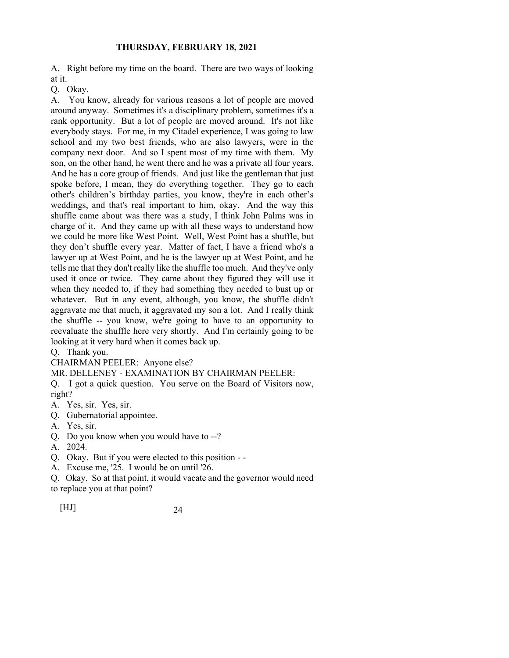A. Right before my time on the board. There are two ways of looking at it.

Q. Okay.

A. You know, already for various reasons a lot of people are moved around anyway. Sometimes it's a disciplinary problem, sometimes it's a rank opportunity. But a lot of people are moved around. It's not like everybody stays. For me, in my Citadel experience, I was going to law school and my two best friends, who are also lawyers, were in the company next door. And so I spent most of my time with them. My son, on the other hand, he went there and he was a private all four years. And he has a core group of friends. And just like the gentleman that just spoke before, I mean, they do everything together. They go to each other's children's birthday parties, you know, they're in each other's weddings, and that's real important to him, okay. And the way this shuffle came about was there was a study, I think John Palms was in charge of it. And they came up with all these ways to understand how we could be more like West Point. Well, West Point has a shuffle, but they don't shuffle every year. Matter of fact, I have a friend who's a lawyer up at West Point, and he is the lawyer up at West Point, and he tells me that they don't really like the shuffle too much. And they've only used it once or twice. They came about they figured they will use it when they needed to, if they had something they needed to bust up or whatever. But in any event, although, you know, the shuffle didn't aggravate me that much, it aggravated my son a lot. And I really think the shuffle -- you know, we're going to have to an opportunity to reevaluate the shuffle here very shortly. And I'm certainly going to be looking at it very hard when it comes back up.

Q. Thank you.

CHAIRMAN PEELER: Anyone else?

MR. DELLENEY - EXAMINATION BY CHAIRMAN PEELER:

Q. I got a quick question. You serve on the Board of Visitors now, right?

- A. Yes, sir. Yes, sir.
- Q. Gubernatorial appointee.
- A. Yes, sir.
- Q. Do you know when you would have to --?
- A. 2024.
- Q. Okay. But if you were elected to this position -
- A. Excuse me, '25. I would be on until '26.

Q. Okay. So at that point, it would vacate and the governor would need to replace you at that point?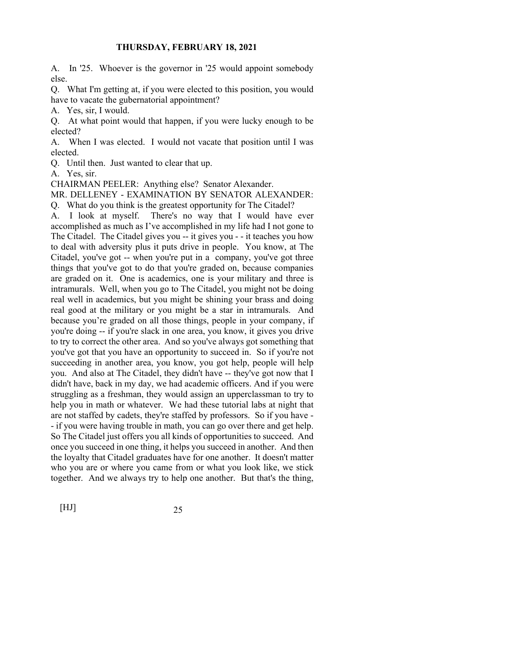A. In '25. Whoever is the governor in '25 would appoint somebody else.

Q. What I'm getting at, if you were elected to this position, you would have to vacate the gubernatorial appointment?

A. Yes, sir, I would.

Q. At what point would that happen, if you were lucky enough to be elected?

A. When I was elected. I would not vacate that position until I was elected.

Q. Until then. Just wanted to clear that up.

A. Yes, sir.

CHAIRMAN PEELER: Anything else? Senator Alexander.

MR. DELLENEY - EXAMINATION BY SENATOR ALEXANDER:

Q. What do you think is the greatest opportunity for The Citadel?

A. I look at myself. There's no way that I would have ever accomplished as much as I've accomplished in my life had I not gone to The Citadel. The Citadel gives you -- it gives you - - it teaches you how to deal with adversity plus it puts drive in people. You know, at The Citadel, you've got -- when you're put in a company, you've got three things that you've got to do that you're graded on, because companies are graded on it. One is academics, one is your military and three is intramurals. Well, when you go to The Citadel, you might not be doing real well in academics, but you might be shining your brass and doing real good at the military or you might be a star in intramurals. And because you're graded on all those things, people in your company, if you're doing -- if you're slack in one area, you know, it gives you drive to try to correct the other area. And so you've always got something that you've got that you have an opportunity to succeed in. So if you're not succeeding in another area, you know, you got help, people will help you. And also at The Citadel, they didn't have -- they've got now that I didn't have, back in my day, we had academic officers. And if you were struggling as a freshman, they would assign an upperclassman to try to help you in math or whatever. We had these tutorial labs at night that are not staffed by cadets, they're staffed by professors. So if you have - - if you were having trouble in math, you can go over there and get help. So The Citadel just offers you all kinds of opportunities to succeed. And once you succeed in one thing, it helps you succeed in another. And then the loyalty that Citadel graduates have for one another. It doesn't matter who you are or where you came from or what you look like, we stick together. And we always try to help one another. But that's the thing,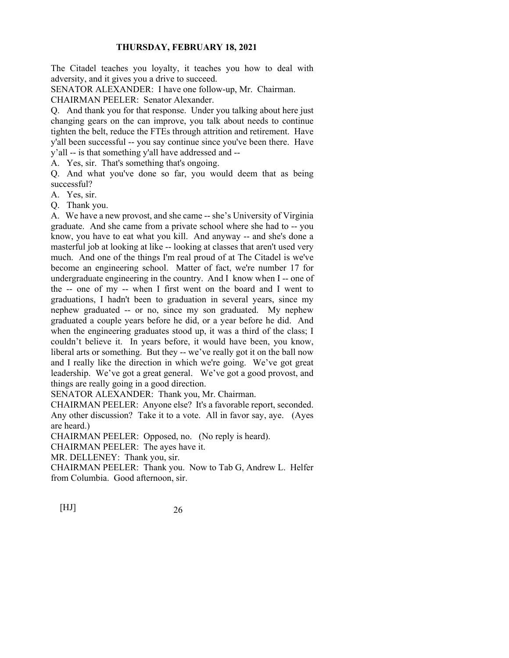The Citadel teaches you loyalty, it teaches you how to deal with adversity, and it gives you a drive to succeed.

SENATOR ALEXANDER: I have one follow-up, Mr. Chairman.

CHAIRMAN PEELER: Senator Alexander.

Q. And thank you for that response. Under you talking about here just changing gears on the can improve, you talk about needs to continue tighten the belt, reduce the FTEs through attrition and retirement. Have y'all been successful -- you say continue since you've been there. Have y'all -- is that something y'all have addressed and --

A. Yes, sir. That's something that's ongoing.

Q. And what you've done so far, you would deem that as being successful?

A. Yes, sir.

Q. Thank you.

A. We have a new provost, and she came -- she's University of Virginia graduate. And she came from a private school where she had to -- you know, you have to eat what you kill. And anyway -- and she's done a masterful job at looking at like -- looking at classes that aren't used very much. And one of the things I'm real proud of at The Citadel is we've become an engineering school. Matter of fact, we're number 17 for undergraduate engineering in the country. And I know when I -- one of the -- one of my -- when I first went on the board and I went to graduations, I hadn't been to graduation in several years, since my nephew graduated -- or no, since my son graduated. My nephew graduated a couple years before he did, or a year before he did. And when the engineering graduates stood up, it was a third of the class; I couldn't believe it. In years before, it would have been, you know, liberal arts or something. But they -- we've really got it on the ball now and I really like the direction in which we're going. We've got great leadership. We've got a great general. We've got a good provost, and things are really going in a good direction.

SENATOR ALEXANDER: Thank you, Mr. Chairman.

CHAIRMAN PEELER: Anyone else? It's a favorable report, seconded. Any other discussion? Take it to a vote. All in favor say, aye. (Ayes are heard.)

CHAIRMAN PEELER: Opposed, no. (No reply is heard).

CHAIRMAN PEELER: The ayes have it.

MR. DELLENEY: Thank you, sir.

CHAIRMAN PEELER: Thank you. Now to Tab G, Andrew L. Helfer from Columbia. Good afternoon, sir.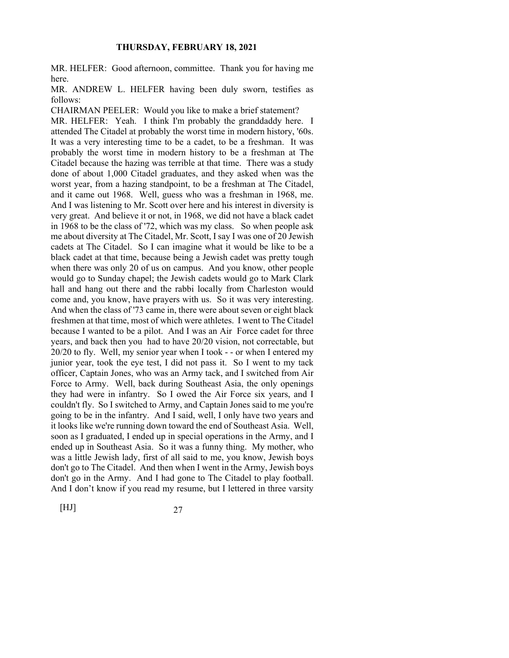MR. HELFER: Good afternoon, committee. Thank you for having me here.

MR. ANDREW L. HELFER having been duly sworn, testifies as follows:

CHAIRMAN PEELER: Would you like to make a brief statement? MR. HELFER: Yeah. I think I'm probably the granddaddy here. I attended The Citadel at probably the worst time in modern history, '60s. It was a very interesting time to be a cadet, to be a freshman. It was probably the worst time in modern history to be a freshman at The Citadel because the hazing was terrible at that time. There was a study done of about 1,000 Citadel graduates, and they asked when was the worst year, from a hazing standpoint, to be a freshman at The Citadel, and it came out 1968. Well, guess who was a freshman in 1968, me. And I was listening to Mr. Scott over here and his interest in diversity is very great. And believe it or not, in 1968, we did not have a black cadet in 1968 to be the class of '72, which was my class. So when people ask me about diversity at The Citadel, Mr. Scott, I say I was one of 20 Jewish cadets at The Citadel. So I can imagine what it would be like to be a black cadet at that time, because being a Jewish cadet was pretty tough when there was only 20 of us on campus. And you know, other people would go to Sunday chapel; the Jewish cadets would go to Mark Clark hall and hang out there and the rabbi locally from Charleston would come and, you know, have prayers with us. So it was very interesting. And when the class of '73 came in, there were about seven or eight black freshmen at that time, most of which were athletes. I went to The Citadel because I wanted to be a pilot. And I was an Air Force cadet for three years, and back then you had to have 20/20 vision, not correctable, but 20/20 to fly. Well, my senior year when I took - - or when I entered my junior year, took the eye test, I did not pass it. So I went to my tack officer, Captain Jones, who was an Army tack, and I switched from Air Force to Army. Well, back during Southeast Asia, the only openings they had were in infantry. So I owed the Air Force six years, and I couldn't fly. So I switched to Army, and Captain Jones said to me you're going to be in the infantry. And I said, well, I only have two years and it looks like we're running down toward the end of Southeast Asia. Well, soon as I graduated, I ended up in special operations in the Army, and I ended up in Southeast Asia. So it was a funny thing. My mother, who was a little Jewish lady, first of all said to me, you know, Jewish boys don't go to The Citadel. And then when I went in the Army, Jewish boys don't go in the Army. And I had gone to The Citadel to play football. And I don't know if you read my resume, but I lettered in three varsity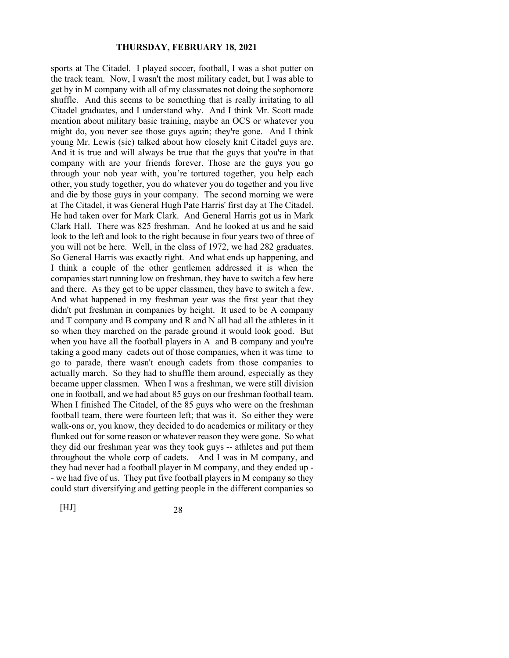sports at The Citadel. I played soccer, football, I was a shot putter on the track team. Now, I wasn't the most military cadet, but I was able to get by in M company with all of my classmates not doing the sophomore shuffle. And this seems to be something that is really irritating to all Citadel graduates, and I understand why. And I think Mr. Scott made mention about military basic training, maybe an OCS or whatever you might do, you never see those guys again; they're gone. And I think young Mr. Lewis (sic) talked about how closely knit Citadel guys are. And it is true and will always be true that the guys that you're in that company with are your friends forever. Those are the guys you go through your nob year with, you're tortured together, you help each other, you study together, you do whatever you do together and you live and die by those guys in your company. The second morning we were at The Citadel, it was General Hugh Pate Harris' first day at The Citadel. He had taken over for Mark Clark. And General Harris got us in Mark Clark Hall. There was 825 freshman. And he looked at us and he said look to the left and look to the right because in four years two of three of you will not be here. Well, in the class of 1972, we had 282 graduates. So General Harris was exactly right. And what ends up happening, and I think a couple of the other gentlemen addressed it is when the companies start running low on freshman, they have to switch a few here and there. As they get to be upper classmen, they have to switch a few. And what happened in my freshman year was the first year that they didn't put freshman in companies by height. It used to be A company and T company and B company and R and N all had all the athletes in it so when they marched on the parade ground it would look good. But when you have all the football players in A and B company and you're taking a good many cadets out of those companies, when it was time to go to parade, there wasn't enough cadets from those companies to actually march. So they had to shuffle them around, especially as they became upper classmen. When I was a freshman, we were still division one in football, and we had about 85 guys on our freshman football team. When I finished The Citadel, of the 85 guys who were on the freshman football team, there were fourteen left; that was it. So either they were walk-ons or, you know, they decided to do academics or military or they flunked out for some reason or whatever reason they were gone. So what they did our freshman year was they took guys -- athletes and put them throughout the whole corp of cadets. And I was in M company, and they had never had a football player in M company, and they ended up - - we had five of us. They put five football players in M company so they could start diversifying and getting people in the different companies so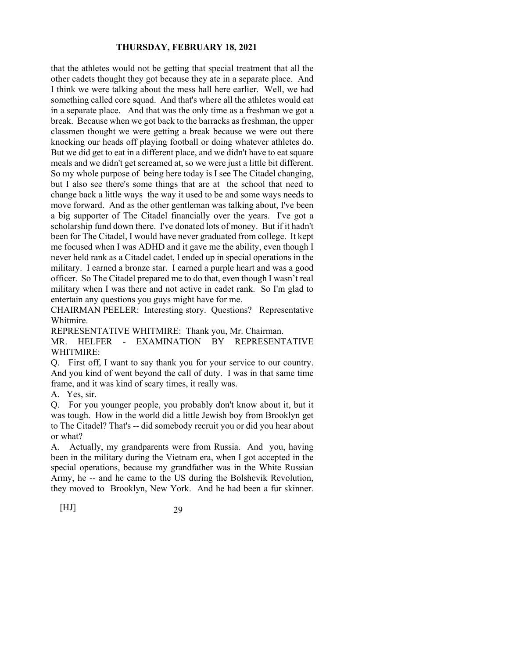that the athletes would not be getting that special treatment that all the other cadets thought they got because they ate in a separate place. And I think we were talking about the mess hall here earlier. Well, we had something called core squad. And that's where all the athletes would eat in a separate place. And that was the only time as a freshman we got a break. Because when we got back to the barracks as freshman, the upper classmen thought we were getting a break because we were out there knocking our heads off playing football or doing whatever athletes do. But we did get to eat in a different place, and we didn't have to eat square meals and we didn't get screamed at, so we were just a little bit different. So my whole purpose of being here today is I see The Citadel changing, but I also see there's some things that are at the school that need to change back a little ways the way it used to be and some ways needs to move forward. And as the other gentleman was talking about, I've been a big supporter of The Citadel financially over the years. I've got a scholarship fund down there. I've donated lots of money. But if it hadn't been for The Citadel, I would have never graduated from college. It kept me focused when I was ADHD and it gave me the ability, even though I never held rank as a Citadel cadet, I ended up in special operations in the military. I earned a bronze star. I earned a purple heart and was a good officer. So The Citadel prepared me to do that, even though I wasn't real military when I was there and not active in cadet rank. So I'm glad to entertain any questions you guys might have for me.

CHAIRMAN PEELER: Interesting story. Questions? Representative Whitmire.

REPRESENTATIVE WHITMIRE: Thank you, Mr. Chairman.

MR. HELFER - EXAMINATION BY REPRESENTATIVE WHITMIRE:

Q. First off, I want to say thank you for your service to our country. And you kind of went beyond the call of duty. I was in that same time frame, and it was kind of scary times, it really was.

A. Yes, sir.

Q. For you younger people, you probably don't know about it, but it was tough. How in the world did a little Jewish boy from Brooklyn get to The Citadel? That's -- did somebody recruit you or did you hear about or what?

A. Actually, my grandparents were from Russia. And you, having been in the military during the Vietnam era, when I got accepted in the special operations, because my grandfather was in the White Russian Army, he -- and he came to the US during the Bolshevik Revolution, they moved to Brooklyn, New York. And he had been a fur skinner.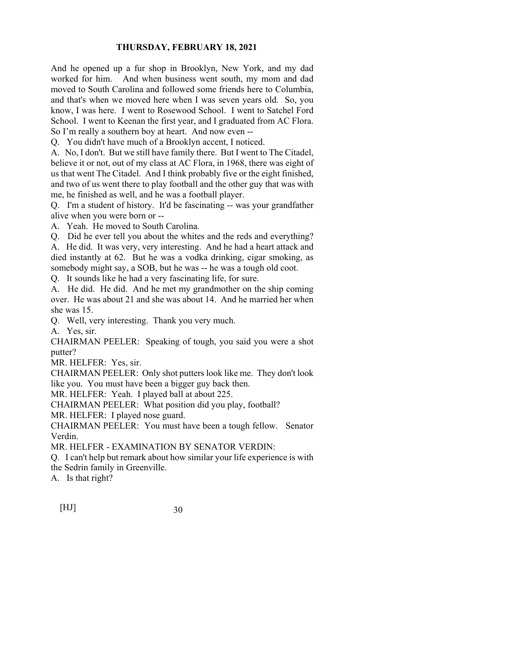And he opened up a fur shop in Brooklyn, New York, and my dad worked for him. And when business went south, my mom and dad moved to South Carolina and followed some friends here to Columbia, and that's when we moved here when I was seven years old. So, you know, I was here. I went to Rosewood School. I went to Satchel Ford School. I went to Keenan the first year, and I graduated from AC Flora. So I'm really a southern boy at heart. And now even --

Q. You didn't have much of a Brooklyn accent, I noticed.

A. No, I don't. But we still have family there. But I went to The Citadel, believe it or not, out of my class at AC Flora, in 1968, there was eight of us that went The Citadel. And I think probably five or the eight finished, and two of us went there to play football and the other guy that was with me, he finished as well, and he was a football player.

Q. I'm a student of history. It'd be fascinating -- was your grandfather alive when you were born or --

A. Yeah. He moved to South Carolina.

Q. Did he ever tell you about the whites and the reds and everything? A. He did. It was very, very interesting. And he had a heart attack and died instantly at 62. But he was a vodka drinking, cigar smoking, as somebody might say, a SOB, but he was -- he was a tough old coot.

Q. It sounds like he had a very fascinating life, for sure.

A. He did. He did. And he met my grandmother on the ship coming over. He was about 21 and she was about 14. And he married her when she was 15.

Q. Well, very interesting. Thank you very much.

A. Yes, sir.

CHAIRMAN PEELER: Speaking of tough, you said you were a shot putter?

MR. HELFER: Yes, sir.

CHAIRMAN PEELER: Only shot putters look like me. They don't look like you. You must have been a bigger guy back then.

MR. HELFER: Yeah. I played ball at about 225.

CHAIRMAN PEELER: What position did you play, football?

MR. HELFER: I played nose guard.

CHAIRMAN PEELER: You must have been a tough fellow. Senator Verdin.

MR. HELFER - EXAMINATION BY SENATOR VERDIN:

Q. I can't help but remark about how similar your life experience is with the Sedrin family in Greenville.

A. Is that right?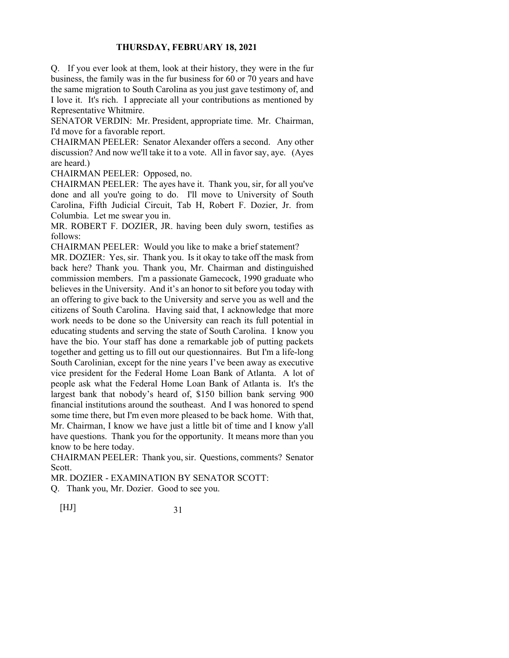Q. If you ever look at them, look at their history, they were in the fur business, the family was in the fur business for 60 or 70 years and have the same migration to South Carolina as you just gave testimony of, and I love it. It's rich. I appreciate all your contributions as mentioned by Representative Whitmire.

SENATOR VERDIN: Mr. President, appropriate time. Mr. Chairman, I'd move for a favorable report.

CHAIRMAN PEELER: Senator Alexander offers a second. Any other discussion? And now we'll take it to a vote. All in favor say, aye. (Ayes are heard.)

CHAIRMAN PEELER: Opposed, no.

CHAIRMAN PEELER: The ayes have it. Thank you, sir, for all you've done and all you're going to do. I'll move to University of South Carolina, Fifth Judicial Circuit, Tab H, Robert F. Dozier, Jr. from Columbia. Let me swear you in.

MR. ROBERT F. DOZIER, JR. having been duly sworn, testifies as follows:

CHAIRMAN PEELER: Would you like to make a brief statement?

MR. DOZIER: Yes, sir. Thank you. Is it okay to take off the mask from back here? Thank you. Thank you, Mr. Chairman and distinguished commission members. I'm a passionate Gamecock, 1990 graduate who believes in the University. And it's an honor to sit before you today with an offering to give back to the University and serve you as well and the citizens of South Carolina. Having said that, I acknowledge that more work needs to be done so the University can reach its full potential in educating students and serving the state of South Carolina. I know you have the bio. Your staff has done a remarkable job of putting packets together and getting us to fill out our questionnaires. But I'm a life-long South Carolinian, except for the nine years I've been away as executive vice president for the Federal Home Loan Bank of Atlanta. A lot of people ask what the Federal Home Loan Bank of Atlanta is. It's the largest bank that nobody's heard of, \$150 billion bank serving 900 financial institutions around the southeast. And I was honored to spend some time there, but I'm even more pleased to be back home. With that, Mr. Chairman, I know we have just a little bit of time and I know y'all have questions. Thank you for the opportunity. It means more than you know to be here today.

CHAIRMAN PEELER: Thank you, sir. Questions, comments? Senator Scott.

MR. DOZIER - EXAMINATION BY SENATOR SCOTT:

Q. Thank you, Mr. Dozier. Good to see you.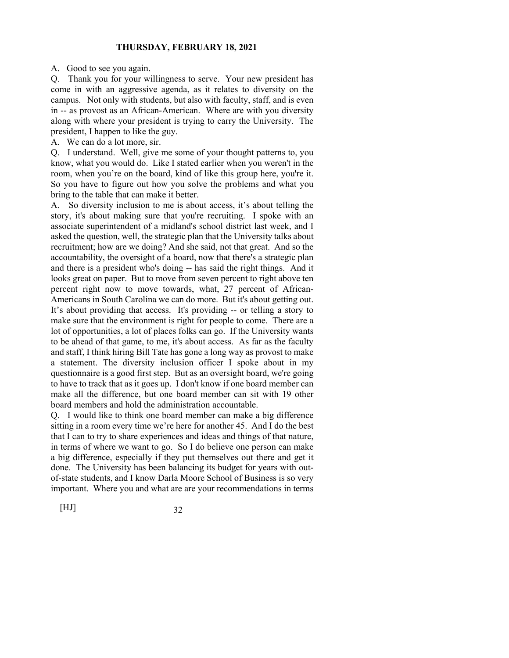A. Good to see you again.

Q. Thank you for your willingness to serve. Your new president has come in with an aggressive agenda, as it relates to diversity on the campus. Not only with students, but also with faculty, staff, and is even in -- as provost as an African-American. Where are with you diversity along with where your president is trying to carry the University. The president, I happen to like the guy.

A. We can do a lot more, sir.

Q. I understand. Well, give me some of your thought patterns to, you know, what you would do. Like I stated earlier when you weren't in the room, when you're on the board, kind of like this group here, you're it. So you have to figure out how you solve the problems and what you bring to the table that can make it better.

A. So diversity inclusion to me is about access, it's about telling the story, it's about making sure that you're recruiting. I spoke with an associate superintendent of a midland's school district last week, and I asked the question, well, the strategic plan that the University talks about recruitment; how are we doing? And she said, not that great. And so the accountability, the oversight of a board, now that there's a strategic plan and there is a president who's doing -- has said the right things. And it looks great on paper. But to move from seven percent to right above ten percent right now to move towards, what, 27 percent of African-Americans in South Carolina we can do more. But it's about getting out. It's about providing that access. It's providing -- or telling a story to make sure that the environment is right for people to come. There are a lot of opportunities, a lot of places folks can go. If the University wants to be ahead of that game, to me, it's about access. As far as the faculty and staff, I think hiring Bill Tate has gone a long way as provost to make a statement. The diversity inclusion officer I spoke about in my questionnaire is a good first step. But as an oversight board, we're going to have to track that as it goes up. I don't know if one board member can make all the difference, but one board member can sit with 19 other board members and hold the administration accountable.

Q. I would like to think one board member can make a big difference sitting in a room every time we're here for another 45. And I do the best that I can to try to share experiences and ideas and things of that nature, in terms of where we want to go. So I do believe one person can make a big difference, especially if they put themselves out there and get it done. The University has been balancing its budget for years with outof-state students, and I know Darla Moore School of Business is so very important. Where you and what are are your recommendations in terms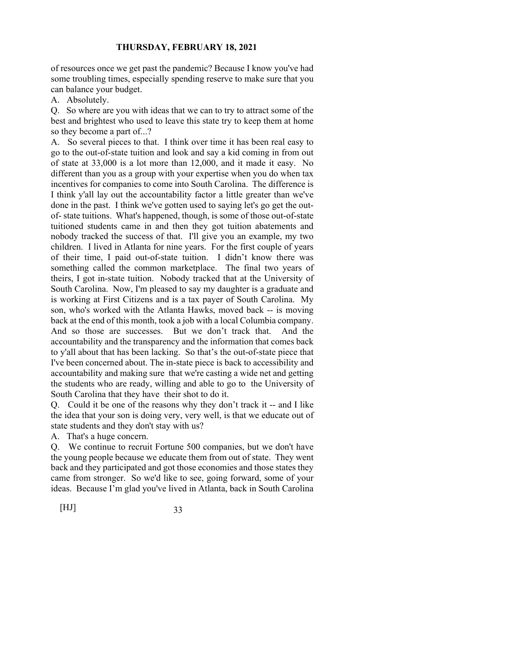of resources once we get past the pandemic? Because I know you've had some troubling times, especially spending reserve to make sure that you can balance your budget.

A. Absolutely.

Q. So where are you with ideas that we can to try to attract some of the best and brightest who used to leave this state try to keep them at home so they become a part of...?

A. So several pieces to that. I think over time it has been real easy to go to the out-of-state tuition and look and say a kid coming in from out of state at 33,000 is a lot more than 12,000, and it made it easy. No different than you as a group with your expertise when you do when tax incentives for companies to come into South Carolina. The difference is I think y'all lay out the accountability factor a little greater than we've done in the past. I think we've gotten used to saying let's go get the outof- state tuitions. What's happened, though, is some of those out-of-state tuitioned students came in and then they got tuition abatements and nobody tracked the success of that. I'll give you an example, my two children. I lived in Atlanta for nine years. For the first couple of years of their time, I paid out-of-state tuition. I didn't know there was something called the common marketplace. The final two years of theirs, I got in-state tuition. Nobody tracked that at the University of South Carolina. Now, I'm pleased to say my daughter is a graduate and is working at First Citizens and is a tax payer of South Carolina. My son, who's worked with the Atlanta Hawks, moved back -- is moving back at the end of this month, took a job with a local Columbia company. And so those are successes. But we don't track that. And the accountability and the transparency and the information that comes back to y'all about that has been lacking. So that's the out-of-state piece that I've been concerned about. The in-state piece is back to accessibility and accountability and making sure that we're casting a wide net and getting the students who are ready, willing and able to go to the University of South Carolina that they have their shot to do it.

Q. Could it be one of the reasons why they don't track it -- and I like the idea that your son is doing very, very well, is that we educate out of state students and they don't stay with us?

A. That's a huge concern.

Q. We continue to recruit Fortune 500 companies, but we don't have the young people because we educate them from out of state. They went back and they participated and got those economies and those states they came from stronger. So we'd like to see, going forward, some of your ideas. Because I'm glad you've lived in Atlanta, back in South Carolina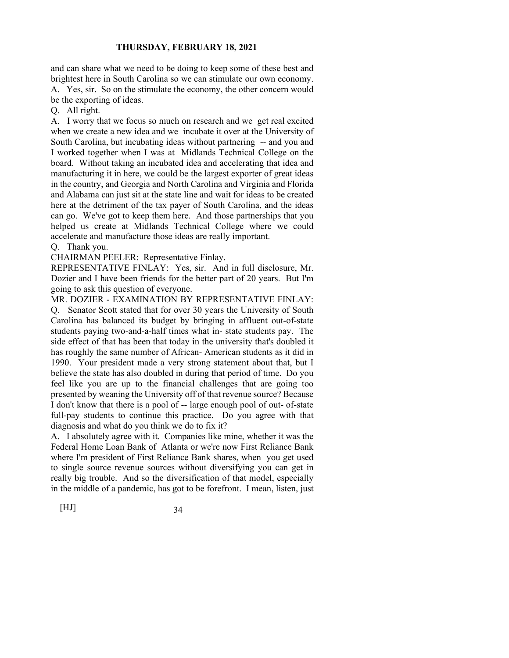and can share what we need to be doing to keep some of these best and brightest here in South Carolina so we can stimulate our own economy. A. Yes, sir. So on the stimulate the economy, the other concern would be the exporting of ideas.

Q. All right.

A. I worry that we focus so much on research and we get real excited when we create a new idea and we incubate it over at the University of South Carolina, but incubating ideas without partnering -- and you and I worked together when I was at Midlands Technical College on the board. Without taking an incubated idea and accelerating that idea and manufacturing it in here, we could be the largest exporter of great ideas in the country, and Georgia and North Carolina and Virginia and Florida and Alabama can just sit at the state line and wait for ideas to be created here at the detriment of the tax payer of South Carolina, and the ideas can go. We've got to keep them here. And those partnerships that you helped us create at Midlands Technical College where we could accelerate and manufacture those ideas are really important.

#### Q. Thank you.

CHAIRMAN PEELER: Representative Finlay.

REPRESENTATIVE FINLAY: Yes, sir. And in full disclosure, Mr. Dozier and I have been friends for the better part of 20 years. But I'm going to ask this question of everyone.

MR. DOZIER - EXAMINATION BY REPRESENTATIVE FINLAY: Q. Senator Scott stated that for over 30 years the University of South Carolina has balanced its budget by bringing in affluent out-of-state students paying two-and-a-half times what in- state students pay. The side effect of that has been that today in the university that's doubled it has roughly the same number of African- American students as it did in 1990. Your president made a very strong statement about that, but I believe the state has also doubled in during that period of time. Do you feel like you are up to the financial challenges that are going too presented by weaning the University off of that revenue source? Because I don't know that there is a pool of -- large enough pool of out- of-state full-pay students to continue this practice. Do you agree with that diagnosis and what do you think we do to fix it?

A. I absolutely agree with it. Companies like mine, whether it was the Federal Home Loan Bank of Atlanta or we're now First Reliance Bank where I'm president of First Reliance Bank shares, when you get used to single source revenue sources without diversifying you can get in really big trouble. And so the diversification of that model, especially in the middle of a pandemic, has got to be forefront. I mean, listen, just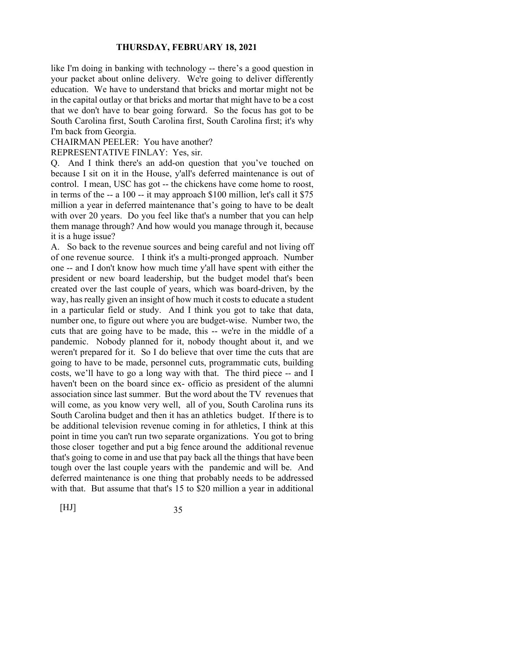like I'm doing in banking with technology -- there's a good question in your packet about online delivery. We're going to deliver differently education. We have to understand that bricks and mortar might not be in the capital outlay or that bricks and mortar that might have to be a cost that we don't have to bear going forward. So the focus has got to be South Carolina first, South Carolina first, South Carolina first; it's why I'm back from Georgia.

#### CHAIRMAN PEELER: You have another?

REPRESENTATIVE FINLAY: Yes, sir.

Q. And I think there's an add-on question that you've touched on because I sit on it in the House, y'all's deferred maintenance is out of control. I mean, USC has got -- the chickens have come home to roost, in terms of the -- a 100 -- it may approach \$100 million, let's call it \$75 million a year in deferred maintenance that's going to have to be dealt with over 20 years. Do you feel like that's a number that you can help them manage through? And how would you manage through it, because it is a huge issue?

A. So back to the revenue sources and being careful and not living off of one revenue source. I think it's a multi-pronged approach. Number one -- and I don't know how much time y'all have spent with either the president or new board leadership, but the budget model that's been created over the last couple of years, which was board-driven, by the way, has really given an insight of how much it costs to educate a student in a particular field or study. And I think you got to take that data, number one, to figure out where you are budget-wise. Number two, the cuts that are going have to be made, this -- we're in the middle of a pandemic. Nobody planned for it, nobody thought about it, and we weren't prepared for it. So I do believe that over time the cuts that are going to have to be made, personnel cuts, programmatic cuts, building costs, we'll have to go a long way with that. The third piece -- and I haven't been on the board since ex- officio as president of the alumni association since last summer. But the word about the TV revenues that will come, as you know very well, all of you, South Carolina runs its South Carolina budget and then it has an athletics budget. If there is to be additional television revenue coming in for athletics, I think at this point in time you can't run two separate organizations. You got to bring those closer together and put a big fence around the additional revenue that's going to come in and use that pay back all the things that have been tough over the last couple years with the pandemic and will be. And deferred maintenance is one thing that probably needs to be addressed with that. But assume that that's 15 to \$20 million a year in additional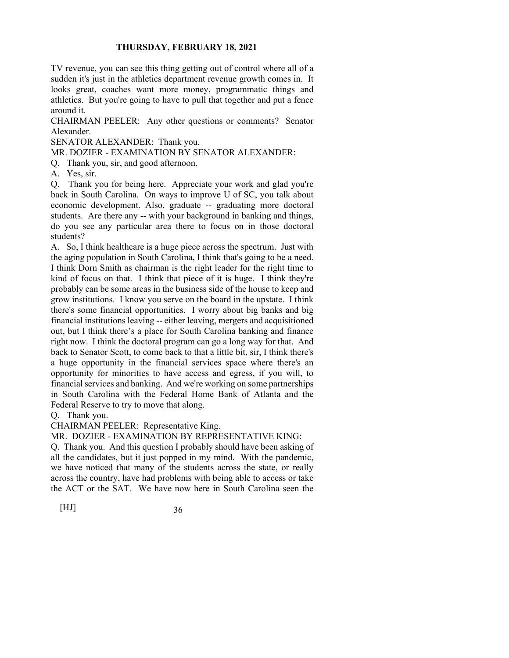TV revenue, you can see this thing getting out of control where all of a sudden it's just in the athletics department revenue growth comes in. It looks great, coaches want more money, programmatic things and athletics. But you're going to have to pull that together and put a fence around it.

CHAIRMAN PEELER: Any other questions or comments? Senator Alexander.

SENATOR ALEXANDER: Thank you.

MR. DOZIER - EXAMINATION BY SENATOR ALEXANDER:

Q. Thank you, sir, and good afternoon.

A. Yes, sir.

Q. Thank you for being here. Appreciate your work and glad you're back in South Carolina. On ways to improve U of SC, you talk about economic development. Also, graduate -- graduating more doctoral students. Are there any -- with your background in banking and things, do you see any particular area there to focus on in those doctoral students?

A. So, I think healthcare is a huge piece across the spectrum. Just with the aging population in South Carolina, I think that's going to be a need. I think Dorn Smith as chairman is the right leader for the right time to kind of focus on that. I think that piece of it is huge. I think they're probably can be some areas in the business side of the house to keep and grow institutions. I know you serve on the board in the upstate. I think there's some financial opportunities. I worry about big banks and big financial institutions leaving -- either leaving, mergers and acquisitioned out, but I think there's a place for South Carolina banking and finance right now. I think the doctoral program can go a long way for that. And back to Senator Scott, to come back to that a little bit, sir, I think there's a huge opportunity in the financial services space where there's an opportunity for minorities to have access and egress, if you will, to financial services and banking. And we're working on some partnerships in South Carolina with the Federal Home Bank of Atlanta and the Federal Reserve to try to move that along.

Q. Thank you.

CHAIRMAN PEELER: Representative King.

MR. DOZIER - EXAMINATION BY REPRESENTATIVE KING:

Q. Thank you. And this question I probably should have been asking of all the candidates, but it just popped in my mind. With the pandemic, we have noticed that many of the students across the state, or really across the country, have had problems with being able to access or take the ACT or the SAT. We have now here in South Carolina seen the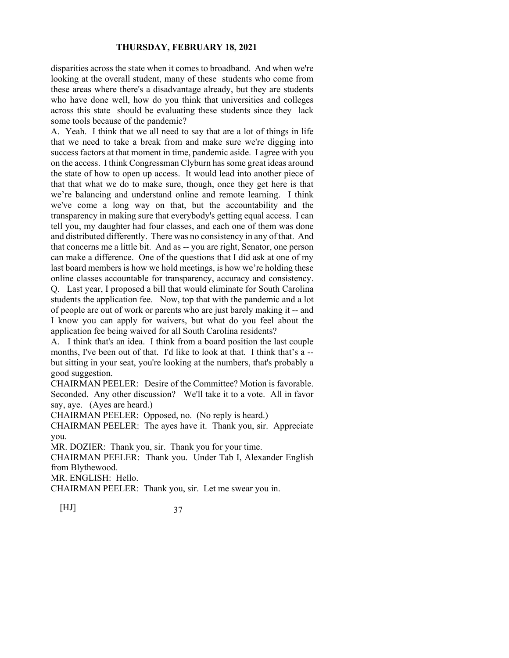disparities across the state when it comes to broadband. And when we're looking at the overall student, many of these students who come from these areas where there's a disadvantage already, but they are students who have done well, how do you think that universities and colleges across this state should be evaluating these students since they lack some tools because of the pandemic?

A. Yeah. I think that we all need to say that are a lot of things in life that we need to take a break from and make sure we're digging into success factors at that moment in time, pandemic aside. I agree with you on the access. I think Congressman Clyburn has some great ideas around the state of how to open up access. It would lead into another piece of that that what we do to make sure, though, once they get here is that we're balancing and understand online and remote learning. I think we've come a long way on that, but the accountability and the transparency in making sure that everybody's getting equal access. I can tell you, my daughter had four classes, and each one of them was done and distributed differently. There was no consistency in any of that. And that concerns me a little bit. And as -- you are right, Senator, one person can make a difference. One of the questions that I did ask at one of my last board members is how we hold meetings, is how we're holding these online classes accountable for transparency, accuracy and consistency. Q. Last year, I proposed a bill that would eliminate for South Carolina students the application fee. Now, top that with the pandemic and a lot of people are out of work or parents who are just barely making it -- and I know you can apply for waivers, but what do you feel about the application fee being waived for all South Carolina residents?

A. I think that's an idea. I think from a board position the last couple months, I've been out of that. I'd like to look at that. I think that's a - but sitting in your seat, you're looking at the numbers, that's probably a good suggestion.

CHAIRMAN PEELER: Desire of the Committee? Motion is favorable. Seconded. Any other discussion? We'll take it to a vote. All in favor say, aye. (Ayes are heard.)

CHAIRMAN PEELER: Opposed, no. (No reply is heard.)

CHAIRMAN PEELER: The ayes have it. Thank you, sir. Appreciate you.

MR. DOZIER: Thank you, sir. Thank you for your time.

CHAIRMAN PEELER: Thank you. Under Tab I, Alexander English from Blythewood.

MR. ENGLISH: Hello.

CHAIRMAN PEELER: Thank you, sir. Let me swear you in.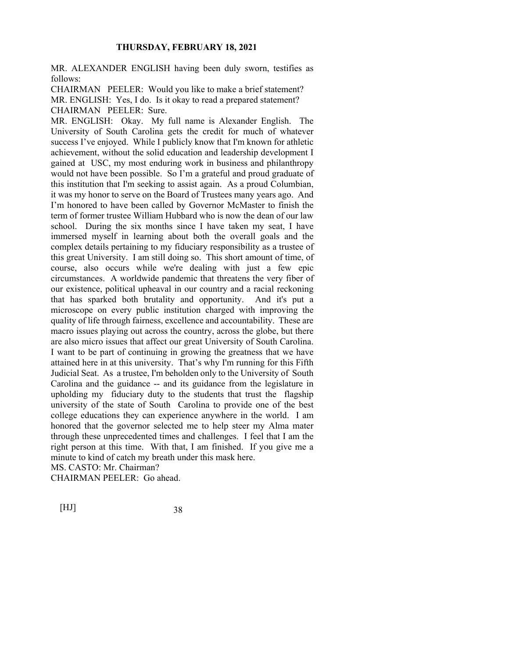MR. ALEXANDER ENGLISH having been duly sworn, testifies as follows:

CHAIRMAN PEELER: Would you like to make a brief statement? MR. ENGLISH: Yes, I do. Is it okay to read a prepared statement? CHAIRMAN PEELER: Sure.

MR. ENGLISH: Okay. My full name is Alexander English. The University of South Carolina gets the credit for much of whatever success I've enjoyed. While I publicly know that I'm known for athletic achievement, without the solid education and leadership development I gained at USC, my most enduring work in business and philanthropy would not have been possible. So I'm a grateful and proud graduate of this institution that I'm seeking to assist again. As a proud Columbian, it was my honor to serve on the Board of Trustees many years ago. And I'm honored to have been called by Governor McMaster to finish the term of former trustee William Hubbard who is now the dean of our law school. During the six months since I have taken my seat, I have immersed myself in learning about both the overall goals and the complex details pertaining to my fiduciary responsibility as a trustee of this great University. I am still doing so. This short amount of time, of course, also occurs while we're dealing with just a few epic circumstances. A worldwide pandemic that threatens the very fiber of our existence, political upheaval in our country and a racial reckoning that has sparked both brutality and opportunity. And it's put a microscope on every public institution charged with improving the quality of life through fairness, excellence and accountability. These are macro issues playing out across the country, across the globe, but there are also micro issues that affect our great University of South Carolina. I want to be part of continuing in growing the greatness that we have attained here in at this university. That's why I'm running for this Fifth Judicial Seat. As a trustee, I'm beholden only to the University of South Carolina and the guidance -- and its guidance from the legislature in upholding my fiduciary duty to the students that trust the flagship university of the state of South Carolina to provide one of the best college educations they can experience anywhere in the world. I am honored that the governor selected me to help steer my Alma mater through these unprecedented times and challenges. I feel that I am the right person at this time. With that, I am finished. If you give me a minute to kind of catch my breath under this mask here.

MS. CASTO: Mr. Chairman?

CHAIRMAN PEELER: Go ahead.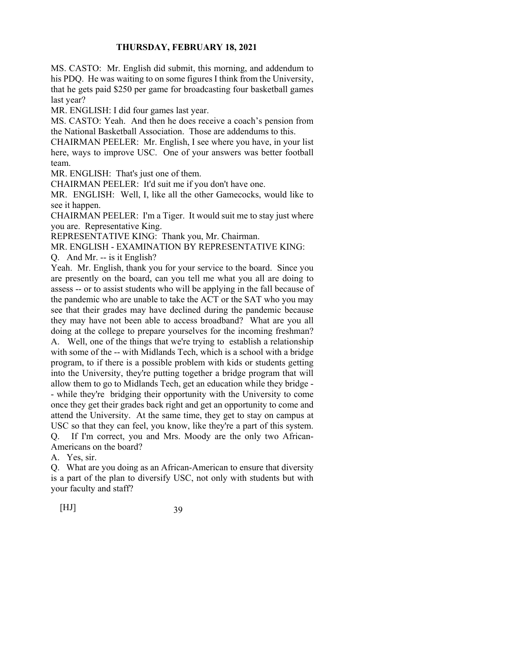MS. CASTO: Mr. English did submit, this morning, and addendum to his PDQ. He was waiting to on some figures I think from the University, that he gets paid \$250 per game for broadcasting four basketball games last year?

MR. ENGLISH: I did four games last year.

MS. CASTO: Yeah. And then he does receive a coach's pension from the National Basketball Association. Those are addendums to this.

CHAIRMAN PEELER: Mr. English, I see where you have, in your list here, ways to improve USC. One of your answers was better football team.

MR. ENGLISH: That's just one of them.

CHAIRMAN PEELER: It'd suit me if you don't have one.

MR. ENGLISH: Well, I, like all the other Gamecocks, would like to see it happen.

CHAIRMAN PEELER: I'm a Tiger. It would suit me to stay just where you are. Representative King.

REPRESENTATIVE KING: Thank you, Mr. Chairman.

MR. ENGLISH - EXAMINATION BY REPRESENTATIVE KING:

Q. And Mr. -- is it English?

Yeah. Mr. English, thank you for your service to the board. Since you are presently on the board, can you tell me what you all are doing to assess -- or to assist students who will be applying in the fall because of the pandemic who are unable to take the ACT or the SAT who you may see that their grades may have declined during the pandemic because they may have not been able to access broadband? What are you all doing at the college to prepare yourselves for the incoming freshman? A. Well, one of the things that we're trying to establish a relationship with some of the -- with Midlands Tech, which is a school with a bridge program, to if there is a possible problem with kids or students getting into the University, they're putting together a bridge program that will allow them to go to Midlands Tech, get an education while they bridge - - while they're bridging their opportunity with the University to come

once they get their grades back right and get an opportunity to come and attend the University. At the same time, they get to stay on campus at USC so that they can feel, you know, like they're a part of this system. Q. If I'm correct, you and Mrs. Moody are the only two African-Americans on the board?

A. Yes, sir.

Q. What are you doing as an African-American to ensure that diversity is a part of the plan to diversify USC, not only with students but with your faculty and staff?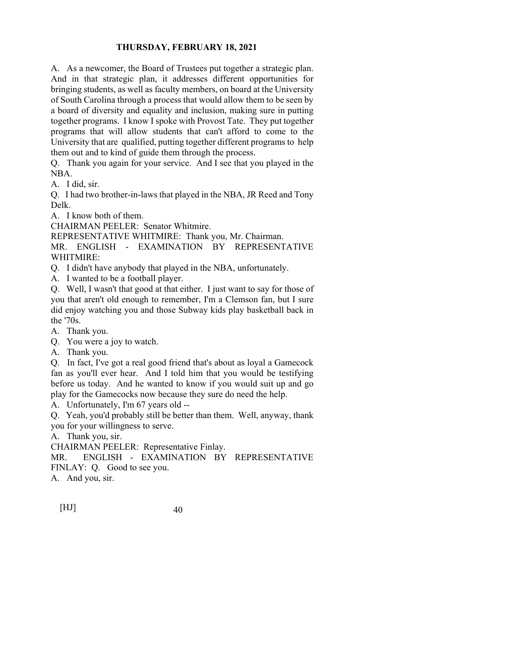A. As a newcomer, the Board of Trustees put together a strategic plan. And in that strategic plan, it addresses different opportunities for bringing students, as well as faculty members, on board at the University of South Carolina through a process that would allow them to be seen by a board of diversity and equality and inclusion, making sure in putting together programs. I know I spoke with Provost Tate. They put together programs that will allow students that can't afford to come to the University that are qualified, putting together different programs to help them out and to kind of guide them through the process.

Q. Thank you again for your service. And I see that you played in the NBA.

A. I did, sir.

Q. I had two brother-in-laws that played in the NBA, JR Reed and Tony Delk.

A. I know both of them.

CHAIRMAN PEELER: Senator Whitmire.

REPRESENTATIVE WHITMIRE: Thank you, Mr. Chairman.

MR. ENGLISH - EXAMINATION BY REPRESENTATIVE WHITMIRE:

Q. I didn't have anybody that played in the NBA, unfortunately.

A. I wanted to be a football player.

Q. Well, I wasn't that good at that either. I just want to say for those of you that aren't old enough to remember, I'm a Clemson fan, but I sure did enjoy watching you and those Subway kids play basketball back in the '70s.

A. Thank you.

Q. You were a joy to watch.

A. Thank you.

Q. In fact, I've got a real good friend that's about as loyal a Gamecock fan as you'll ever hear. And I told him that you would be testifying before us today. And he wanted to know if you would suit up and go play for the Gamecocks now because they sure do need the help.

A. Unfortunately, I'm 67 years old --

Q. Yeah, you'd probably still be better than them. Well, anyway, thank you for your willingness to serve.

A. Thank you, sir.

CHAIRMAN PEELER: Representative Finlay.

MR. ENGLISH - EXAMINATION BY REPRESENTATIVE

FINLAY: Q. Good to see you.

A. And you, sir.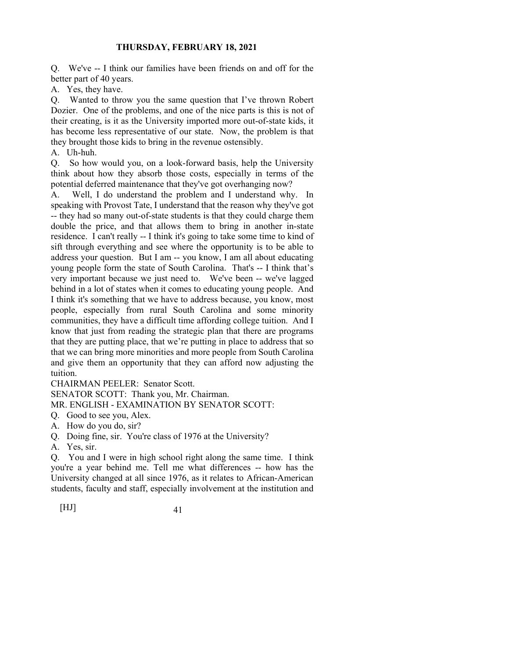Q. We've -- I think our families have been friends on and off for the better part of 40 years.

A. Yes, they have.

Q. Wanted to throw you the same question that I've thrown Robert Dozier. One of the problems, and one of the nice parts is this is not of their creating, is it as the University imported more out-of-state kids, it has become less representative of our state. Now, the problem is that they brought those kids to bring in the revenue ostensibly.

A. Uh-huh.

Q. So how would you, on a look-forward basis, help the University think about how they absorb those costs, especially in terms of the potential deferred maintenance that they've got overhanging now?

A. Well, I do understand the problem and I understand why. In speaking with Provost Tate, I understand that the reason why they've got -- they had so many out-of-state students is that they could charge them double the price, and that allows them to bring in another in-state residence. I can't really -- I think it's going to take some time to kind of sift through everything and see where the opportunity is to be able to address your question. But I am -- you know, I am all about educating young people form the state of South Carolina. That's -- I think that's very important because we just need to. We've been -- we've lagged behind in a lot of states when it comes to educating young people. And I think it's something that we have to address because, you know, most people, especially from rural South Carolina and some minority communities, they have a difficult time affording college tuition. And I know that just from reading the strategic plan that there are programs that they are putting place, that we're putting in place to address that so that we can bring more minorities and more people from South Carolina and give them an opportunity that they can afford now adjusting the tuition.

CHAIRMAN PEELER: Senator Scott.

SENATOR SCOTT: Thank you, Mr. Chairman.

MR. ENGLISH - EXAMINATION BY SENATOR SCOTT:

Q. Good to see you, Alex.

A. How do you do, sir?

Q. Doing fine, sir. You're class of 1976 at the University?

A. Yes, sir.

Q. You and I were in high school right along the same time. I think you're a year behind me. Tell me what differences -- how has the University changed at all since 1976, as it relates to African-American students, faculty and staff, especially involvement at the institution and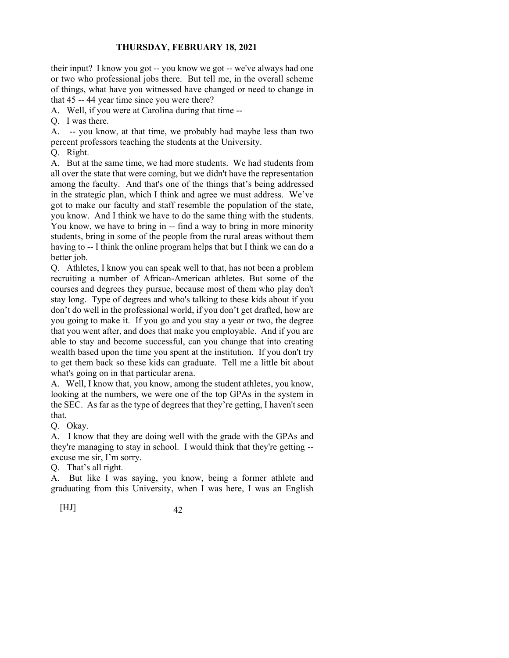their input? I know you got -- you know we got -- we've always had one or two who professional jobs there. But tell me, in the overall scheme of things, what have you witnessed have changed or need to change in that 45 -- 44 year time since you were there?

A. Well, if you were at Carolina during that time --

Q. I was there.

A. -- you know, at that time, we probably had maybe less than two percent professors teaching the students at the University.

Q. Right.

A. But at the same time, we had more students. We had students from all over the state that were coming, but we didn't have the representation among the faculty. And that's one of the things that's being addressed in the strategic plan, which I think and agree we must address. We've got to make our faculty and staff resemble the population of the state, you know. And I think we have to do the same thing with the students. You know, we have to bring in -- find a way to bring in more minority students, bring in some of the people from the rural areas without them having to -- I think the online program helps that but I think we can do a better job.

Q. Athletes, I know you can speak well to that, has not been a problem recruiting a number of African-American athletes. But some of the courses and degrees they pursue, because most of them who play don't stay long. Type of degrees and who's talking to these kids about if you don't do well in the professional world, if you don't get drafted, how are you going to make it. If you go and you stay a year or two, the degree that you went after, and does that make you employable. And if you are able to stay and become successful, can you change that into creating wealth based upon the time you spent at the institution. If you don't try to get them back so these kids can graduate. Tell me a little bit about what's going on in that particular arena.

A. Well, I know that, you know, among the student athletes, you know, looking at the numbers, we were one of the top GPAs in the system in the SEC. As far as the type of degrees that they're getting, I haven't seen that.

Q. Okay.

A. I know that they are doing well with the grade with the GPAs and they're managing to stay in school. I would think that they're getting - excuse me sir, I'm sorry.

Q. That's all right.

A. But like I was saying, you know, being a former athlete and graduating from this University, when I was here, I was an English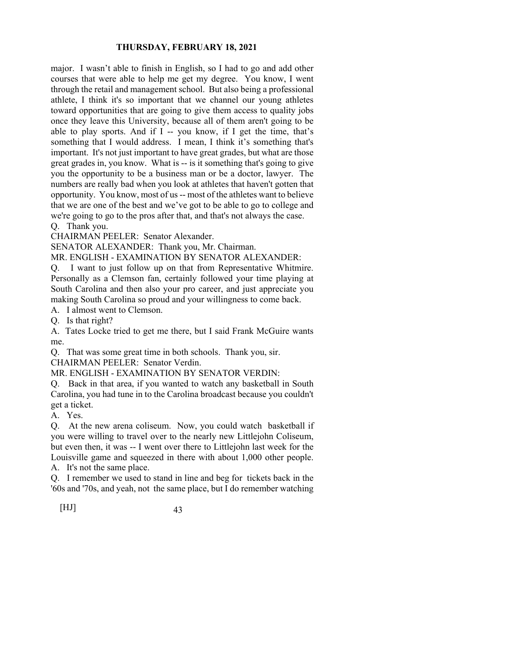major. I wasn't able to finish in English, so I had to go and add other courses that were able to help me get my degree. You know, I went through the retail and management school. But also being a professional athlete, I think it's so important that we channel our young athletes toward opportunities that are going to give them access to quality jobs once they leave this University, because all of them aren't going to be able to play sports. And if I -- you know, if I get the time, that's something that I would address. I mean, I think it's something that's important. It's not just important to have great grades, but what are those great grades in, you know. What is -- is it something that's going to give you the opportunity to be a business man or be a doctor, lawyer. The numbers are really bad when you look at athletes that haven't gotten that opportunity. You know, most of us -- most of the athletes want to believe that we are one of the best and we've got to be able to go to college and we're going to go to the pros after that, and that's not always the case.

Q. Thank you.

CHAIRMAN PEELER: Senator Alexander.

SENATOR ALEXANDER: Thank you, Mr. Chairman.

MR. ENGLISH - EXAMINATION BY SENATOR ALEXANDER:

Q. I want to just follow up on that from Representative Whitmire. Personally as a Clemson fan, certainly followed your time playing at South Carolina and then also your pro career, and just appreciate you making South Carolina so proud and your willingness to come back.

A. I almost went to Clemson.

Q. Is that right?

A. Tates Locke tried to get me there, but I said Frank McGuire wants me.

Q. That was some great time in both schools. Thank you, sir.

CHAIRMAN PEELER: Senator Verdin.

MR. ENGLISH - EXAMINATION BY SENATOR VERDIN:

Q. Back in that area, if you wanted to watch any basketball in South Carolina, you had tune in to the Carolina broadcast because you couldn't get a ticket.

A. Yes.

Q. At the new arena coliseum. Now, you could watch basketball if you were willing to travel over to the nearly new Littlejohn Coliseum, but even then, it was -- I went over there to Littlejohn last week for the Louisville game and squeezed in there with about 1,000 other people. A. It's not the same place.

Q. I remember we used to stand in line and beg for tickets back in the '60s and '70s, and yeah, not the same place, but I do remember watching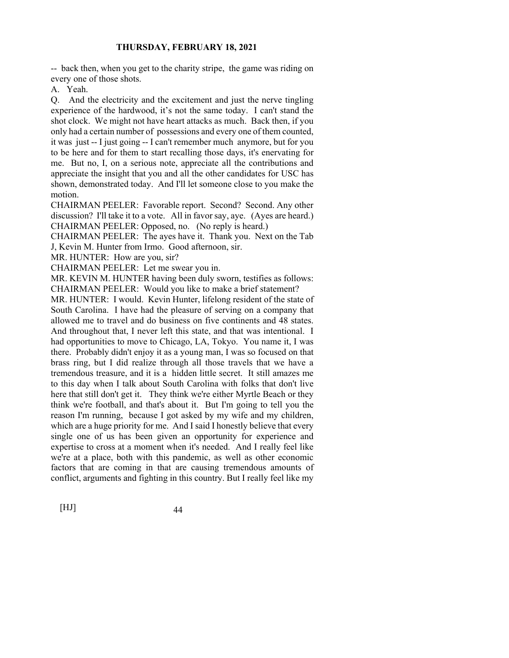-- back then, when you get to the charity stripe, the game was riding on every one of those shots.

A. Yeah.

Q. And the electricity and the excitement and just the nerve tingling experience of the hardwood, it's not the same today. I can't stand the shot clock. We might not have heart attacks as much. Back then, if you only had a certain number of possessions and every one of them counted, it was just -- I just going -- I can't remember much anymore, but for you to be here and for them to start recalling those days, it's enervating for me. But no, I, on a serious note, appreciate all the contributions and appreciate the insight that you and all the other candidates for USC has shown, demonstrated today. And I'll let someone close to you make the motion.

CHAIRMAN PEELER: Favorable report. Second? Second. Any other discussion? I'll take it to a vote. All in favor say, aye. (Ayes are heard.) CHAIRMAN PEELER: Opposed, no. (No reply is heard.)

CHAIRMAN PEELER: The ayes have it. Thank you. Next on the Tab J, Kevin M. Hunter from Irmo. Good afternoon, sir.

MR. HUNTER: How are you, sir?

CHAIRMAN PEELER: Let me swear you in.

MR. KEVIN M. HUNTER having been duly sworn, testifies as follows: CHAIRMAN PEELER: Would you like to make a brief statement?

MR. HUNTER: I would. Kevin Hunter, lifelong resident of the state of South Carolina. I have had the pleasure of serving on a company that allowed me to travel and do business on five continents and 48 states. And throughout that, I never left this state, and that was intentional. I had opportunities to move to Chicago, LA, Tokyo. You name it, I was there. Probably didn't enjoy it as a young man, I was so focused on that brass ring, but I did realize through all those travels that we have a tremendous treasure, and it is a hidden little secret. It still amazes me to this day when I talk about South Carolina with folks that don't live here that still don't get it. They think we're either Myrtle Beach or they think we're football, and that's about it. But I'm going to tell you the reason I'm running, because I got asked by my wife and my children, which are a huge priority for me. And I said I honestly believe that every single one of us has been given an opportunity for experience and expertise to cross at a moment when it's needed. And I really feel like we're at a place, both with this pandemic, as well as other economic factors that are coming in that are causing tremendous amounts of conflict, arguments and fighting in this country. But I really feel like my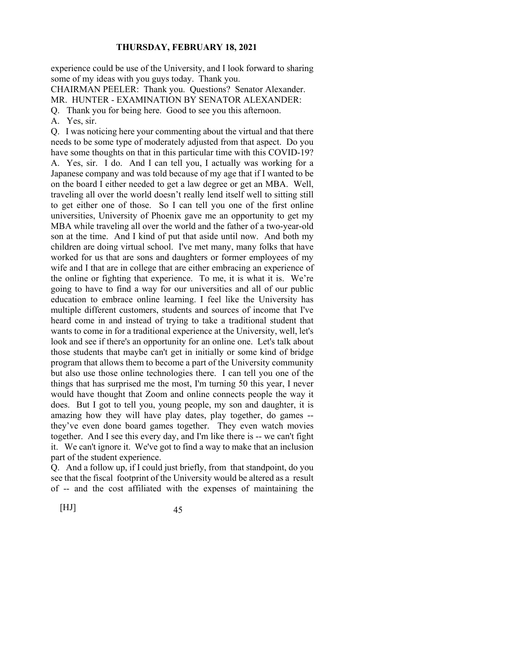experience could be use of the University, and I look forward to sharing some of my ideas with you guys today. Thank you.

CHAIRMAN PEELER: Thank you. Questions? Senator Alexander.

MR. HUNTER - EXAMINATION BY SENATOR ALEXANDER:

Q. Thank you for being here. Good to see you this afternoon.

A. Yes, sir.

Q. I was noticing here your commenting about the virtual and that there needs to be some type of moderately adjusted from that aspect. Do you have some thoughts on that in this particular time with this COVID-19? A. Yes, sir. I do. And I can tell you, I actually was working for a Japanese company and was told because of my age that if I wanted to be on the board I either needed to get a law degree or get an MBA. Well, traveling all over the world doesn't really lend itself well to sitting still to get either one of those. So I can tell you one of the first online universities, University of Phoenix gave me an opportunity to get my MBA while traveling all over the world and the father of a two-year-old son at the time. And I kind of put that aside until now. And both my children are doing virtual school. I've met many, many folks that have worked for us that are sons and daughters or former employees of my wife and I that are in college that are either embracing an experience of the online or fighting that experience. To me, it is what it is. We're going to have to find a way for our universities and all of our public education to embrace online learning. I feel like the University has multiple different customers, students and sources of income that I've heard come in and instead of trying to take a traditional student that wants to come in for a traditional experience at the University, well, let's look and see if there's an opportunity for an online one. Let's talk about those students that maybe can't get in initially or some kind of bridge program that allows them to become a part of the University community but also use those online technologies there. I can tell you one of the things that has surprised me the most, I'm turning 50 this year, I never would have thought that Zoom and online connects people the way it does. But I got to tell you, young people, my son and daughter, it is amazing how they will have play dates, play together, do games - they've even done board games together. They even watch movies together. And I see this every day, and I'm like there is -- we can't fight it. We can't ignore it. We've got to find a way to make that an inclusion part of the student experience.

Q. And a follow up, if I could just briefly, from that standpoint, do you see that the fiscal footprint of the University would be altered as a result of -- and the cost affiliated with the expenses of maintaining the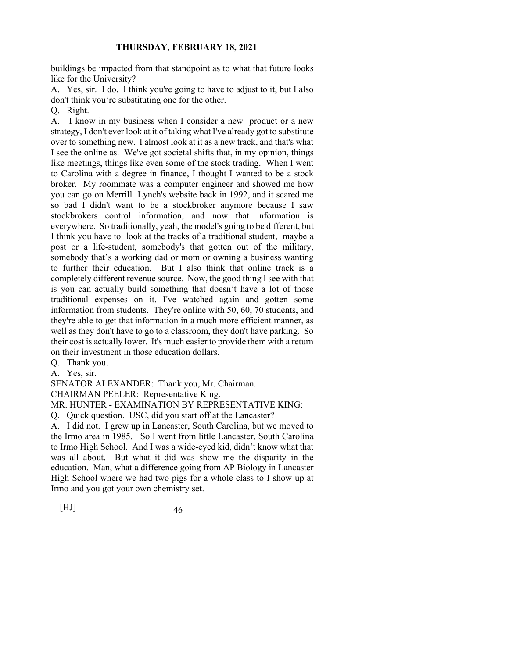buildings be impacted from that standpoint as to what that future looks like for the University?

A. Yes, sir. I do. I think you're going to have to adjust to it, but I also don't think you're substituting one for the other.

Q. Right.

A. I know in my business when I consider a new product or a new strategy, I don't ever look at it of taking what I've already got to substitute over to something new. I almost look at it as a new track, and that's what I see the online as. We've got societal shifts that, in my opinion, things like meetings, things like even some of the stock trading. When I went to Carolina with a degree in finance, I thought I wanted to be a stock broker. My roommate was a computer engineer and showed me how you can go on Merrill Lynch's website back in 1992, and it scared me so bad I didn't want to be a stockbroker anymore because I saw stockbrokers control information, and now that information is everywhere. So traditionally, yeah, the model's going to be different, but I think you have to look at the tracks of a traditional student, maybe a post or a life-student, somebody's that gotten out of the military, somebody that's a working dad or mom or owning a business wanting to further their education. But I also think that online track is a completely different revenue source. Now, the good thing I see with that is you can actually build something that doesn't have a lot of those traditional expenses on it. I've watched again and gotten some information from students. They're online with 50, 60, 70 students, and they're able to get that information in a much more efficient manner, as well as they don't have to go to a classroom, they don't have parking. So their cost is actually lower. It's much easier to provide them with a return on their investment in those education dollars.

Q. Thank you.

A. Yes, sir.

SENATOR ALEXANDER: Thank you, Mr. Chairman.

CHAIRMAN PEELER: Representative King.

MR. HUNTER - EXAMINATION BY REPRESENTATIVE KING:

Q. Quick question. USC, did you start off at the Lancaster?

A. I did not. I grew up in Lancaster, South Carolina, but we moved to the Irmo area in 1985. So I went from little Lancaster, South Carolina to Irmo High School. And I was a wide-eyed kid, didn't know what that was all about. But what it did was show me the disparity in the education. Man, what a difference going from AP Biology in Lancaster High School where we had two pigs for a whole class to I show up at Irmo and you got your own chemistry set.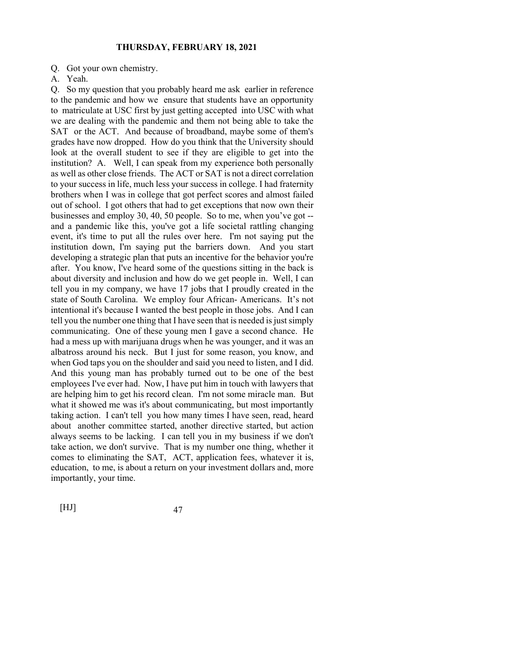Q. Got your own chemistry.

A. Yeah.

Q. So my question that you probably heard me ask earlier in reference to the pandemic and how we ensure that students have an opportunity to matriculate at USC first by just getting accepted into USC with what we are dealing with the pandemic and them not being able to take the SAT or the ACT. And because of broadband, maybe some of them's grades have now dropped. How do you think that the University should look at the overall student to see if they are eligible to get into the institution? A. Well, I can speak from my experience both personally as well as other close friends. The ACT or SAT is not a direct correlation to your success in life, much less your success in college. I had fraternity brothers when I was in college that got perfect scores and almost failed out of school. I got others that had to get exceptions that now own their businesses and employ 30, 40, 50 people. So to me, when you've got - and a pandemic like this, you've got a life societal rattling changing event, it's time to put all the rules over here. I'm not saying put the institution down, I'm saying put the barriers down. And you start developing a strategic plan that puts an incentive for the behavior you're after. You know, I've heard some of the questions sitting in the back is about diversity and inclusion and how do we get people in. Well, I can tell you in my company, we have 17 jobs that I proudly created in the state of South Carolina. We employ four African- Americans. It's not intentional it's because I wanted the best people in those jobs. And I can tell you the number one thing that I have seen that is needed is just simply communicating. One of these young men I gave a second chance. He had a mess up with marijuana drugs when he was younger, and it was an albatross around his neck. But I just for some reason, you know, and when God taps you on the shoulder and said you need to listen, and I did. And this young man has probably turned out to be one of the best employees I've ever had. Now, I have put him in touch with lawyers that are helping him to get his record clean. I'm not some miracle man. But what it showed me was it's about communicating, but most importantly taking action. I can't tell you how many times I have seen, read, heard about another committee started, another directive started, but action always seems to be lacking. I can tell you in my business if we don't take action, we don't survive. That is my number one thing, whether it comes to eliminating the SAT, ACT, application fees, whatever it is, education, to me, is about a return on your investment dollars and, more importantly, your time.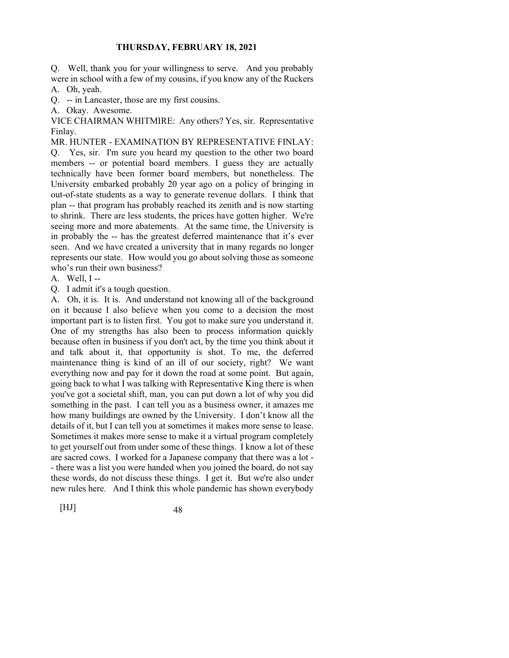Q. Well, thank you for your willingness to serve. And you probably were in school with a few of my cousins, if you know any of the Ruckers

A. Oh, yeah.

Q. -- in Lancaster, those are my first cousins.

A. Okay. Awesome.

VICE CHAIRMAN WHITMIRE: Any others? Yes, sir. Representative Finlay.

MR. HUNTER - EXAMINATION BY REPRESENTATIVE FINLAY: Q. Yes, sir. I'm sure you heard my question to the other two board members -- or potential board members. I guess they are actually technically have been former board members, but nonetheless. The University embarked probably 20 year ago on a policy of bringing in out-of-state students as a way to generate revenue dollars. I think that plan -- that program has probably reached its zenith and is now starting to shrink. There are less students, the prices have gotten higher. We're seeing more and more abatements. At the same time, the University is in probably the -- has the greatest deferred maintenance that it's ever seen. And we have created a university that in many regards no longer represents our state. How would you go about solving those as someone who's run their own business?

A. Well, I --

Q. I admit it's a tough question.

A. Oh, it is. It is. And understand not knowing all of the background on it because I also believe when you come to a decision the most important part is to listen first. You got to make sure you understand it. One of my strengths has also been to process information quickly because often in business if you don't act, by the time you think about it and talk about it, that opportunity is shot. To me, the deferred maintenance thing is kind of an ill of our society, right? We want everything now and pay for it down the road at some point. But again, going back to what I was talking with Representative King there is when you've got a societal shift, man, you can put down a lot of why you did something in the past. I can tell you as a business owner, it amazes me how many buildings are owned by the University. I don't know all the details of it, but I can tell you at sometimes it makes more sense to lease. Sometimes it makes more sense to make it a virtual program completely to get yourself out from under some of these things. I know a lot of these are sacred cows. I worked for a Japanese company that there was a lot - - there was a list you were handed when you joined the board, do not say these words, do not discuss these things. I get it. But we're also under new rules here. And I think this whole pandemic has shown everybody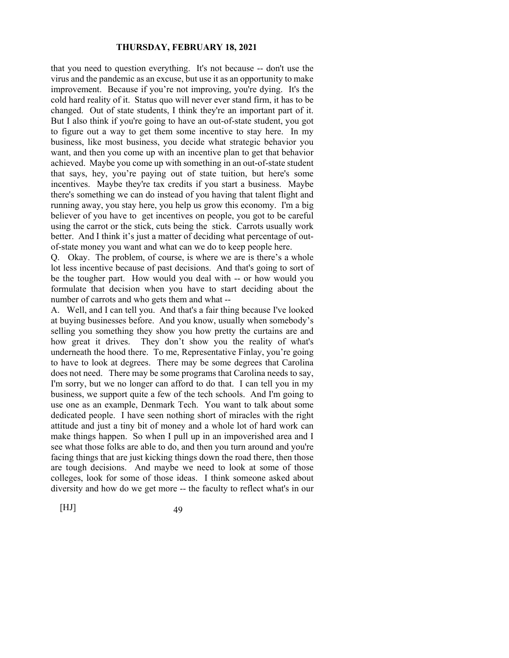that you need to question everything. It's not because -- don't use the virus and the pandemic as an excuse, but use it as an opportunity to make improvement. Because if you're not improving, you're dying. It's the cold hard reality of it. Status quo will never ever stand firm, it has to be changed. Out of state students, I think they're an important part of it. But I also think if you're going to have an out-of-state student, you got to figure out a way to get them some incentive to stay here. In my business, like most business, you decide what strategic behavior you want, and then you come up with an incentive plan to get that behavior achieved. Maybe you come up with something in an out-of-state student that says, hey, you're paying out of state tuition, but here's some incentives. Maybe they're tax credits if you start a business. Maybe there's something we can do instead of you having that talent flight and running away, you stay here, you help us grow this economy. I'm a big believer of you have to get incentives on people, you got to be careful using the carrot or the stick, cuts being the stick. Carrots usually work better. And I think it's just a matter of deciding what percentage of outof-state money you want and what can we do to keep people here.

Q. Okay. The problem, of course, is where we are is there's a whole lot less incentive because of past decisions. And that's going to sort of be the tougher part. How would you deal with -- or how would you formulate that decision when you have to start deciding about the number of carrots and who gets them and what --

A. Well, and I can tell you. And that's a fair thing because I've looked at buying businesses before. And you know, usually when somebody's selling you something they show you how pretty the curtains are and how great it drives. They don't show you the reality of what's underneath the hood there. To me, Representative Finlay, you're going to have to look at degrees. There may be some degrees that Carolina does not need. There may be some programs that Carolina needs to say, I'm sorry, but we no longer can afford to do that. I can tell you in my business, we support quite a few of the tech schools. And I'm going to use one as an example, Denmark Tech. You want to talk about some dedicated people. I have seen nothing short of miracles with the right attitude and just a tiny bit of money and a whole lot of hard work can make things happen. So when I pull up in an impoverished area and I see what those folks are able to do, and then you turn around and you're facing things that are just kicking things down the road there, then those are tough decisions. And maybe we need to look at some of those colleges, look for some of those ideas. I think someone asked about diversity and how do we get more -- the faculty to reflect what's in our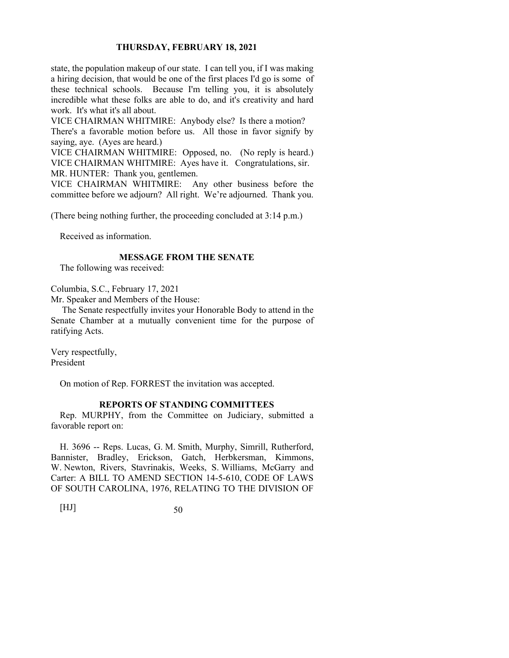state, the population makeup of our state. I can tell you, if I was making a hiring decision, that would be one of the first places I'd go is some of these technical schools. Because I'm telling you, it is absolutely incredible what these folks are able to do, and it's creativity and hard work. It's what it's all about.

VICE CHAIRMAN WHITMIRE: Anybody else? Is there a motion? There's a favorable motion before us. All those in favor signify by saying, aye. (Ayes are heard.)

VICE CHAIRMAN WHITMIRE: Opposed, no. (No reply is heard.) VICE CHAIRMAN WHITMIRE: Ayes have it. Congratulations, sir. MR. HUNTER: Thank you, gentlemen.

VICE CHAIRMAN WHITMIRE: Any other business before the committee before we adjourn? All right. We're adjourned. Thank you.

(There being nothing further, the proceeding concluded at 3:14 p.m.)

Received as information.

# **MESSAGE FROM THE SENATE**

The following was received:

Columbia, S.C., February 17, 2021

Mr. Speaker and Members of the House:

 The Senate respectfully invites your Honorable Body to attend in the Senate Chamber at a mutually convenient time for the purpose of ratifying Acts.

Very respectfully, President

On motion of Rep. FORREST the invitation was accepted.

# **REPORTS OF STANDING COMMITTEES**

Rep. MURPHY, from the Committee on Judiciary, submitted a favorable report on:

H. 3696 -- Reps. Lucas, G. M. Smith, Murphy, Simrill, Rutherford, Bannister, Bradley, Erickson, Gatch, Herbkersman, Kimmons, W. Newton, Rivers, Stavrinakis, Weeks, S. Williams, McGarry and Carter: A BILL TO AMEND SECTION 14-5-610, CODE OF LAWS OF SOUTH CAROLINA, 1976, RELATING TO THE DIVISION OF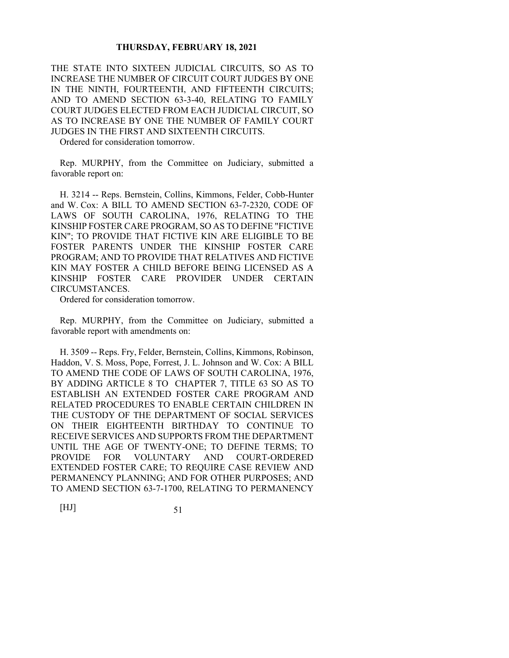THE STATE INTO SIXTEEN JUDICIAL CIRCUITS, SO AS TO INCREASE THE NUMBER OF CIRCUIT COURT JUDGES BY ONE IN THE NINTH, FOURTEENTH, AND FIFTEENTH CIRCUITS; AND TO AMEND SECTION 63-3-40, RELATING TO FAMILY COURT JUDGES ELECTED FROM EACH JUDICIAL CIRCUIT, SO AS TO INCREASE BY ONE THE NUMBER OF FAMILY COURT JUDGES IN THE FIRST AND SIXTEENTH CIRCUITS.

Ordered for consideration tomorrow.

Rep. MURPHY, from the Committee on Judiciary, submitted a favorable report on:

H. 3214 -- Reps. Bernstein, Collins, Kimmons, Felder, Cobb-Hunter and W. Cox: A BILL TO AMEND SECTION 63-7-2320, CODE OF LAWS OF SOUTH CAROLINA, 1976, RELATING TO THE KINSHIP FOSTER CARE PROGRAM, SO AS TO DEFINE "FICTIVE KIN"; TO PROVIDE THAT FICTIVE KIN ARE ELIGIBLE TO BE FOSTER PARENTS UNDER THE KINSHIP FOSTER CARE PROGRAM; AND TO PROVIDE THAT RELATIVES AND FICTIVE KIN MAY FOSTER A CHILD BEFORE BEING LICENSED AS A KINSHIP FOSTER CARE PROVIDER UNDER CERTAIN CIRCUMSTANCES.

Ordered for consideration tomorrow.

Rep. MURPHY, from the Committee on Judiciary, submitted a favorable report with amendments on:

H. 3509 -- Reps. Fry, Felder, Bernstein, Collins, Kimmons, Robinson, Haddon, V. S. Moss, Pope, Forrest, J. L. Johnson and W. Cox: A BILL TO AMEND THE CODE OF LAWS OF SOUTH CAROLINA, 1976, BY ADDING ARTICLE 8 TO CHAPTER 7, TITLE 63 SO AS TO ESTABLISH AN EXTENDED FOSTER CARE PROGRAM AND RELATED PROCEDURES TO ENABLE CERTAIN CHILDREN IN THE CUSTODY OF THE DEPARTMENT OF SOCIAL SERVICES ON THEIR EIGHTEENTH BIRTHDAY TO CONTINUE TO RECEIVE SERVICES AND SUPPORTS FROM THE DEPARTMENT UNTIL THE AGE OF TWENTY-ONE; TO DEFINE TERMS; TO PROVIDE FOR VOLUNTARY AND COURT-ORDERED EXTENDED FOSTER CARE; TO REQUIRE CASE REVIEW AND PERMANENCY PLANNING; AND FOR OTHER PURPOSES; AND TO AMEND SECTION 63-7-1700, RELATING TO PERMANENCY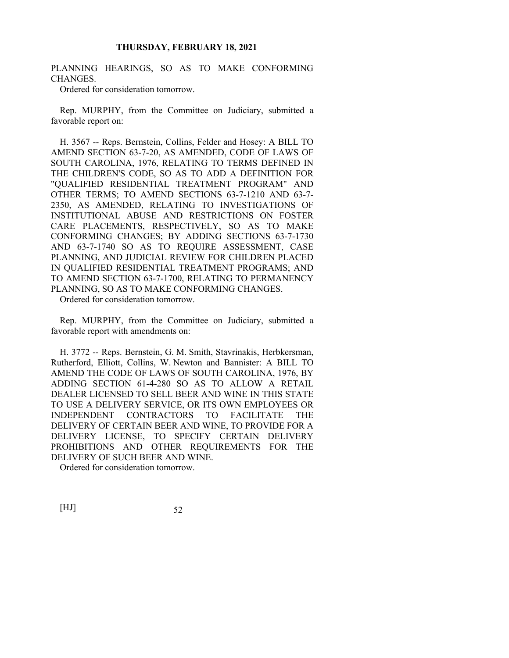# PLANNING HEARINGS, SO AS TO MAKE CONFORMING CHANGES.

Ordered for consideration tomorrow.

Rep. MURPHY, from the Committee on Judiciary, submitted a favorable report on:

H. 3567 -- Reps. Bernstein, Collins, Felder and Hosey: A BILL TO AMEND SECTION 63-7-20, AS AMENDED, CODE OF LAWS OF SOUTH CAROLINA, 1976, RELATING TO TERMS DEFINED IN THE CHILDREN'S CODE, SO AS TO ADD A DEFINITION FOR "QUALIFIED RESIDENTIAL TREATMENT PROGRAM" AND OTHER TERMS; TO AMEND SECTIONS 63-7-1210 AND 63-7- 2350, AS AMENDED, RELATING TO INVESTIGATIONS OF INSTITUTIONAL ABUSE AND RESTRICTIONS ON FOSTER CARE PLACEMENTS, RESPECTIVELY, SO AS TO MAKE CONFORMING CHANGES; BY ADDING SECTIONS 63-7-1730 AND 63-7-1740 SO AS TO REQUIRE ASSESSMENT, CASE PLANNING, AND JUDICIAL REVIEW FOR CHILDREN PLACED IN QUALIFIED RESIDENTIAL TREATMENT PROGRAMS; AND TO AMEND SECTION 63-7-1700, RELATING TO PERMANENCY PLANNING, SO AS TO MAKE CONFORMING CHANGES.

Ordered for consideration tomorrow.

Rep. MURPHY, from the Committee on Judiciary, submitted a favorable report with amendments on:

H. 3772 -- Reps. Bernstein, G. M. Smith, Stavrinakis, Herbkersman, Rutherford, Elliott, Collins, W. Newton and Bannister: A BILL TO AMEND THE CODE OF LAWS OF SOUTH CAROLINA, 1976, BY ADDING SECTION 61-4-280 SO AS TO ALLOW A RETAIL DEALER LICENSED TO SELL BEER AND WINE IN THIS STATE TO USE A DELIVERY SERVICE, OR ITS OWN EMPLOYEES OR INDEPENDENT CONTRACTORS TO FACILITATE THE DELIVERY OF CERTAIN BEER AND WINE, TO PROVIDE FOR A DELIVERY LICENSE, TO SPECIFY CERTAIN DELIVERY PROHIBITIONS AND OTHER REQUIREMENTS FOR THE DELIVERY OF SUCH BEER AND WINE.

Ordered for consideration tomorrow.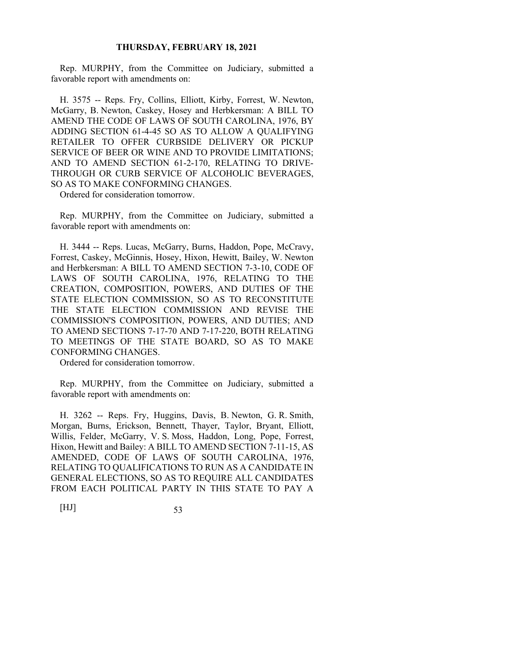Rep. MURPHY, from the Committee on Judiciary, submitted a favorable report with amendments on:

H. 3575 -- Reps. Fry, Collins, Elliott, Kirby, Forrest, W. Newton, McGarry, B. Newton, Caskey, Hosey and Herbkersman: A BILL TO AMEND THE CODE OF LAWS OF SOUTH CAROLINA, 1976, BY ADDING SECTION 61-4-45 SO AS TO ALLOW A QUALIFYING RETAILER TO OFFER CURBSIDE DELIVERY OR PICKUP SERVICE OF BEER OR WINE AND TO PROVIDE LIMITATIONS; AND TO AMEND SECTION 61-2-170, RELATING TO DRIVE-THROUGH OR CURB SERVICE OF ALCOHOLIC BEVERAGES, SO AS TO MAKE CONFORMING CHANGES.

Ordered for consideration tomorrow.

Rep. MURPHY, from the Committee on Judiciary, submitted a favorable report with amendments on:

H. 3444 -- Reps. Lucas, McGarry, Burns, Haddon, Pope, McCravy, Forrest, Caskey, McGinnis, Hosey, Hixon, Hewitt, Bailey, W. Newton and Herbkersman: A BILL TO AMEND SECTION 7-3-10, CODE OF LAWS OF SOUTH CAROLINA, 1976, RELATING TO THE CREATION, COMPOSITION, POWERS, AND DUTIES OF THE STATE ELECTION COMMISSION, SO AS TO RECONSTITUTE THE STATE ELECTION COMMISSION AND REVISE THE COMMISSION'S COMPOSITION, POWERS, AND DUTIES; AND TO AMEND SECTIONS 7-17-70 AND 7-17-220, BOTH RELATING TO MEETINGS OF THE STATE BOARD, SO AS TO MAKE CONFORMING CHANGES.

Ordered for consideration tomorrow.

Rep. MURPHY, from the Committee on Judiciary, submitted a favorable report with amendments on:

H. 3262 -- Reps. Fry, Huggins, Davis, B. Newton, G. R. Smith, Morgan, Burns, Erickson, Bennett, Thayer, Taylor, Bryant, Elliott, Willis, Felder, McGarry, V. S. Moss, Haddon, Long, Pope, Forrest, Hixon, Hewitt and Bailey: A BILL TO AMEND SECTION 7-11-15, AS AMENDED, CODE OF LAWS OF SOUTH CAROLINA, 1976, RELATING TO QUALIFICATIONS TO RUN AS A CANDIDATE IN GENERAL ELECTIONS, SO AS TO REQUIRE ALL CANDIDATES FROM EACH POLITICAL PARTY IN THIS STATE TO PAY A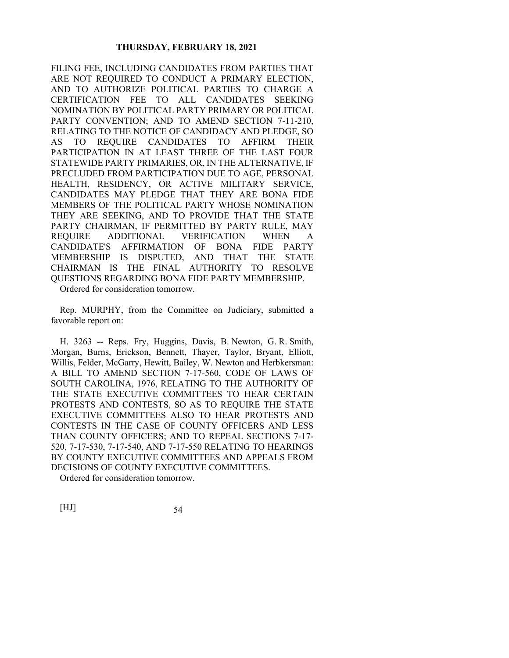FILING FEE, INCLUDING CANDIDATES FROM PARTIES THAT ARE NOT REQUIRED TO CONDUCT A PRIMARY ELECTION, AND TO AUTHORIZE POLITICAL PARTIES TO CHARGE A CERTIFICATION FEE TO ALL CANDIDATES SEEKING NOMINATION BY POLITICAL PARTY PRIMARY OR POLITICAL PARTY CONVENTION; AND TO AMEND SECTION 7-11-210, RELATING TO THE NOTICE OF CANDIDACY AND PLEDGE, SO AS TO REQUIRE CANDIDATES TO AFFIRM THEIR PARTICIPATION IN AT LEAST THREE OF THE LAST FOUR STATEWIDE PARTY PRIMARIES, OR, IN THE ALTERNATIVE, IF PRECLUDED FROM PARTICIPATION DUE TO AGE, PERSONAL HEALTH, RESIDENCY, OR ACTIVE MILITARY SERVICE, CANDIDATES MAY PLEDGE THAT THEY ARE BONA FIDE MEMBERS OF THE POLITICAL PARTY WHOSE NOMINATION THEY ARE SEEKING, AND TO PROVIDE THAT THE STATE PARTY CHAIRMAN, IF PERMITTED BY PARTY RULE, MAY REQUIRE ADDITIONAL VERIFICATION WHEN A CANDIDATE'S AFFIRMATION OF BONA FIDE PARTY MEMBERSHIP IS DISPUTED, AND THAT THE STATE CHAIRMAN IS THE FINAL AUTHORITY TO RESOLVE QUESTIONS REGARDING BONA FIDE PARTY MEMBERSHIP.

Ordered for consideration tomorrow.

Rep. MURPHY, from the Committee on Judiciary, submitted a favorable report on:

H. 3263 -- Reps. Fry, Huggins, Davis, B. Newton, G. R. Smith, Morgan, Burns, Erickson, Bennett, Thayer, Taylor, Bryant, Elliott, Willis, Felder, McGarry, Hewitt, Bailey, W. Newton and Herbkersman: A BILL TO AMEND SECTION 7-17-560, CODE OF LAWS OF SOUTH CAROLINA, 1976, RELATING TO THE AUTHORITY OF THE STATE EXECUTIVE COMMITTEES TO HEAR CERTAIN PROTESTS AND CONTESTS, SO AS TO REQUIRE THE STATE EXECUTIVE COMMITTEES ALSO TO HEAR PROTESTS AND CONTESTS IN THE CASE OF COUNTY OFFICERS AND LESS THAN COUNTY OFFICERS; AND TO REPEAL SECTIONS 7-17- 520, 7-17-530, 7-17-540, AND 7-17-550 RELATING TO HEARINGS BY COUNTY EXECUTIVE COMMITTEES AND APPEALS FROM DECISIONS OF COUNTY EXECUTIVE COMMITTEES.

Ordered for consideration tomorrow.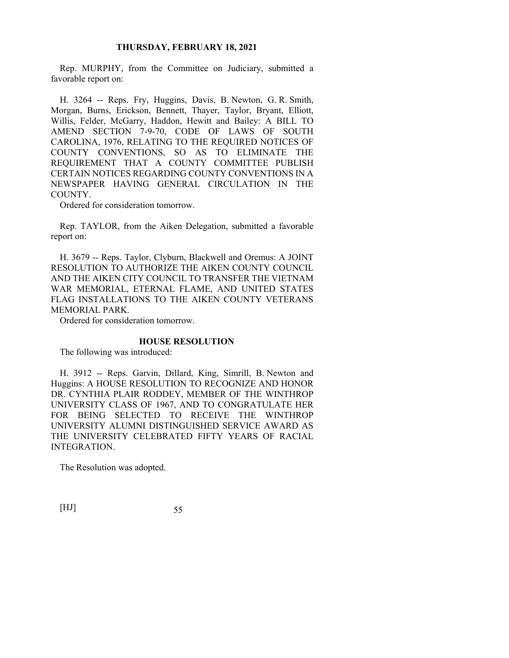Rep. MURPHY, from the Committee on Judiciary, submitted a favorable report on:

H. 3264 -- Reps. Fry, Huggins, Davis, B. Newton, G. R. Smith, Morgan, Burns, Erickson, Bennett, Thayer, Taylor, Bryant, Elliott, Willis, Felder, McGarry, Haddon, Hewitt and Bailey: A BILL TO AMEND SECTION 7-9-70, CODE OF LAWS OF SOUTH CAROLINA, 1976, RELATING TO THE REQUIRED NOTICES OF COUNTY CONVENTIONS, SO AS TO ELIMINATE THE REQUIREMENT THAT A COUNTY COMMITTEE PUBLISH CERTAIN NOTICES REGARDING COUNTY CONVENTIONS IN A NEWSPAPER HAVING GENERAL CIRCULATION IN THE COUNTY.

Ordered for consideration tomorrow.

Rep. TAYLOR, from the Aiken Delegation, submitted a favorable report on:

H. 3679 -- Reps. Taylor, Clyburn, Blackwell and Oremus: A JOINT RESOLUTION TO AUTHORIZE THE AIKEN COUNTY COUNCIL AND THE AIKEN CITY COUNCIL TO TRANSFER THE VIETNAM WAR MEMORIAL, ETERNAL FLAME, AND UNITED STATES FLAG INSTALLATIONS TO THE AIKEN COUNTY VETERANS MEMORIAL PARK.

Ordered for consideration tomorrow.

## **HOUSE RESOLUTION**

The following was introduced:

H. 3912 -- Reps. Garvin, Dillard, King, Simrill, B. Newton and Huggins: A HOUSE RESOLUTION TO RECOGNIZE AND HONOR DR. CYNTHIA PLAIR RODDEY, MEMBER OF THE WINTHROP UNIVERSITY CLASS OF 1967, AND TO CONGRATULATE HER FOR BEING SELECTED TO RECEIVE THE WINTHROP UNIVERSITY ALUMNI DISTINGUISHED SERVICE AWARD AS THE UNIVERSITY CELEBRATED FIFTY YEARS OF RACIAL INTEGRATION.

The Resolution was adopted.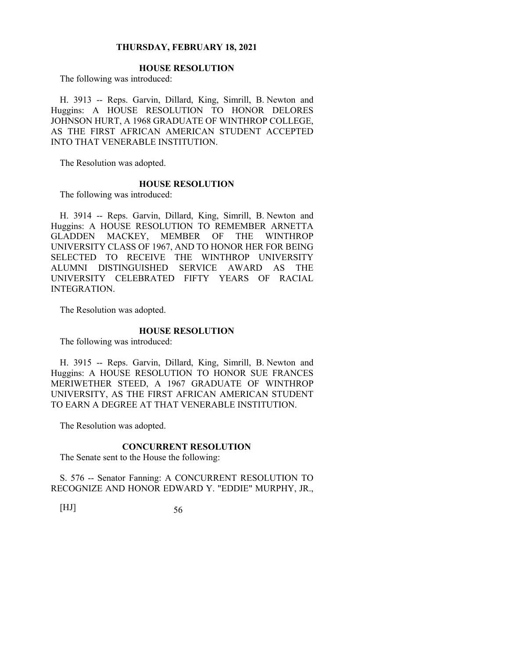# **HOUSE RESOLUTION**

The following was introduced:

H. 3913 -- Reps. Garvin, Dillard, King, Simrill, B. Newton and Huggins: A HOUSE RESOLUTION TO HONOR DELORES JOHNSON HURT, A 1968 GRADUATE OF WINTHROP COLLEGE, AS THE FIRST AFRICAN AMERICAN STUDENT ACCEPTED INTO THAT VENERABLE INSTITUTION.

The Resolution was adopted.

#### **HOUSE RESOLUTION**

The following was introduced:

H. 3914 -- Reps. Garvin, Dillard, King, Simrill, B. Newton and Huggins: A HOUSE RESOLUTION TO REMEMBER ARNETTA GLADDEN MACKEY, MEMBER OF THE WINTHROP UNIVERSITY CLASS OF 1967, AND TO HONOR HER FOR BEING SELECTED TO RECEIVE THE WINTHROP UNIVERSITY ALUMNI DISTINGUISHED SERVICE AWARD AS THE UNIVERSITY CELEBRATED FIFTY YEARS OF RACIAL INTEGRATION.

The Resolution was adopted.

#### **HOUSE RESOLUTION**

The following was introduced:

H. 3915 -- Reps. Garvin, Dillard, King, Simrill, B. Newton and Huggins: A HOUSE RESOLUTION TO HONOR SUE FRANCES MERIWETHER STEED, A 1967 GRADUATE OF WINTHROP UNIVERSITY, AS THE FIRST AFRICAN AMERICAN STUDENT TO EARN A DEGREE AT THAT VENERABLE INSTITUTION.

The Resolution was adopted.

#### **CONCURRENT RESOLUTION**

The Senate sent to the House the following:

S. 576 -- Senator Fanning: A CONCURRENT RESOLUTION TO RECOGNIZE AND HONOR EDWARD Y. "EDDIE" MURPHY, JR.,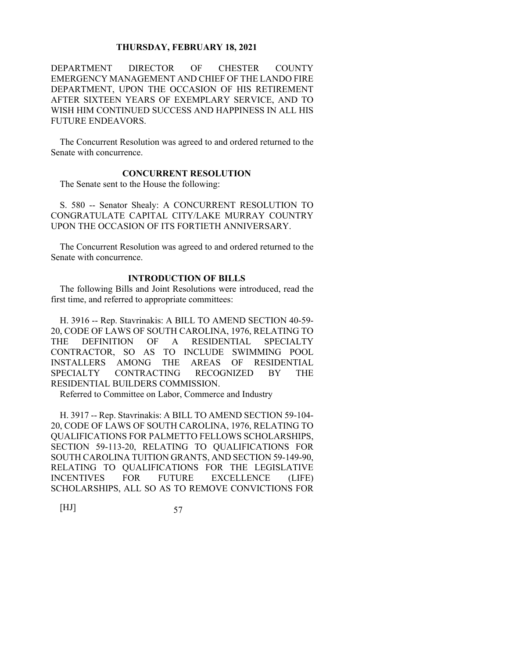DEPARTMENT DIRECTOR OF CHESTER COUNTY EMERGENCY MANAGEMENT AND CHIEF OF THE LANDO FIRE DEPARTMENT, UPON THE OCCASION OF HIS RETIREMENT AFTER SIXTEEN YEARS OF EXEMPLARY SERVICE, AND TO WISH HIM CONTINUED SUCCESS AND HAPPINESS IN ALL HIS FUTURE ENDEAVORS.

The Concurrent Resolution was agreed to and ordered returned to the Senate with concurrence.

#### **CONCURRENT RESOLUTION**

The Senate sent to the House the following:

S. 580 -- Senator Shealy: A CONCURRENT RESOLUTION TO CONGRATULATE CAPITAL CITY/LAKE MURRAY COUNTRY UPON THE OCCASION OF ITS FORTIETH ANNIVERSARY.

The Concurrent Resolution was agreed to and ordered returned to the Senate with concurrence.

# **INTRODUCTION OF BILLS**

The following Bills and Joint Resolutions were introduced, read the first time, and referred to appropriate committees:

H. 3916 -- Rep. Stavrinakis: A BILL TO AMEND SECTION 40-59- 20, CODE OF LAWS OF SOUTH CAROLINA, 1976, RELATING TO THE DEFINITION OF A RESIDENTIAL SPECIALTY CONTRACTOR, SO AS TO INCLUDE SWIMMING POOL INSTALLERS AMONG THE AREAS OF RESIDENTIAL SPECIALTY CONTRACTING RECOGNIZED BY THE RESIDENTIAL BUILDERS COMMISSION.

Referred to Committee on Labor, Commerce and Industry

H. 3917 -- Rep. Stavrinakis: A BILL TO AMEND SECTION 59-104- 20, CODE OF LAWS OF SOUTH CAROLINA, 1976, RELATING TO QUALIFICATIONS FOR PALMETTO FELLOWS SCHOLARSHIPS, SECTION 59-113-20, RELATING TO QUALIFICATIONS FOR SOUTH CAROLINA TUITION GRANTS, AND SECTION 59-149-90, RELATING TO QUALIFICATIONS FOR THE LEGISLATIVE INCENTIVES FOR FUTURE EXCELLENCE (LIFE) SCHOLARSHIPS, ALL SO AS TO REMOVE CONVICTIONS FOR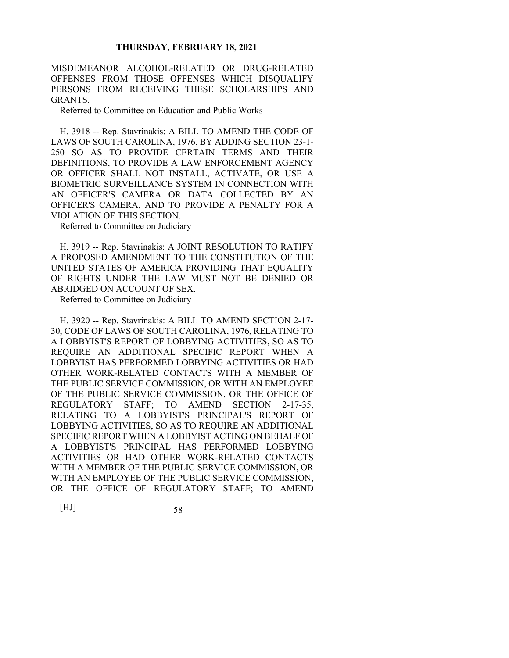MISDEMEANOR ALCOHOL-RELATED OR DRUG-RELATED OFFENSES FROM THOSE OFFENSES WHICH DISQUALIFY PERSONS FROM RECEIVING THESE SCHOLARSHIPS AND GRANTS.

Referred to Committee on Education and Public Works

H. 3918 -- Rep. Stavrinakis: A BILL TO AMEND THE CODE OF LAWS OF SOUTH CAROLINA, 1976, BY ADDING SECTION 23-1- 250 SO AS TO PROVIDE CERTAIN TERMS AND THEIR DEFINITIONS, TO PROVIDE A LAW ENFORCEMENT AGENCY OR OFFICER SHALL NOT INSTALL, ACTIVATE, OR USE A BIOMETRIC SURVEILLANCE SYSTEM IN CONNECTION WITH AN OFFICER'S CAMERA OR DATA COLLECTED BY AN OFFICER'S CAMERA, AND TO PROVIDE A PENALTY FOR A VIOLATION OF THIS SECTION.

Referred to Committee on Judiciary

H. 3919 -- Rep. Stavrinakis: A JOINT RESOLUTION TO RATIFY A PROPOSED AMENDMENT TO THE CONSTITUTION OF THE UNITED STATES OF AMERICA PROVIDING THAT EQUALITY OF RIGHTS UNDER THE LAW MUST NOT BE DENIED OR ABRIDGED ON ACCOUNT OF SEX.

Referred to Committee on Judiciary

H. 3920 -- Rep. Stavrinakis: A BILL TO AMEND SECTION 2-17- 30, CODE OF LAWS OF SOUTH CAROLINA, 1976, RELATING TO A LOBBYIST'S REPORT OF LOBBYING ACTIVITIES, SO AS TO REQUIRE AN ADDITIONAL SPECIFIC REPORT WHEN A LOBBYIST HAS PERFORMED LOBBYING ACTIVITIES OR HAD OTHER WORK-RELATED CONTACTS WITH A MEMBER OF THE PUBLIC SERVICE COMMISSION, OR WITH AN EMPLOYEE OF THE PUBLIC SERVICE COMMISSION, OR THE OFFICE OF REGULATORY STAFF; TO AMEND SECTION 2-17-35, RELATING TO A LOBBYIST'S PRINCIPAL'S REPORT OF LOBBYING ACTIVITIES, SO AS TO REQUIRE AN ADDITIONAL SPECIFIC REPORT WHEN A LOBBYIST ACTING ON BEHALF OF A LOBBYIST'S PRINCIPAL HAS PERFORMED LOBBYING ACTIVITIES OR HAD OTHER WORK-RELATED CONTACTS WITH A MEMBER OF THE PUBLIC SERVICE COMMISSION, OR WITH AN EMPLOYEE OF THE PUBLIC SERVICE COMMISSION, OR THE OFFICE OF REGULATORY STAFF; TO AMEND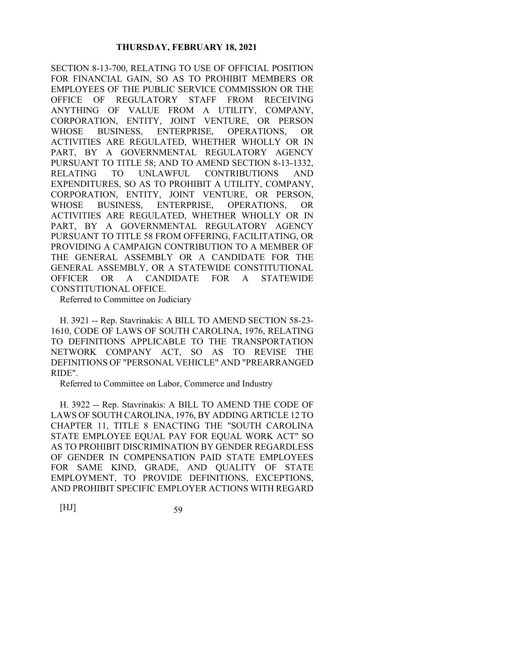SECTION 8-13-700, RELATING TO USE OF OFFICIAL POSITION FOR FINANCIAL GAIN, SO AS TO PROHIBIT MEMBERS OR EMPLOYEES OF THE PUBLIC SERVICE COMMISSION OR THE OFFICE OF REGULATORY STAFF FROM RECEIVING ANYTHING OF VALUE FROM A UTILITY, COMPANY, CORPORATION, ENTITY, JOINT VENTURE, OR PERSON WHOSE BUSINESS, ENTERPRISE, OPERATIONS, OR ACTIVITIES ARE REGULATED, WHETHER WHOLLY OR IN PART, BY A GOVERNMENTAL REGULATORY AGENCY PURSUANT TO TITLE 58; AND TO AMEND SECTION 8-13-1332, RELATING TO UNLAWFUL CONTRIBUTIONS AND EXPENDITURES, SO AS TO PROHIBIT A UTILITY, COMPANY, CORPORATION, ENTITY, JOINT VENTURE, OR PERSON, WHOSE BUSINESS, ENTERPRISE, OPERATIONS, OR ACTIVITIES ARE REGULATED, WHETHER WHOLLY OR IN PART, BY A GOVERNMENTAL REGULATORY AGENCY PURSUANT TO TITLE 58 FROM OFFERING, FACILITATING, OR PROVIDING A CAMPAIGN CONTRIBUTION TO A MEMBER OF THE GENERAL ASSEMBLY OR A CANDIDATE FOR THE GENERAL ASSEMBLY, OR A STATEWIDE CONSTITUTIONAL OFFICER OR A CANDIDATE FOR A STATEWIDE CONSTITUTIONAL OFFICE.

Referred to Committee on Judiciary

H. 3921 -- Rep. Stavrinakis: A BILL TO AMEND SECTION 58-23- 1610, CODE OF LAWS OF SOUTH CAROLINA, 1976, RELATING TO DEFINITIONS APPLICABLE TO THE TRANSPORTATION NETWORK COMPANY ACT, SO AS TO REVISE THE DEFINITIONS OF "PERSONAL VEHICLE" AND "PREARRANGED RIDE".

Referred to Committee on Labor, Commerce and Industry

H. 3922 -- Rep. Stavrinakis: A BILL TO AMEND THE CODE OF LAWS OF SOUTH CAROLINA, 1976, BY ADDING ARTICLE 12 TO CHAPTER 11, TITLE 8 ENACTING THE "SOUTH CAROLINA STATE EMPLOYEE EQUAL PAY FOR EQUAL WORK ACT" SO AS TO PROHIBIT DISCRIMINATION BY GENDER REGARDLESS OF GENDER IN COMPENSATION PAID STATE EMPLOYEES FOR SAME KIND, GRADE, AND QUALITY OF STATE EMPLOYMENT, TO PROVIDE DEFINITIONS, EXCEPTIONS, AND PROHIBIT SPECIFIC EMPLOYER ACTIONS WITH REGARD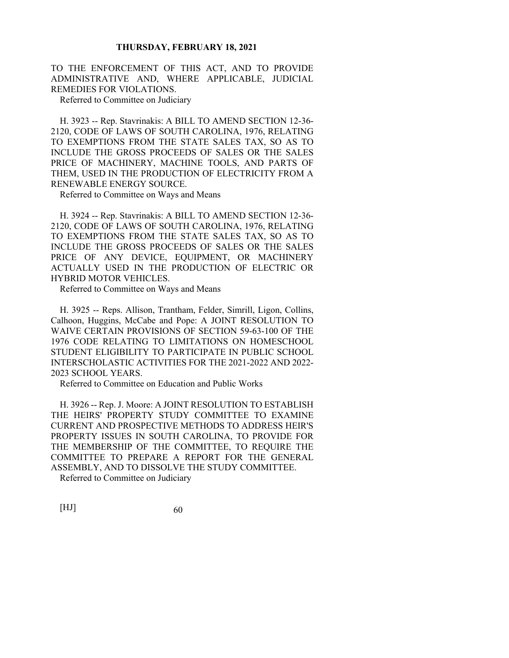TO THE ENFORCEMENT OF THIS ACT, AND TO PROVIDE ADMINISTRATIVE AND, WHERE APPLICABLE, JUDICIAL REMEDIES FOR VIOLATIONS.

Referred to Committee on Judiciary

H. 3923 -- Rep. Stavrinakis: A BILL TO AMEND SECTION 12-36- 2120, CODE OF LAWS OF SOUTH CAROLINA, 1976, RELATING TO EXEMPTIONS FROM THE STATE SALES TAX, SO AS TO INCLUDE THE GROSS PROCEEDS OF SALES OR THE SALES PRICE OF MACHINERY, MACHINE TOOLS, AND PARTS OF THEM, USED IN THE PRODUCTION OF ELECTRICITY FROM A RENEWABLE ENERGY SOURCE.

Referred to Committee on Ways and Means

H. 3924 -- Rep. Stavrinakis: A BILL TO AMEND SECTION 12-36- 2120, CODE OF LAWS OF SOUTH CAROLINA, 1976, RELATING TO EXEMPTIONS FROM THE STATE SALES TAX, SO AS TO INCLUDE THE GROSS PROCEEDS OF SALES OR THE SALES PRICE OF ANY DEVICE, EQUIPMENT, OR MACHINERY ACTUALLY USED IN THE PRODUCTION OF ELECTRIC OR HYBRID MOTOR VEHICLES.

Referred to Committee on Ways and Means

H. 3925 -- Reps. Allison, Trantham, Felder, Simrill, Ligon, Collins, Calhoon, Huggins, McCabe and Pope: A JOINT RESOLUTION TO WAIVE CERTAIN PROVISIONS OF SECTION 59-63-100 OF THE 1976 CODE RELATING TO LIMITATIONS ON HOMESCHOOL STUDENT ELIGIBILITY TO PARTICIPATE IN PUBLIC SCHOOL INTERSCHOLASTIC ACTIVITIES FOR THE 2021-2022 AND 2022- 2023 SCHOOL YEARS.

Referred to Committee on Education and Public Works

H. 3926 -- Rep. J. Moore: A JOINT RESOLUTION TO ESTABLISH THE HEIRS' PROPERTY STUDY COMMITTEE TO EXAMINE CURRENT AND PROSPECTIVE METHODS TO ADDRESS HEIR'S PROPERTY ISSUES IN SOUTH CAROLINA, TO PROVIDE FOR THE MEMBERSHIP OF THE COMMITTEE, TO REQUIRE THE COMMITTEE TO PREPARE A REPORT FOR THE GENERAL ASSEMBLY, AND TO DISSOLVE THE STUDY COMMITTEE.

Referred to Committee on Judiciary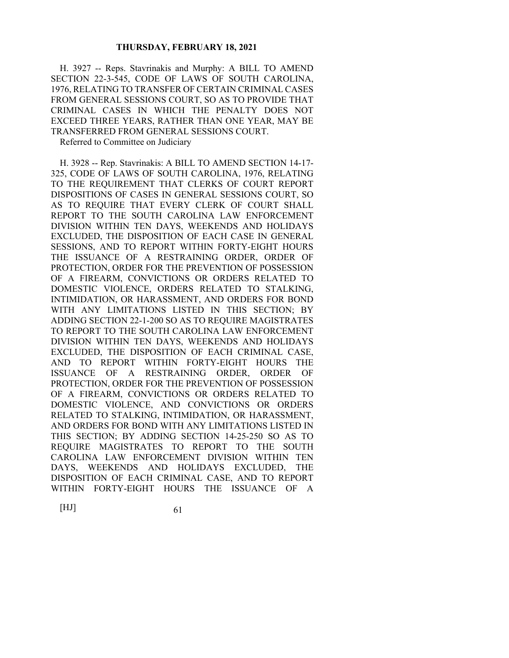H. 3927 -- Reps. Stavrinakis and Murphy: A BILL TO AMEND SECTION 22-3-545, CODE OF LAWS OF SOUTH CAROLINA, 1976, RELATING TO TRANSFER OF CERTAIN CRIMINAL CASES FROM GENERAL SESSIONS COURT, SO AS TO PROVIDE THAT CRIMINAL CASES IN WHICH THE PENALTY DOES NOT EXCEED THREE YEARS, RATHER THAN ONE YEAR, MAY BE TRANSFERRED FROM GENERAL SESSIONS COURT.

Referred to Committee on Judiciary

H. 3928 -- Rep. Stavrinakis: A BILL TO AMEND SECTION 14-17- 325, CODE OF LAWS OF SOUTH CAROLINA, 1976, RELATING TO THE REQUIREMENT THAT CLERKS OF COURT REPORT DISPOSITIONS OF CASES IN GENERAL SESSIONS COURT, SO AS TO REQUIRE THAT EVERY CLERK OF COURT SHALL REPORT TO THE SOUTH CAROLINA LAW ENFORCEMENT DIVISION WITHIN TEN DAYS, WEEKENDS AND HOLIDAYS EXCLUDED, THE DISPOSITION OF EACH CASE IN GENERAL SESSIONS, AND TO REPORT WITHIN FORTY-EIGHT HOURS THE ISSUANCE OF A RESTRAINING ORDER, ORDER OF PROTECTION, ORDER FOR THE PREVENTION OF POSSESSION OF A FIREARM, CONVICTIONS OR ORDERS RELATED TO DOMESTIC VIOLENCE, ORDERS RELATED TO STALKING, INTIMIDATION, OR HARASSMENT, AND ORDERS FOR BOND WITH ANY LIMITATIONS LISTED IN THIS SECTION; BY ADDING SECTION 22-1-200 SO AS TO REQUIRE MAGISTRATES TO REPORT TO THE SOUTH CAROLINA LAW ENFORCEMENT DIVISION WITHIN TEN DAYS, WEEKENDS AND HOLIDAYS EXCLUDED, THE DISPOSITION OF EACH CRIMINAL CASE, AND TO REPORT WITHIN FORTY-EIGHT HOURS THE ISSUANCE OF A RESTRAINING ORDER, ORDER OF PROTECTION, ORDER FOR THE PREVENTION OF POSSESSION OF A FIREARM, CONVICTIONS OR ORDERS RELATED TO DOMESTIC VIOLENCE, AND CONVICTIONS OR ORDERS RELATED TO STALKING, INTIMIDATION, OR HARASSMENT, AND ORDERS FOR BOND WITH ANY LIMITATIONS LISTED IN THIS SECTION; BY ADDING SECTION 14-25-250 SO AS TO REQUIRE MAGISTRATES TO REPORT TO THE SOUTH CAROLINA LAW ENFORCEMENT DIVISION WITHIN TEN DAYS, WEEKENDS AND HOLIDAYS EXCLUDED, THE DISPOSITION OF EACH CRIMINAL CASE, AND TO REPORT WITHIN FORTY-EIGHT HOURS THE ISSUANCE OF A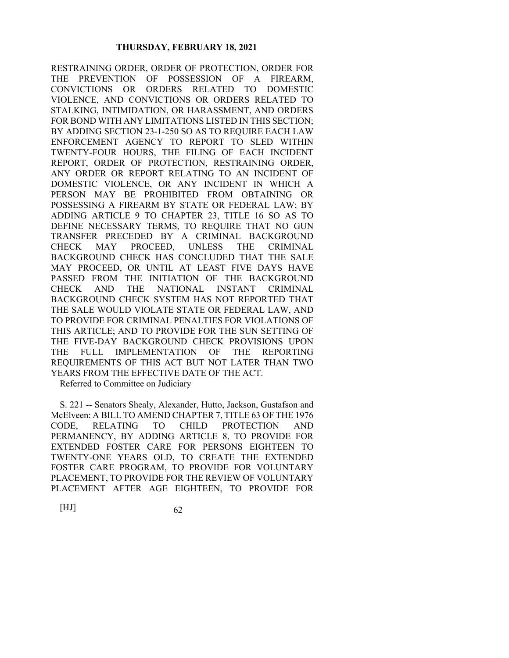RESTRAINING ORDER, ORDER OF PROTECTION, ORDER FOR THE PREVENTION OF POSSESSION OF A FIREARM, CONVICTIONS OR ORDERS RELATED TO DOMESTIC VIOLENCE, AND CONVICTIONS OR ORDERS RELATED TO STALKING, INTIMIDATION, OR HARASSMENT, AND ORDERS FOR BOND WITH ANY LIMITATIONS LISTED IN THIS SECTION; BY ADDING SECTION 23-1-250 SO AS TO REQUIRE EACH LAW ENFORCEMENT AGENCY TO REPORT TO SLED WITHIN TWENTY-FOUR HOURS, THE FILING OF EACH INCIDENT REPORT, ORDER OF PROTECTION, RESTRAINING ORDER, ANY ORDER OR REPORT RELATING TO AN INCIDENT OF DOMESTIC VIOLENCE, OR ANY INCIDENT IN WHICH A PERSON MAY BE PROHIBITED FROM OBTAINING OR POSSESSING A FIREARM BY STATE OR FEDERAL LAW; BY ADDING ARTICLE 9 TO CHAPTER 23, TITLE 16 SO AS TO DEFINE NECESSARY TERMS, TO REQUIRE THAT NO GUN TRANSFER PRECEDED BY A CRIMINAL BACKGROUND CHECK MAY PROCEED, UNLESS THE CRIMINAL BACKGROUND CHECK HAS CONCLUDED THAT THE SALE MAY PROCEED, OR UNTIL AT LEAST FIVE DAYS HAVE PASSED FROM THE INITIATION OF THE BACKGROUND CHECK AND THE NATIONAL INSTANT CRIMINAL BACKGROUND CHECK SYSTEM HAS NOT REPORTED THAT THE SALE WOULD VIOLATE STATE OR FEDERAL LAW, AND TO PROVIDE FOR CRIMINAL PENALTIES FOR VIOLATIONS OF THIS ARTICLE; AND TO PROVIDE FOR THE SUN SETTING OF THE FIVE-DAY BACKGROUND CHECK PROVISIONS UPON THE FULL IMPLEMENTATION OF THE REPORTING REQUIREMENTS OF THIS ACT BUT NOT LATER THAN TWO YEARS FROM THE EFFECTIVE DATE OF THE ACT.

Referred to Committee on Judiciary

S. 221 -- Senators Shealy, Alexander, Hutto, Jackson, Gustafson and McElveen: A BILL TO AMEND CHAPTER 7, TITLE 63 OF THE 1976 CODE, RELATING TO CHILD PROTECTION AND PERMANENCY, BY ADDING ARTICLE 8, TO PROVIDE FOR EXTENDED FOSTER CARE FOR PERSONS EIGHTEEN TO TWENTY-ONE YEARS OLD, TO CREATE THE EXTENDED FOSTER CARE PROGRAM, TO PROVIDE FOR VOLUNTARY PLACEMENT, TO PROVIDE FOR THE REVIEW OF VOLUNTARY PLACEMENT AFTER AGE EIGHTEEN, TO PROVIDE FOR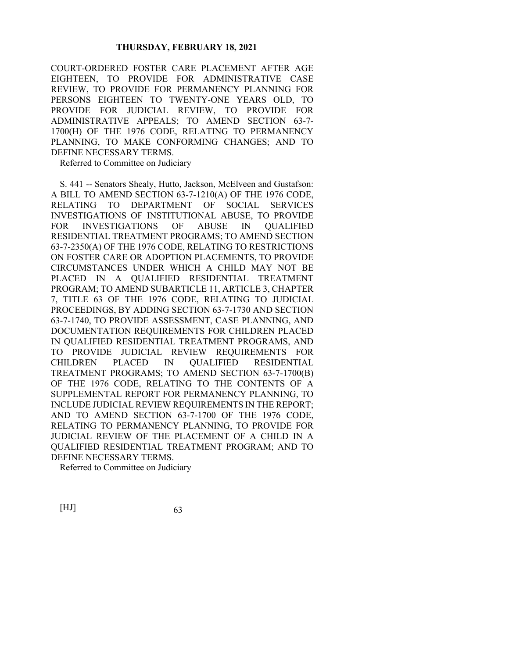COURT-ORDERED FOSTER CARE PLACEMENT AFTER AGE EIGHTEEN, TO PROVIDE FOR ADMINISTRATIVE CASE REVIEW, TO PROVIDE FOR PERMANENCY PLANNING FOR PERSONS EIGHTEEN TO TWENTY-ONE YEARS OLD, TO PROVIDE FOR JUDICIAL REVIEW, TO PROVIDE FOR ADMINISTRATIVE APPEALS; TO AMEND SECTION 63-7- 1700(H) OF THE 1976 CODE, RELATING TO PERMANENCY PLANNING, TO MAKE CONFORMING CHANGES; AND TO DEFINE NECESSARY TERMS.

Referred to Committee on Judiciary

S. 441 -- Senators Shealy, Hutto, Jackson, McElveen and Gustafson: A BILL TO AMEND SECTION 63-7-1210(A) OF THE 1976 CODE, RELATING TO DEPARTMENT OF SOCIAL SERVICES INVESTIGATIONS OF INSTITUTIONAL ABUSE, TO PROVIDE FOR INVESTIGATIONS OF ABUSE IN QUALIFIED RESIDENTIAL TREATMENT PROGRAMS; TO AMEND SECTION 63-7-2350(A) OF THE 1976 CODE, RELATING TO RESTRICTIONS ON FOSTER CARE OR ADOPTION PLACEMENTS, TO PROVIDE CIRCUMSTANCES UNDER WHICH A CHILD MAY NOT BE PLACED IN A QUALIFIED RESIDENTIAL TREATMENT PROGRAM; TO AMEND SUBARTICLE 11, ARTICLE 3, CHAPTER 7, TITLE 63 OF THE 1976 CODE, RELATING TO JUDICIAL PROCEEDINGS, BY ADDING SECTION 63-7-1730 AND SECTION 63-7-1740, TO PROVIDE ASSESSMENT, CASE PLANNING, AND DOCUMENTATION REQUIREMENTS FOR CHILDREN PLACED IN QUALIFIED RESIDENTIAL TREATMENT PROGRAMS, AND TO PROVIDE JUDICIAL REVIEW REQUIREMENTS FOR CHILDREN PLACED IN QUALIFIED RESIDENTIAL TREATMENT PROGRAMS; TO AMEND SECTION 63-7-1700(B) OF THE 1976 CODE, RELATING TO THE CONTENTS OF A SUPPLEMENTAL REPORT FOR PERMANENCY PLANNING, TO INCLUDE JUDICIAL REVIEW REQUIREMENTS IN THE REPORT; AND TO AMEND SECTION 63-7-1700 OF THE 1976 CODE, RELATING TO PERMANENCY PLANNING, TO PROVIDE FOR JUDICIAL REVIEW OF THE PLACEMENT OF A CHILD IN A QUALIFIED RESIDENTIAL TREATMENT PROGRAM; AND TO DEFINE NECESSARY TERMS.

Referred to Committee on Judiciary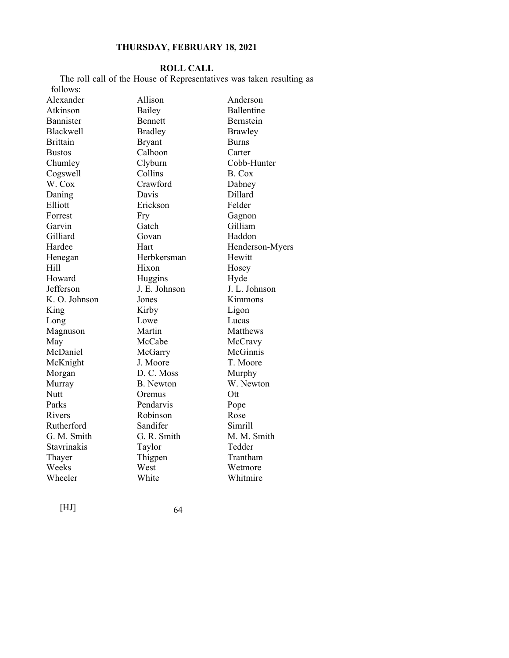## **ROLL CALL**

The roll call of the House of Representatives was taken resulting as follows:

| Alexander        | Allison          | Anderson        |
|------------------|------------------|-----------------|
| Atkinson         | Bailey           | Ballentine      |
| Bannister        | Bennett          | Bernstein       |
| <b>Blackwell</b> | <b>Bradley</b>   | <b>Brawley</b>  |
| <b>Brittain</b>  | <b>Bryant</b>    | <b>Burns</b>    |
| <b>Bustos</b>    | Calhoon          | Carter          |
| Chumley          | Clyburn          | Cobb-Hunter     |
| Cogswell         | Collins          | B. Cox          |
| W. Cox           | Crawford         | Dabney          |
| Daning           | Davis            | Dillard         |
| Elliott          | Erickson         | Felder          |
| Forrest          | Fry              | Gagnon          |
| Garvin           | Gatch            | Gilliam         |
| Gilliard         | Govan            | Haddon          |
| Hardee           | Hart             | Henderson-Myers |
| Henegan          | Herbkersman      | Hewitt          |
| Hill             | Hixon            | Hosey           |
| Howard           | Huggins          | Hyde            |
| Jefferson        | J. E. Johnson    | J. L. Johnson   |
| K. O. Johnson    | Jones            | Kimmons         |
| King             | Kirby            | Ligon           |
| Long             | Lowe             | Lucas           |
| Magnuson         | Martin           | Matthews        |
| May              | McCabe           | McCravy         |
| McDaniel         | McGarry          | McGinnis        |
| McKnight         | J. Moore         | T. Moore        |
| Morgan           | D. C. Moss       | Murphy          |
| Murray           | <b>B.</b> Newton | W. Newton       |
| Nutt             | Oremus           | Ott             |
| Parks            | Pendarvis        | Pope            |
| Rivers           | Robinson         | Rose            |
| Rutherford       | Sandifer         | Simrill         |
| G. M. Smith      | G. R. Smith      | M. M. Smith     |
| Stavrinakis      | Taylor           | Tedder          |
| Thayer           | Thigpen          | Trantham        |
| Weeks            | West             | Wetmore         |
| Wheeler          | White            | Whitmire        |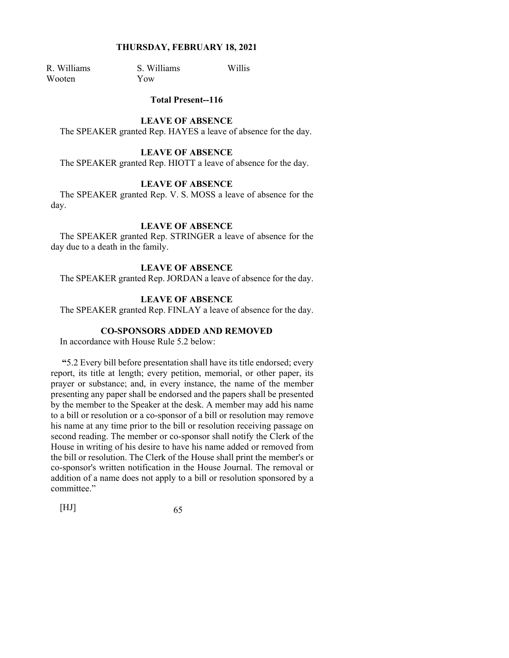Wooten Yow

R. Williams S. Williams Willis

#### **Total Present--116**

#### **LEAVE OF ABSENCE**

The SPEAKER granted Rep. HAYES a leave of absence for the day.

## **LEAVE OF ABSENCE**

The SPEAKER granted Rep. HIOTT a leave of absence for the day.

# **LEAVE OF ABSENCE**

The SPEAKER granted Rep. V. S. MOSS a leave of absence for the day.

#### **LEAVE OF ABSENCE**

The SPEAKER granted Rep. STRINGER a leave of absence for the day due to a death in the family.

#### **LEAVE OF ABSENCE**

The SPEAKER granted Rep. JORDAN a leave of absence for the day.

#### **LEAVE OF ABSENCE**

The SPEAKER granted Rep. FINLAY a leave of absence for the day.

# **CO-SPONSORS ADDED AND REMOVED**

In accordance with House Rule 5.2 below:

**"**5.2 Every bill before presentation shall have its title endorsed; every report, its title at length; every petition, memorial, or other paper, its prayer or substance; and, in every instance, the name of the member presenting any paper shall be endorsed and the papers shall be presented by the member to the Speaker at the desk. A member may add his name to a bill or resolution or a co-sponsor of a bill or resolution may remove his name at any time prior to the bill or resolution receiving passage on second reading. The member or co-sponsor shall notify the Clerk of the House in writing of his desire to have his name added or removed from the bill or resolution. The Clerk of the House shall print the member's or co-sponsor's written notification in the House Journal. The removal or addition of a name does not apply to a bill or resolution sponsored by a committee."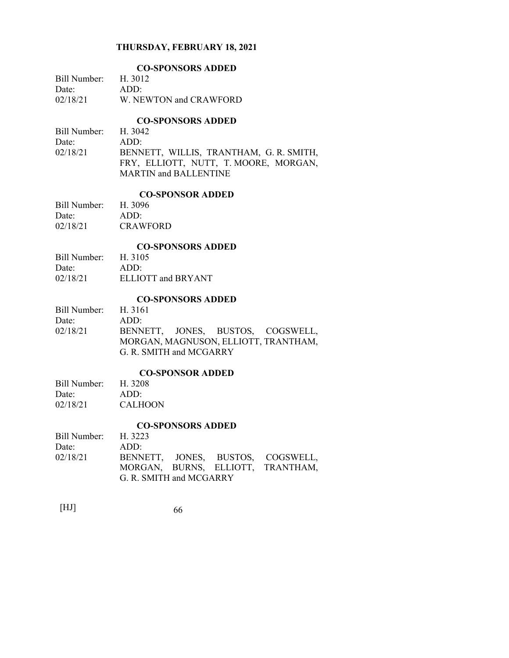|              | <b>CO-SPONSORS ADDED</b> |  |  |
|--------------|--------------------------|--|--|
| Bill Number: | H. 3012                  |  |  |
| Date:        | ADD:                     |  |  |
| 02/18/21     | W. NEWTON and CRAWFORD   |  |  |

## **CO-SPONSORS ADDED**

| Bill Number: H. 3042 |                                         |
|----------------------|-----------------------------------------|
| Date:                | ADD:                                    |
| 02/18/21             | BENNETT, WILLIS, TRANTHAM, G. R. SMITH, |
|                      | FRY, ELLIOTT, NUTT, T. MOORE, MORGAN,   |
|                      | <b>MARTIN and BALLENTINE</b>            |

# **CO-SPONSOR ADDED**

| 1.11-11 11      |
|-----------------|
| H. 3096         |
| ADD:            |
| <b>CRAWFORD</b> |
|                 |

#### **CO-SPONSORS ADDED**

| Bill Number: | H. 3105            |
|--------------|--------------------|
| Date:        | $ADD^*$            |
| 02/18/21     | ELLIOTT and BRYANT |

# **CO-SPONSORS ADDED**

| Bill Number: H. 3161 |                         |  |                                      |
|----------------------|-------------------------|--|--------------------------------------|
| Date:                | ADD:                    |  |                                      |
| 02/18/21             |                         |  | BENNETT, JONES, BUSTOS, COGSWELL,    |
|                      |                         |  | MORGAN, MAGNUSON, ELLIOTT, TRANTHAM, |
|                      | G. R. SMITH and MCGARRY |  |                                      |

#### **CO-SPONSOR ADDED**

| Bill Number: | H. 3208        |
|--------------|----------------|
| Date:        | ADD:           |
| 02/18/21     | <b>CALHOON</b> |

# **CO-SPONSORS ADDED**

|                      |                         | CO-91 OR0OR9 ADDED |                                   |
|----------------------|-------------------------|--------------------|-----------------------------------|
| Bill Number: H. 3223 |                         |                    |                                   |
| Date:                | ADD:                    |                    |                                   |
| 02/18/21             |                         |                    | BENNETT, JONES, BUSTOS, COGSWELL, |
|                      |                         |                    | MORGAN, BURNS, ELLIOTT, TRANTHAM, |
|                      | G. R. SMITH and MCGARRY |                    |                                   |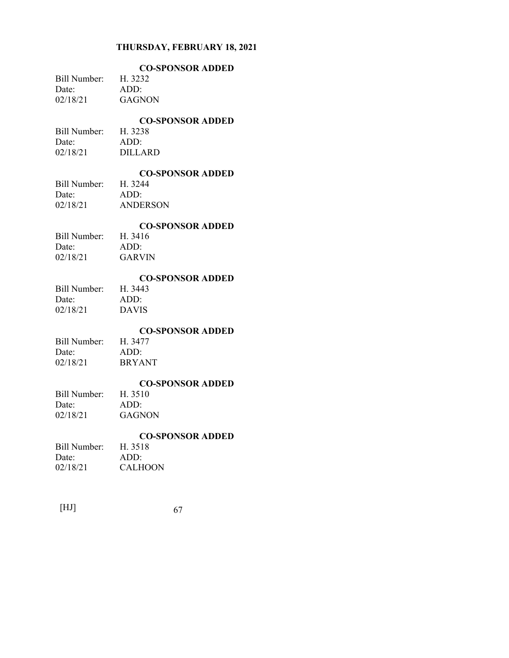| <b>CO-SPONSOR ADDED</b> |
|-------------------------|
| H. 3232                 |
| ADD:                    |
| GAGNON                  |
|                         |

# **CO-SPONSOR ADDED**

Bill Number: H. 3238 Date: ADD: 02/18/21 DILLARD

# **CO-SPONSOR ADDED**

Bill Number: Date: ADD: 02/18/21 ANDERSON

# **CO-SPONSOR ADDED**

| H. 3416 |
|---------|
| ADD:    |
| GARVIN  |
|         |

## **CO-SPONSOR ADDED**

Bill Number: H. 3443 Date: ADD: 02/18/21 DAVIS

## **CO-SPONSOR ADDED**

Bill Number: H. 3477 Date: ADD: 02/18/21 BRYANT

# **CO-SPONSOR ADDED**

Bill Number: Date: ADD: 02/18/21 GAGNON

# **CO-SPONSOR ADDED**

| Bill Number: | H. 3518        |
|--------------|----------------|
| Date:        | ADD:           |
| 02/18/21     | <b>CALHOON</b> |

| 67 |
|----|
|    |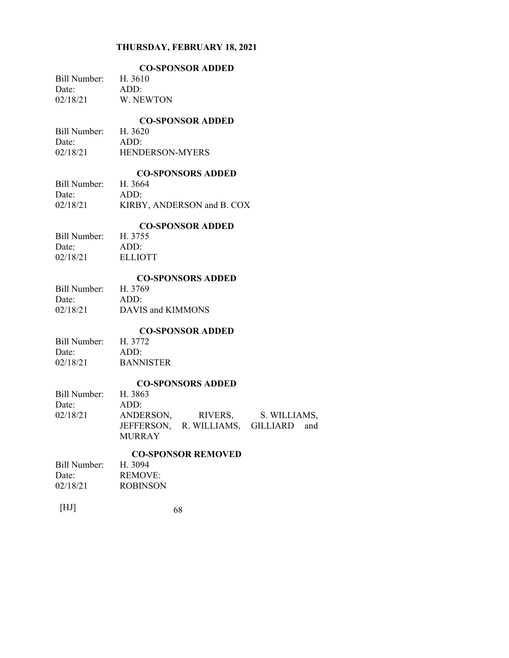|              | <b>CO-SPONSOR ADDED</b> |
|--------------|-------------------------|
| Bill Number: | H. 3610                 |
| Date:        | ADD:                    |
| 02/18/21     | W NEWTON                |

# **CO-SPONSOR ADDED**

| Bill Number: | H. 3620                |
|--------------|------------------------|
| Date:        | ADD:                   |
| 02/18/21     | <b>HENDERSON-MYERS</b> |

#### **CO-SPONSORS ADDED**

|              | CO DI ORDONO ADDLD         |
|--------------|----------------------------|
| Bill Number: | H. 3664                    |
| Date:        | $ADD^*$                    |
| 02/18/21     | KIRBY, ANDERSON and B. COX |

# **CO-SPONSOR ADDED**

| . <i>.</i> . |
|--------------|
| H. 3755      |
| ADD:         |
| ELLIOTT      |
|              |

## **CO-SPONSORS ADDED**

| Bill Number: | H. 3769           |
|--------------|-------------------|
| Date:        | ADD:              |
| 02/18/21     | DAVIS and KIMMONS |

# **CO-SPONSOR ADDED**

| H. 3772          |
|------------------|
| ADD:             |
| <b>BANNISTER</b> |
|                  |

# **CO-SPONSORS ADDED**

|                      |               | CO-91 OR9ON9 ADDED                   |  |
|----------------------|---------------|--------------------------------------|--|
| Bill Number: H. 3863 |               |                                      |  |
| Date:                | ADD:          |                                      |  |
| 02/18/21             |               | ANDERSON, RIVERS, S. WILLIAMS,       |  |
|                      | <b>MURRAY</b> | JEFFERSON, R. WILLIAMS, GILLIARD and |  |

# **CO-SPONSOR REMOVED**

| H. 3094         |  |
|-----------------|--|
| <b>REMOVE:</b>  |  |
| <b>ROBINSON</b> |  |
|                 |  |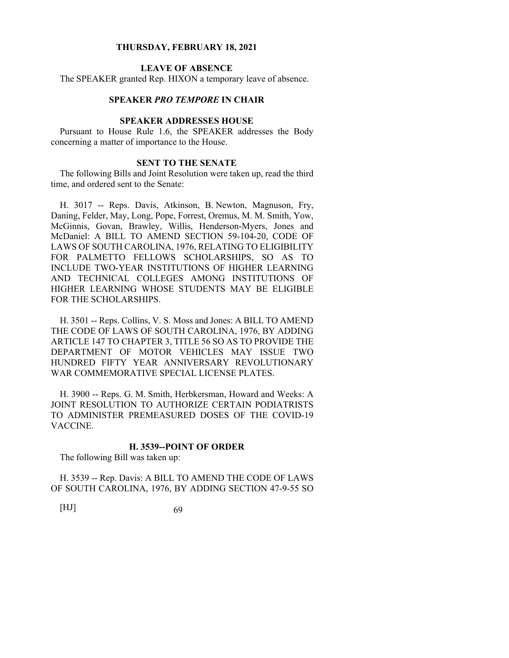# **LEAVE OF ABSENCE**

The SPEAKER granted Rep. HIXON a temporary leave of absence.

# **SPEAKER** *PRO TEMPORE* **IN CHAIR**

#### **SPEAKER ADDRESSES HOUSE**

Pursuant to House Rule 1.6, the SPEAKER addresses the Body concerning a matter of importance to the House.

#### **SENT TO THE SENATE**

The following Bills and Joint Resolution were taken up, read the third time, and ordered sent to the Senate:

H. 3017 -- Reps. Davis, Atkinson, B. Newton, Magnuson, Fry, Daning, Felder, May, Long, Pope, Forrest, Oremus, M. M. Smith, Yow, McGinnis, Govan, Brawley, Willis, Henderson-Myers, Jones and McDaniel: A BILL TO AMEND SECTION 59-104-20, CODE OF LAWS OF SOUTH CAROLINA, 1976, RELATING TO ELIGIBILITY FOR PALMETTO FELLOWS SCHOLARSHIPS, SO AS TO INCLUDE TWO-YEAR INSTITUTIONS OF HIGHER LEARNING AND TECHNICAL COLLEGES AMONG INSTITUTIONS OF HIGHER LEARNING WHOSE STUDENTS MAY BE ELIGIBLE FOR THE SCHOLARSHIPS.

H. 3501 -- Reps. Collins, V. S. Moss and Jones: A BILL TO AMEND THE CODE OF LAWS OF SOUTH CAROLINA, 1976, BY ADDING ARTICLE 147 TO CHAPTER 3, TITLE 56 SO AS TO PROVIDE THE DEPARTMENT OF MOTOR VEHICLES MAY ISSUE TWO HUNDRED FIFTY YEAR ANNIVERSARY REVOLUTIONARY WAR COMMEMORATIVE SPECIAL LICENSE PLATES.

H. 3900 -- Reps. G. M. Smith, Herbkersman, Howard and Weeks: A JOINT RESOLUTION TO AUTHORIZE CERTAIN PODIATRISTS TO ADMINISTER PREMEASURED DOSES OF THE COVID-19 VACCINE.

#### **H. 3539--POINT OF ORDER**

The following Bill was taken up:

H. 3539 -- Rep. Davis: A BILL TO AMEND THE CODE OF LAWS OF SOUTH CAROLINA, 1976, BY ADDING SECTION 47-9-55 SO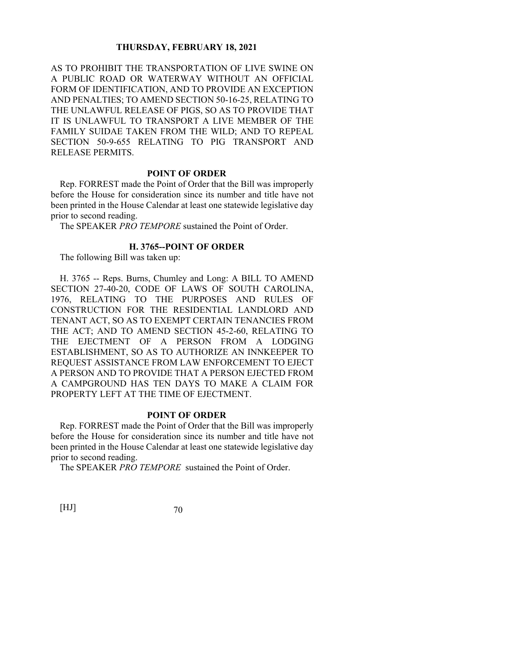AS TO PROHIBIT THE TRANSPORTATION OF LIVE SWINE ON A PUBLIC ROAD OR WATERWAY WITHOUT AN OFFICIAL FORM OF IDENTIFICATION, AND TO PROVIDE AN EXCEPTION AND PENALTIES; TO AMEND SECTION 50-16-25, RELATING TO THE UNLAWFUL RELEASE OF PIGS, SO AS TO PROVIDE THAT IT IS UNLAWFUL TO TRANSPORT A LIVE MEMBER OF THE FAMILY SUIDAE TAKEN FROM THE WILD; AND TO REPEAL SECTION 50-9-655 RELATING TO PIG TRANSPORT AND RELEASE PERMITS.

#### **POINT OF ORDER**

Rep. FORREST made the Point of Order that the Bill was improperly before the House for consideration since its number and title have not been printed in the House Calendar at least one statewide legislative day prior to second reading.

The SPEAKER *PRO TEMPORE* sustained the Point of Order.

# **H. 3765--POINT OF ORDER**

The following Bill was taken up:

H. 3765 -- Reps. Burns, Chumley and Long: A BILL TO AMEND SECTION 27-40-20, CODE OF LAWS OF SOUTH CAROLINA, 1976, RELATING TO THE PURPOSES AND RULES OF CONSTRUCTION FOR THE RESIDENTIAL LANDLORD AND TENANT ACT, SO AS TO EXEMPT CERTAIN TENANCIES FROM THE ACT; AND TO AMEND SECTION 45-2-60, RELATING TO THE EJECTMENT OF A PERSON FROM A LODGING ESTABLISHMENT, SO AS TO AUTHORIZE AN INNKEEPER TO REQUEST ASSISTANCE FROM LAW ENFORCEMENT TO EJECT A PERSON AND TO PROVIDE THAT A PERSON EJECTED FROM A CAMPGROUND HAS TEN DAYS TO MAKE A CLAIM FOR PROPERTY LEFT AT THE TIME OF EJECTMENT.

## **POINT OF ORDER**

Rep. FORREST made the Point of Order that the Bill was improperly before the House for consideration since its number and title have not been printed in the House Calendar at least one statewide legislative day prior to second reading.

The SPEAKER *PRO TEMPORE* sustained the Point of Order.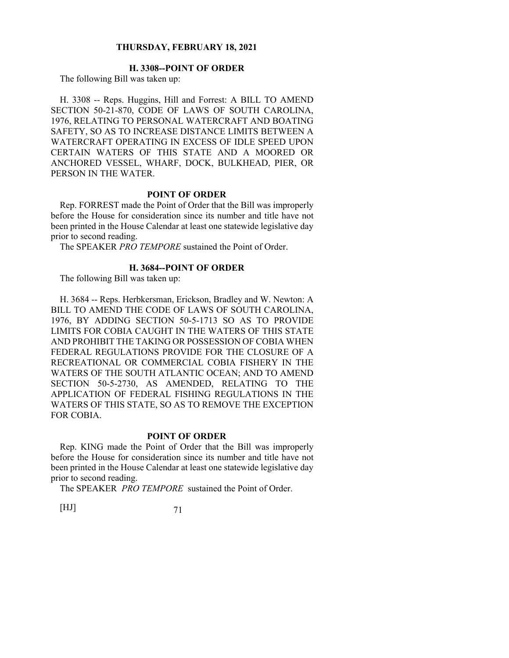# **H. 3308--POINT OF ORDER**

The following Bill was taken up:

H. 3308 -- Reps. Huggins, Hill and Forrest: A BILL TO AMEND SECTION 50-21-870, CODE OF LAWS OF SOUTH CAROLINA, 1976, RELATING TO PERSONAL WATERCRAFT AND BOATING SAFETY, SO AS TO INCREASE DISTANCE LIMITS BETWEEN A WATERCRAFT OPERATING IN EXCESS OF IDLE SPEED UPON CERTAIN WATERS OF THIS STATE AND A MOORED OR ANCHORED VESSEL, WHARF, DOCK, BULKHEAD, PIER, OR PERSON IN THE WATER.

#### **POINT OF ORDER**

Rep. FORREST made the Point of Order that the Bill was improperly before the House for consideration since its number and title have not been printed in the House Calendar at least one statewide legislative day prior to second reading.

The SPEAKER *PRO TEMPORE* sustained the Point of Order.

#### **H. 3684--POINT OF ORDER**

The following Bill was taken up:

H. 3684 -- Reps. Herbkersman, Erickson, Bradley and W. Newton: A BILL TO AMEND THE CODE OF LAWS OF SOUTH CAROLINA, 1976, BY ADDING SECTION 50-5-1713 SO AS TO PROVIDE LIMITS FOR COBIA CAUGHT IN THE WATERS OF THIS STATE AND PROHIBIT THE TAKING OR POSSESSION OF COBIA WHEN FEDERAL REGULATIONS PROVIDE FOR THE CLOSURE OF A RECREATIONAL OR COMMERCIAL COBIA FISHERY IN THE WATERS OF THE SOUTH ATLANTIC OCEAN; AND TO AMEND SECTION 50-5-2730, AS AMENDED, RELATING TO THE APPLICATION OF FEDERAL FISHING REGULATIONS IN THE WATERS OF THIS STATE, SO AS TO REMOVE THE EXCEPTION FOR COBIA.

#### **POINT OF ORDER**

Rep. KING made the Point of Order that the Bill was improperly before the House for consideration since its number and title have not been printed in the House Calendar at least one statewide legislative day prior to second reading.

The SPEAKER *PRO TEMPORE* sustained the Point of Order.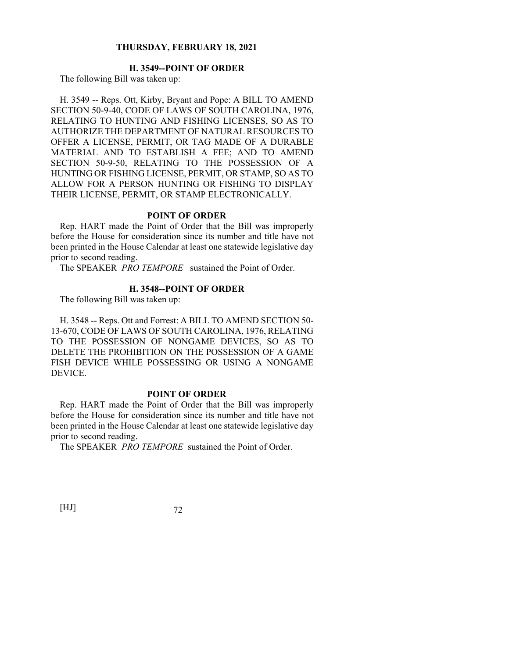## **H. 3549--POINT OF ORDER**

The following Bill was taken up:

H. 3549 -- Reps. Ott, Kirby, Bryant and Pope: A BILL TO AMEND SECTION 50-9-40, CODE OF LAWS OF SOUTH CAROLINA, 1976, RELATING TO HUNTING AND FISHING LICENSES, SO AS TO AUTHORIZE THE DEPARTMENT OF NATURAL RESOURCES TO OFFER A LICENSE, PERMIT, OR TAG MADE OF A DURABLE MATERIAL AND TO ESTABLISH A FEE; AND TO AMEND SECTION 50-9-50, RELATING TO THE POSSESSION OF A HUNTING OR FISHING LICENSE, PERMIT, OR STAMP, SO AS TO ALLOW FOR A PERSON HUNTING OR FISHING TO DISPLAY THEIR LICENSE, PERMIT, OR STAMP ELECTRONICALLY.

#### **POINT OF ORDER**

Rep. HART made the Point of Order that the Bill was improperly before the House for consideration since its number and title have not been printed in the House Calendar at least one statewide legislative day prior to second reading.

The SPEAKER *PRO TEMPORE* sustained the Point of Order.

#### **H. 3548--POINT OF ORDER**

The following Bill was taken up:

H. 3548 -- Reps. Ott and Forrest: A BILL TO AMEND SECTION 50- 13-670, CODE OF LAWS OF SOUTH CAROLINA, 1976, RELATING TO THE POSSESSION OF NONGAME DEVICES, SO AS TO DELETE THE PROHIBITION ON THE POSSESSION OF A GAME FISH DEVICE WHILE POSSESSING OR USING A NONGAME DEVICE.

#### **POINT OF ORDER**

Rep. HART made the Point of Order that the Bill was improperly before the House for consideration since its number and title have not been printed in the House Calendar at least one statewide legislative day prior to second reading.

The SPEAKER *PRO TEMPORE* sustained the Point of Order.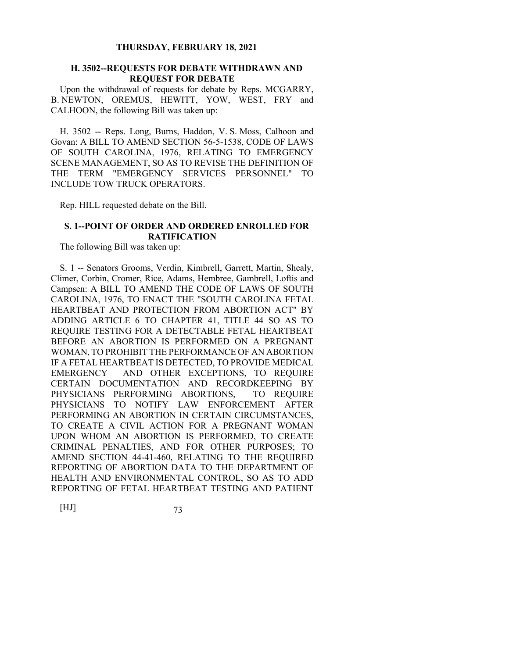### **H. 3502--REQUESTS FOR DEBATE WITHDRAWN AND REQUEST FOR DEBATE**

Upon the withdrawal of requests for debate by Reps. MCGARRY, B. NEWTON, OREMUS, HEWITT, YOW, WEST, FRY and CALHOON, the following Bill was taken up:

H. 3502 -- Reps. Long, Burns, Haddon, V. S. Moss, Calhoon and Govan: A BILL TO AMEND SECTION 56-5-1538, CODE OF LAWS OF SOUTH CAROLINA, 1976, RELATING TO EMERGENCY SCENE MANAGEMENT, SO AS TO REVISE THE DEFINITION OF THE TERM "EMERGENCY SERVICES PERSONNEL" TO INCLUDE TOW TRUCK OPERATORS.

Rep. HILL requested debate on the Bill.

#### **S. 1--POINT OF ORDER AND ORDERED ENROLLED FOR RATIFICATION**

The following Bill was taken up:

S. 1 -- Senators Grooms, Verdin, Kimbrell, Garrett, Martin, Shealy, Climer, Corbin, Cromer, Rice, Adams, Hembree, Gambrell, Loftis and Campsen: A BILL TO AMEND THE CODE OF LAWS OF SOUTH CAROLINA, 1976, TO ENACT THE "SOUTH CAROLINA FETAL HEARTBEAT AND PROTECTION FROM ABORTION ACT" BY ADDING ARTICLE 6 TO CHAPTER 41, TITLE 44 SO AS TO REQUIRE TESTING FOR A DETECTABLE FETAL HEARTBEAT BEFORE AN ABORTION IS PERFORMED ON A PREGNANT WOMAN, TO PROHIBIT THE PERFORMANCE OF AN ABORTION IF A FETAL HEARTBEAT IS DETECTED, TO PROVIDE MEDICAL EMERGENCY AND OTHER EXCEPTIONS, TO REQUIRE CERTAIN DOCUMENTATION AND RECORDKEEPING BY PHYSICIANS PERFORMING ABORTIONS, TO REQUIRE PHYSICIANS TO NOTIFY LAW ENFORCEMENT AFTER PERFORMING AN ABORTION IN CERTAIN CIRCUMSTANCES, TO CREATE A CIVIL ACTION FOR A PREGNANT WOMAN UPON WHOM AN ABORTION IS PERFORMED, TO CREATE CRIMINAL PENALTIES, AND FOR OTHER PURPOSES; TO AMEND SECTION 44-41-460, RELATING TO THE REQUIRED REPORTING OF ABORTION DATA TO THE DEPARTMENT OF HEALTH AND ENVIRONMENTAL CONTROL, SO AS TO ADD REPORTING OF FETAL HEARTBEAT TESTING AND PATIENT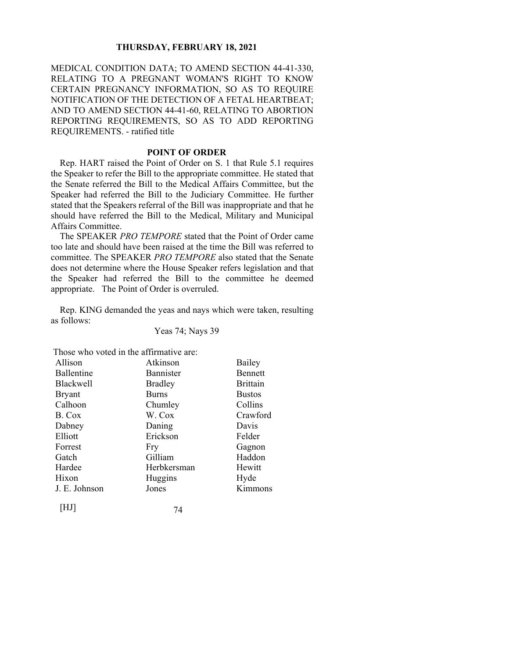MEDICAL CONDITION DATA; TO AMEND SECTION 44-41-330, RELATING TO A PREGNANT WOMAN'S RIGHT TO KNOW CERTAIN PREGNANCY INFORMATION, SO AS TO REQUIRE NOTIFICATION OF THE DETECTION OF A FETAL HEARTBEAT; AND TO AMEND SECTION 44-41-60, RELATING TO ABORTION REPORTING REQUIREMENTS, SO AS TO ADD REPORTING REQUIREMENTS. - ratified title

## **POINT OF ORDER**

Rep. HART raised the Point of Order on S. 1 that Rule 5.1 requires the Speaker to refer the Bill to the appropriate committee. He stated that the Senate referred the Bill to the Medical Affairs Committee, but the Speaker had referred the Bill to the Judiciary Committee. He further stated that the Speakers referral of the Bill was inappropriate and that he should have referred the Bill to the Medical, Military and Municipal Affairs Committee.

The SPEAKER *PRO TEMPORE* stated that the Point of Order came too late and should have been raised at the time the Bill was referred to committee. The SPEAKER *PRO TEMPORE* also stated that the Senate does not determine where the House Speaker refers legislation and that the Speaker had referred the Bill to the committee he deemed appropriate. The Point of Order is overruled.

Rep. KING demanded the yeas and nays which were taken, resulting as follows:

Yeas 74; Nays 39

Those who voted in the affirmative are:

| Allison           | Atkinson         | Bailey          |
|-------------------|------------------|-----------------|
| <b>Ballentine</b> | <b>Bannister</b> | <b>Bennett</b>  |
| <b>Blackwell</b>  | <b>Bradley</b>   | <b>Brittain</b> |
| <b>Bryant</b>     | <b>Burns</b>     | <b>Bustos</b>   |
| Calhoon           | Chumley          | Collins         |
| B. Cox            | W. Cox           | Crawford        |
| Dabney            | Daning           | Davis           |
| Elliott           | Erickson         | Felder          |
| Forrest           | Fry              | Gagnon          |
| Gatch             | Gilliam          | Haddon          |
| Hardee            | Herbkersman      | Hewitt          |
| Hixon             | Huggins          | Hyde            |
| J. E. Johnson     | Jones            | Kimmons         |
| $[\mathrm{HJI}]$  | 74               |                 |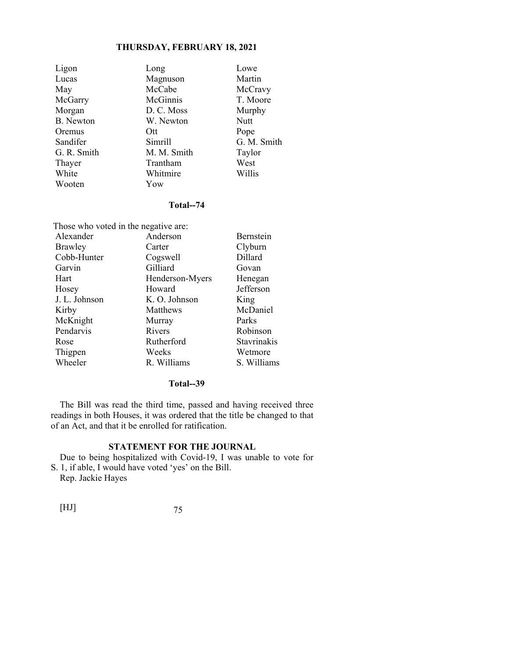| Ligon            | Long        | Lowe        |
|------------------|-------------|-------------|
| Lucas            | Magnuson    | Martin      |
| May              | McCabe      | McCravy     |
| McGarry          | McGinnis    | T. Moore    |
| Morgan           | D. C. Moss  | Murphy      |
| <b>B.</b> Newton | W. Newton   | Nutt        |
| Oremus           | Ott         | Pope        |
| Sandifer         | Simrill     | G. M. Smith |
| G. R. Smith      | M. M. Smith | Taylor      |
| Thayer           | Trantham    | West        |
| White            | Whitmire    | Willis      |
| Wooten           | Yow         |             |

## **Total--74**

| Those who voted in the negative are: |                 |             |  |
|--------------------------------------|-----------------|-------------|--|
| Alexander                            | Anderson        | Bernstein   |  |
| <b>Brawley</b>                       | Carter          | Clyburn     |  |
| Cobb-Hunter                          | Cogswell        | Dillard     |  |
| Garvin                               | Gilliard        | Govan       |  |
| Hart                                 | Henderson-Myers | Henegan     |  |
| Hosey                                | Howard          | Jefferson   |  |
| J. L. Johnson                        | K. O. Johnson   | King        |  |
| Kirby                                | Matthews        | McDaniel    |  |
| McKnight                             | Murray          | Parks       |  |
| Pendarvis                            | Rivers          | Robinson    |  |
| Rose                                 | Rutherford      | Stavrinakis |  |
| Thigpen                              | Weeks           | Wetmore     |  |
| Wheeler                              | R. Williams     | S. Williams |  |

## **Total--39**

The Bill was read the third time, passed and having received three readings in both Houses, it was ordered that the title be changed to that of an Act, and that it be enrolled for ratification.

## **STATEMENT FOR THE JOURNAL**

 Due to being hospitalized with Covid-19, I was unable to vote for S. 1, if able, I would have voted 'yes' on the Bill.

Rep. Jackie Hayes

| [HJ] |  |
|------|--|
|      |  |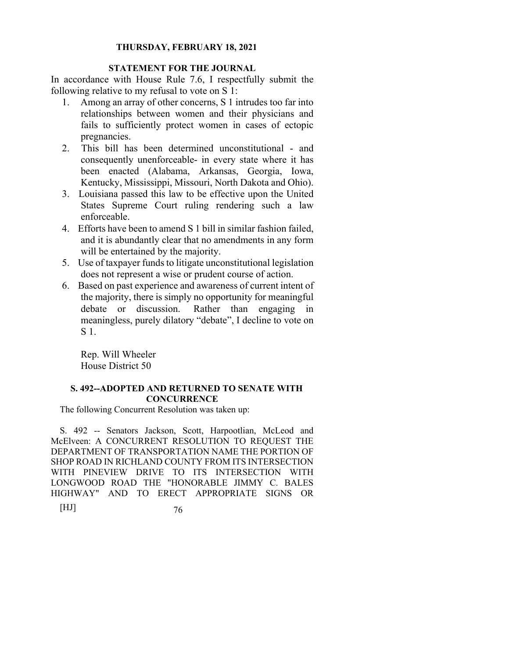## **STATEMENT FOR THE JOURNAL**

In accordance with House Rule 7.6, I respectfully submit the following relative to my refusal to vote on S 1:

- 1. Among an array of other concerns, S 1 intrudes too far into relationships between women and their physicians and fails to sufficiently protect women in cases of ectopic pregnancies.
- 2. This bill has been determined unconstitutional and consequently unenforceable- in every state where it has been enacted (Alabama, Arkansas, Georgia, Iowa, Kentucky, Mississippi, Missouri, North Dakota and Ohio).
- 3. Louisiana passed this law to be effective upon the United States Supreme Court ruling rendering such a law enforceable.
- 4. Efforts have been to amend S 1 bill in similar fashion failed, and it is abundantly clear that no amendments in any form will be entertained by the majority.
- 5. Use of taxpayer funds to litigate unconstitutional legislation does not represent a wise or prudent course of action.
- 6. Based on past experience and awareness of current intent of the majority, there is simply no opportunity for meaningful debate or discussion. Rather than engaging in meaningless, purely dilatory "debate", I decline to vote on S 1.

 Rep. Will Wheeler House District 50

## **S. 492--ADOPTED AND RETURNED TO SENATE WITH CONCURRENCE**

The following Concurrent Resolution was taken up:

S. 492 -- Senators Jackson, Scott, Harpootlian, McLeod and McElveen: A CONCURRENT RESOLUTION TO REQUEST THE DEPARTMENT OF TRANSPORTATION NAME THE PORTION OF SHOP ROAD IN RICHLAND COUNTY FROM ITS INTERSECTION WITH PINEVIEW DRIVE TO ITS INTERSECTION WITH LONGWOOD ROAD THE "HONORABLE JIMMY C. BALES HIGHWAY" AND TO ERECT APPROPRIATE SIGNS OR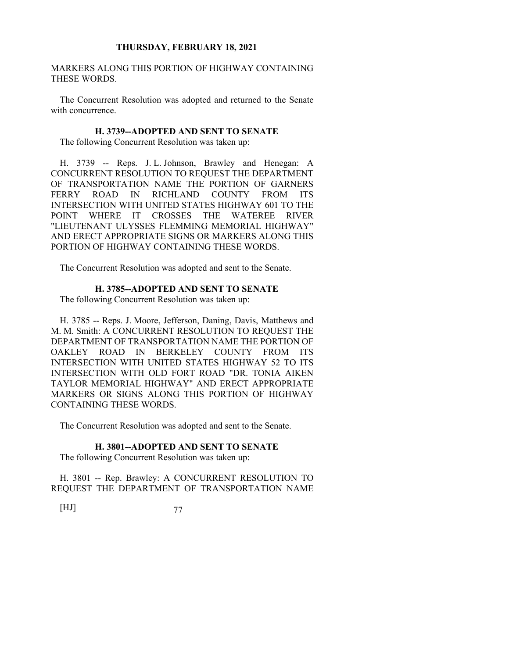MARKERS ALONG THIS PORTION OF HIGHWAY CONTAINING THESE WORDS.

The Concurrent Resolution was adopted and returned to the Senate with concurrence.

#### **H. 3739--ADOPTED AND SENT TO SENATE**

The following Concurrent Resolution was taken up:

H. 3739 -- Reps. J. L. Johnson, Brawley and Henegan: A CONCURRENT RESOLUTION TO REQUEST THE DEPARTMENT OF TRANSPORTATION NAME THE PORTION OF GARNERS FERRY ROAD IN RICHLAND COUNTY FROM ITS INTERSECTION WITH UNITED STATES HIGHWAY 601 TO THE POINT WHERE IT CROSSES THE WATEREE RIVER "LIEUTENANT ULYSSES FLEMMING MEMORIAL HIGHWAY" AND ERECT APPROPRIATE SIGNS OR MARKERS ALONG THIS PORTION OF HIGHWAY CONTAINING THESE WORDS.

The Concurrent Resolution was adopted and sent to the Senate.

### **H. 3785--ADOPTED AND SENT TO SENATE**

The following Concurrent Resolution was taken up:

H. 3785 -- Reps. J. Moore, Jefferson, Daning, Davis, Matthews and M. M. Smith: A CONCURRENT RESOLUTION TO REQUEST THE DEPARTMENT OF TRANSPORTATION NAME THE PORTION OF OAKLEY ROAD IN BERKELEY COUNTY FROM ITS INTERSECTION WITH UNITED STATES HIGHWAY 52 TO ITS INTERSECTION WITH OLD FORT ROAD "DR. TONIA AIKEN TAYLOR MEMORIAL HIGHWAY" AND ERECT APPROPRIATE MARKERS OR SIGNS ALONG THIS PORTION OF HIGHWAY CONTAINING THESE WORDS.

The Concurrent Resolution was adopted and sent to the Senate.

### **H. 3801--ADOPTED AND SENT TO SENATE**

The following Concurrent Resolution was taken up:

H. 3801 -- Rep. Brawley: A CONCURRENT RESOLUTION TO REQUEST THE DEPARTMENT OF TRANSPORTATION NAME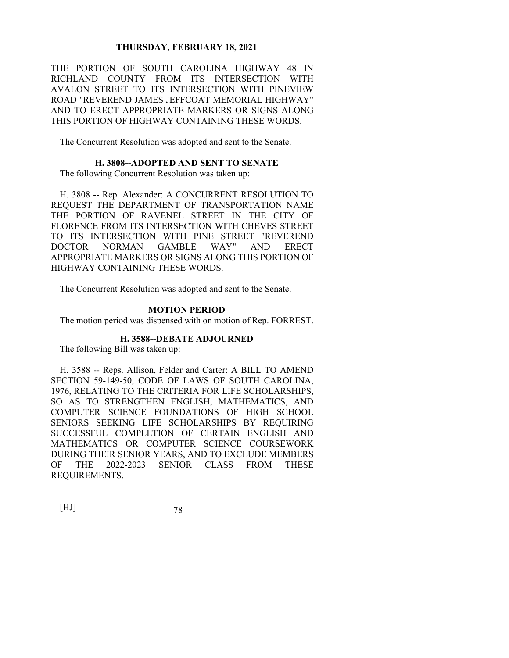THE PORTION OF SOUTH CAROLINA HIGHWAY 48 IN RICHLAND COUNTY FROM ITS INTERSECTION WITH AVALON STREET TO ITS INTERSECTION WITH PINEVIEW ROAD "REVEREND JAMES JEFFCOAT MEMORIAL HIGHWAY" AND TO ERECT APPROPRIATE MARKERS OR SIGNS ALONG THIS PORTION OF HIGHWAY CONTAINING THESE WORDS.

The Concurrent Resolution was adopted and sent to the Senate.

#### **H. 3808--ADOPTED AND SENT TO SENATE**

The following Concurrent Resolution was taken up:

H. 3808 -- Rep. Alexander: A CONCURRENT RESOLUTION TO REQUEST THE DEPARTMENT OF TRANSPORTATION NAME THE PORTION OF RAVENEL STREET IN THE CITY OF FLORENCE FROM ITS INTERSECTION WITH CHEVES STREET TO ITS INTERSECTION WITH PINE STREET "REVEREND DOCTOR NORMAN GAMBLE WAY" AND ERECT APPROPRIATE MARKERS OR SIGNS ALONG THIS PORTION OF HIGHWAY CONTAINING THESE WORDS.

The Concurrent Resolution was adopted and sent to the Senate.

#### **MOTION PERIOD**

The motion period was dispensed with on motion of Rep. FORREST.

## **H. 3588--DEBATE ADJOURNED**

The following Bill was taken up:

H. 3588 -- Reps. Allison, Felder and Carter: A BILL TO AMEND SECTION 59-149-50, CODE OF LAWS OF SOUTH CAROLINA, 1976, RELATING TO THE CRITERIA FOR LIFE SCHOLARSHIPS, SO AS TO STRENGTHEN ENGLISH, MATHEMATICS, AND COMPUTER SCIENCE FOUNDATIONS OF HIGH SCHOOL SENIORS SEEKING LIFE SCHOLARSHIPS BY REQUIRING SUCCESSFUL COMPLETION OF CERTAIN ENGLISH AND MATHEMATICS OR COMPUTER SCIENCE COURSEWORK DURING THEIR SENIOR YEARS, AND TO EXCLUDE MEMBERS OF THE 2022-2023 SENIOR CLASS FROM THESE REQUIREMENTS.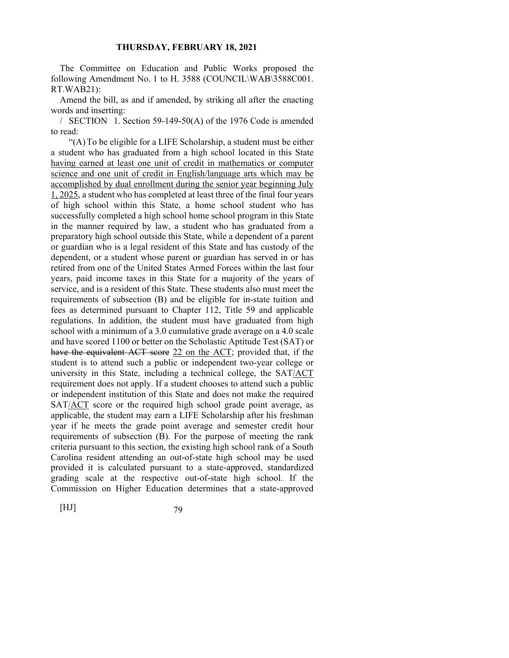The Committee on Education and Public Works proposed the following Amendment No. 1 to H. 3588 (COUNCIL\WAB\3588C001. RT.WAB21):

Amend the bill, as and if amended, by striking all after the enacting words and inserting:

/ SECTION 1. Section 59-149-50(A) of the 1976 Code is amended to read:

 "(A) To be eligible for a LIFE Scholarship, a student must be either a student who has graduated from a high school located in this State having earned at least one unit of credit in mathematics or computer science and one unit of credit in English/language arts which may be accomplished by dual enrollment during the senior year beginning July 1, 2025, a student who has completed at least three of the final four years of high school within this State, a home school student who has successfully completed a high school home school program in this State in the manner required by law, a student who has graduated from a preparatory high school outside this State, while a dependent of a parent or guardian who is a legal resident of this State and has custody of the dependent, or a student whose parent or guardian has served in or has retired from one of the United States Armed Forces within the last four years, paid income taxes in this State for a majority of the years of service, and is a resident of this State. These students also must meet the requirements of subsection (B) and be eligible for in-state tuition and fees as determined pursuant to Chapter 112, Title 59 and applicable regulations. In addition, the student must have graduated from high school with a minimum of a 3.0 cumulative grade average on a 4.0 scale and have scored 1100 or better on the Scholastic Aptitude Test (SAT) or have the equivalent ACT score 22 on the ACT; provided that, if the student is to attend such a public or independent two-year college or university in this State, including a technical college, the SAT/ACT requirement does not apply. If a student chooses to attend such a public or independent institution of this State and does not make the required SAT/ACT score or the required high school grade point average, as applicable, the student may earn a LIFE Scholarship after his freshman year if he meets the grade point average and semester credit hour requirements of subsection (B). For the purpose of meeting the rank criteria pursuant to this section, the existing high school rank of a South Carolina resident attending an out-of-state high school may be used provided it is calculated pursuant to a state-approved, standardized grading scale at the respective out-of-state high school. If the Commission on Higher Education determines that a state-approved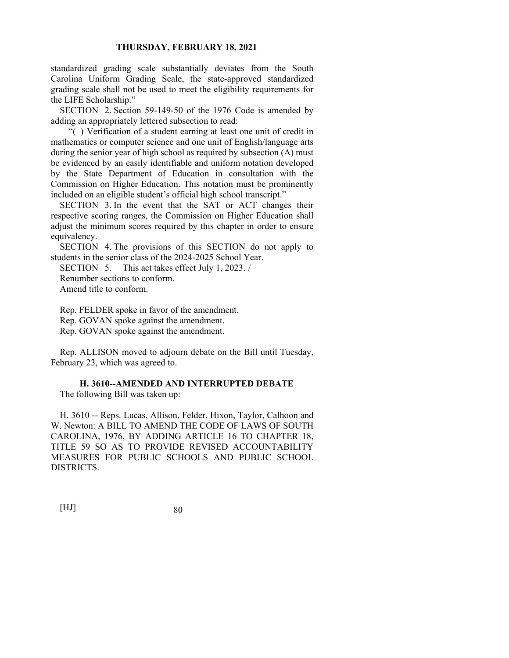standardized grading scale substantially deviates from the South Carolina Uniform Grading Scale, the state-approved standardized grading scale shall not be used to meet the eligibility requirements for the LIFE Scholarship."

SECTION 2. Section 59-149-50 of the 1976 Code is amended by adding an appropriately lettered subsection to read:

 "( ) Verification of a student earning at least one unit of credit in mathematics or computer science and one unit of English/language arts during the senior year of high school as required by subsection (A) must be evidenced by an easily identifiable and uniform notation developed by the State Department of Education in consultation with the Commission on Higher Education. This notation must be prominently included on an eligible student's official high school transcript."

SECTION 3. In the event that the SAT or ACT changes their respective scoring ranges, the Commission on Higher Education shall adjust the minimum scores required by this chapter in order to ensure equivalency.

SECTION 4. The provisions of this SECTION do not apply to students in the senior class of the 2024-2025 School Year.

SECTION 5. This act takes effect July 1, 2023. /

Renumber sections to conform.

Amend title to conform.

Rep. FELDER spoke in favor of the amendment. Rep. GOVAN spoke against the amendment. Rep. GOVAN spoke against the amendment.

Rep. ALLISON moved to adjourn debate on the Bill until Tuesday, February 23, which was agreed to.

**H. 3610--AMENDED AND INTERRUPTED DEBATE** 

The following Bill was taken up:

H. 3610 -- Reps. Lucas, Allison, Felder, Hixon, Taylor, Calhoon and W. Newton: A BILL TO AMEND THE CODE OF LAWS OF SOUTH CAROLINA, 1976, BY ADDING ARTICLE 16 TO CHAPTER 18, TITLE 59 SO AS TO PROVIDE REVISED ACCOUNTABILITY MEASURES FOR PUBLIC SCHOOLS AND PUBLIC SCHOOL DISTRICTS.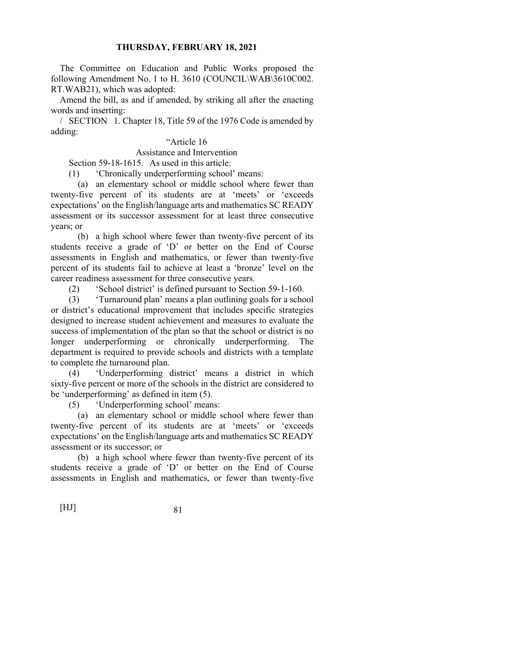The Committee on Education and Public Works proposed the following Amendment No. 1 to H. 3610 (COUNCIL\WAB\3610C002. RT.WAB21), which was adopted:

Amend the bill, as and if amended, by striking all after the enacting words and inserting:

/ SECTION 1. Chapter 18, Title 59 of the 1976 Code is amended by adding:

# "Article 16

## Assistance and Intervention

Section 59-18-1615. As used in this article:

(1) 'Chronically underperforming school' means:

 (a) an elementary school or middle school where fewer than twenty-five percent of its students are at 'meets' or 'exceeds expectations' on the English/language arts and mathematics SC READY assessment or its successor assessment for at least three consecutive years; or

 (b) a high school where fewer than twenty-five percent of its students receive a grade of 'D' or better on the End of Course assessments in English and mathematics, or fewer than twenty-five percent of its students fail to achieve at least a 'bronze' level on the career readiness assessment for three consecutive years.

(2) 'School district' is defined pursuant to Section 59-1-160.

 (3) 'Turnaround plan' means a plan outlining goals for a school or district's educational improvement that includes specific strategies designed to increase student achievement and measures to evaluate the success of implementation of the plan so that the school or district is no longer underperforming or chronically underperforming. The department is required to provide schools and districts with a template to complete the turnaround plan.

 (4) 'Underperforming district' means a district in which sixty-five percent or more of the schools in the district are considered to be 'underperforming' as defined in item (5).

(5) 'Underperforming school' means:

(a) an elementary school or middle school where fewer than twenty-five percent of its students are at 'meets' or 'exceeds expectations' on the English/language arts and mathematics SC READY assessment or its successor; or

 (b) a high school where fewer than twenty-five percent of its students receive a grade of 'D' or better on the End of Course assessments in English and mathematics, or fewer than twenty-five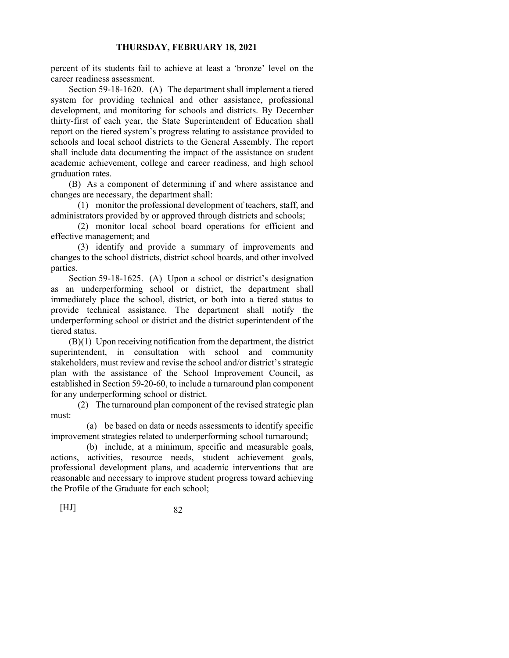percent of its students fail to achieve at least a 'bronze' level on the career readiness assessment.

 Section 59-18-1620. (A) The department shall implement a tiered system for providing technical and other assistance, professional development, and monitoring for schools and districts. By December thirty-first of each year, the State Superintendent of Education shall report on the tiered system's progress relating to assistance provided to schools and local school districts to the General Assembly. The report shall include data documenting the impact of the assistance on student academic achievement, college and career readiness, and high school graduation rates.

 (B) As a component of determining if and where assistance and changes are necessary, the department shall:

 (1) monitor the professional development of teachers, staff, and administrators provided by or approved through districts and schools;

 (2) monitor local school board operations for efficient and effective management; and

 (3) identify and provide a summary of improvements and changes to the school districts, district school boards, and other involved parties.

 Section 59-18-1625. (A) Upon a school or district's designation as an underperforming school or district, the department shall immediately place the school, district, or both into a tiered status to provide technical assistance. The department shall notify the underperforming school or district and the district superintendent of the tiered status.

 (B)(1) Upon receiving notification from the department, the district superintendent, in consultation with school and community stakeholders, must review and revise the school and/or district's strategic plan with the assistance of the School Improvement Council, as established in Section 59-20-60, to include a turnaround plan component for any underperforming school or district.

 (2) The turnaround plan component of the revised strategic plan must:

 (a) be based on data or needs assessments to identify specific improvement strategies related to underperforming school turnaround;

 (b) include, at a minimum, specific and measurable goals, actions, activities, resource needs, student achievement goals, professional development plans, and academic interventions that are reasonable and necessary to improve student progress toward achieving the Profile of the Graduate for each school;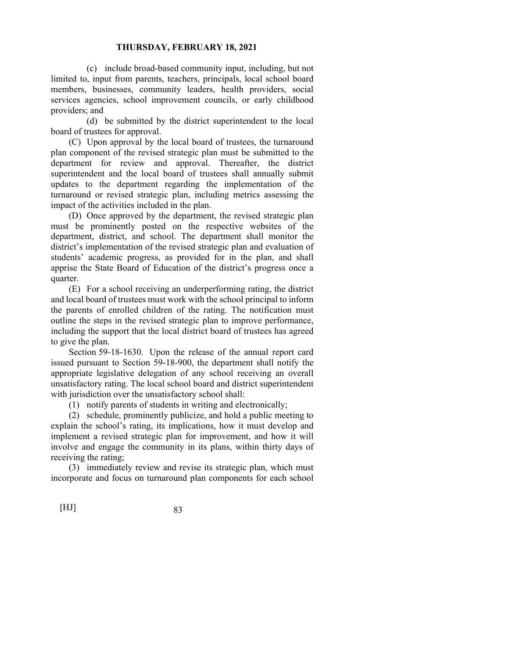(c) include broad-based community input, including, but not limited to, input from parents, teachers, principals, local school board members, businesses, community leaders, health providers, social services agencies, school improvement councils, or early childhood providers; and

 (d) be submitted by the district superintendent to the local board of trustees for approval.

 (C) Upon approval by the local board of trustees, the turnaround plan component of the revised strategic plan must be submitted to the department for review and approval. Thereafter, the district superintendent and the local board of trustees shall annually submit updates to the department regarding the implementation of the turnaround or revised strategic plan, including metrics assessing the impact of the activities included in the plan.

 (D) Once approved by the department, the revised strategic plan must be prominently posted on the respective websites of the department, district, and school. The department shall monitor the district's implementation of the revised strategic plan and evaluation of students' academic progress, as provided for in the plan, and shall apprise the State Board of Education of the district's progress once a quarter.

 (E) For a school receiving an underperforming rating, the district and local board of trustees must work with the school principal to inform the parents of enrolled children of the rating. The notification must outline the steps in the revised strategic plan to improve performance, including the support that the local district board of trustees has agreed to give the plan.

 Section 59-18-1630. Upon the release of the annual report card issued pursuant to Section 59-18-900, the department shall notify the appropriate legislative delegation of any school receiving an overall unsatisfactory rating. The local school board and district superintendent with jurisdiction over the unsatisfactory school shall:

(1) notify parents of students in writing and electronically;

 (2) schedule, prominently publicize, and hold a public meeting to explain the school's rating, its implications, how it must develop and implement a revised strategic plan for improvement, and how it will involve and engage the community in its plans, within thirty days of receiving the rating;

 (3) immediately review and revise its strategic plan, which must incorporate and focus on turnaround plan components for each school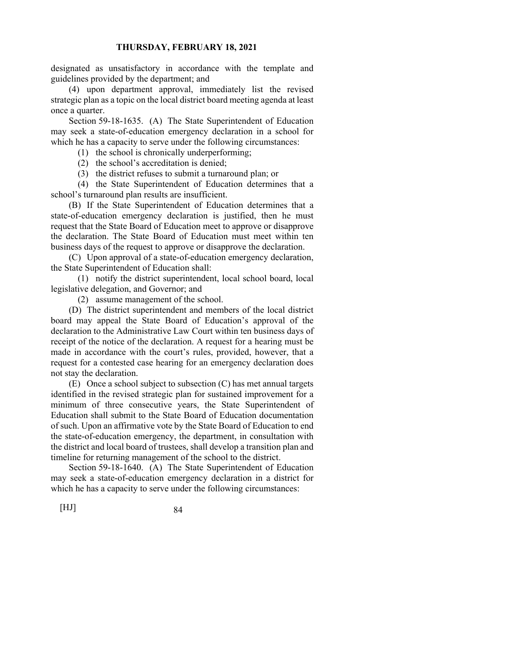designated as unsatisfactory in accordance with the template and guidelines provided by the department; and

 (4) upon department approval, immediately list the revised strategic plan as a topic on the local district board meeting agenda at least once a quarter.

 Section 59-18-1635. (A) The State Superintendent of Education may seek a state-of-education emergency declaration in a school for which he has a capacity to serve under the following circumstances:

(1) the school is chronically underperforming;

(2) the school's accreditation is denied;

(3) the district refuses to submit a turnaround plan; or

 (4) the State Superintendent of Education determines that a school's turnaround plan results are insufficient.

 (B) If the State Superintendent of Education determines that a state-of-education emergency declaration is justified, then he must request that the State Board of Education meet to approve or disapprove the declaration. The State Board of Education must meet within ten business days of the request to approve or disapprove the declaration.

 (C) Upon approval of a state-of-education emergency declaration, the State Superintendent of Education shall:

 (1) notify the district superintendent, local school board, local legislative delegation, and Governor; and

(2) assume management of the school.

 (D) The district superintendent and members of the local district board may appeal the State Board of Education's approval of the declaration to the Administrative Law Court within ten business days of receipt of the notice of the declaration. A request for a hearing must be made in accordance with the court's rules, provided, however, that a request for a contested case hearing for an emergency declaration does not stay the declaration.

 (E) Once a school subject to subsection (C) has met annual targets identified in the revised strategic plan for sustained improvement for a minimum of three consecutive years, the State Superintendent of Education shall submit to the State Board of Education documentation of such. Upon an affirmative vote by the State Board of Education to end the state-of-education emergency, the department, in consultation with the district and local board of trustees, shall develop a transition plan and timeline for returning management of the school to the district.

 Section 59-18-1640. (A) The State Superintendent of Education may seek a state-of-education emergency declaration in a district for which he has a capacity to serve under the following circumstances: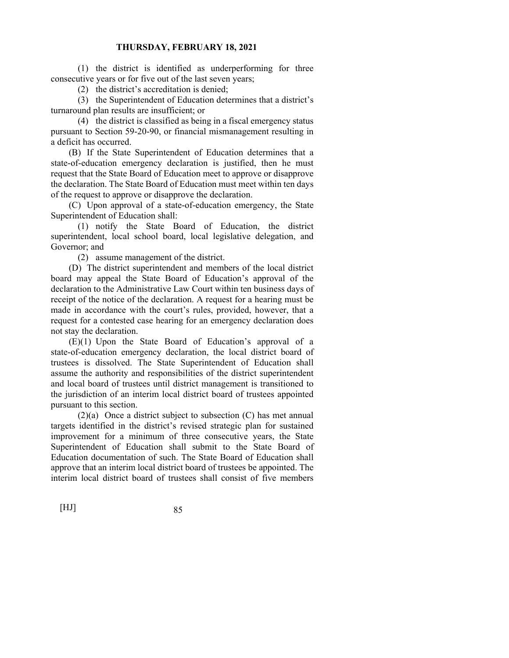(1) the district is identified as underperforming for three consecutive years or for five out of the last seven years;

(2) the district's accreditation is denied;

 (3) the Superintendent of Education determines that a district's turnaround plan results are insufficient; or

 (4) the district is classified as being in a fiscal emergency status pursuant to Section 59-20-90, or financial mismanagement resulting in a deficit has occurred.

 (B) If the State Superintendent of Education determines that a state-of-education emergency declaration is justified, then he must request that the State Board of Education meet to approve or disapprove the declaration. The State Board of Education must meet within ten days of the request to approve or disapprove the declaration.

 (C) Upon approval of a state-of-education emergency, the State Superintendent of Education shall:

 (1) notify the State Board of Education, the district superintendent, local school board, local legislative delegation, and Governor; and

(2) assume management of the district.

 (D) The district superintendent and members of the local district board may appeal the State Board of Education's approval of the declaration to the Administrative Law Court within ten business days of receipt of the notice of the declaration. A request for a hearing must be made in accordance with the court's rules, provided, however, that a request for a contested case hearing for an emergency declaration does not stay the declaration.

 (E)(1) Upon the State Board of Education's approval of a state-of-education emergency declaration, the local district board of trustees is dissolved. The State Superintendent of Education shall assume the authority and responsibilities of the district superintendent and local board of trustees until district management is transitioned to the jurisdiction of an interim local district board of trustees appointed pursuant to this section.

 (2)(a) Once a district subject to subsection (C) has met annual targets identified in the district's revised strategic plan for sustained improvement for a minimum of three consecutive years, the State Superintendent of Education shall submit to the State Board of Education documentation of such. The State Board of Education shall approve that an interim local district board of trustees be appointed. The interim local district board of trustees shall consist of five members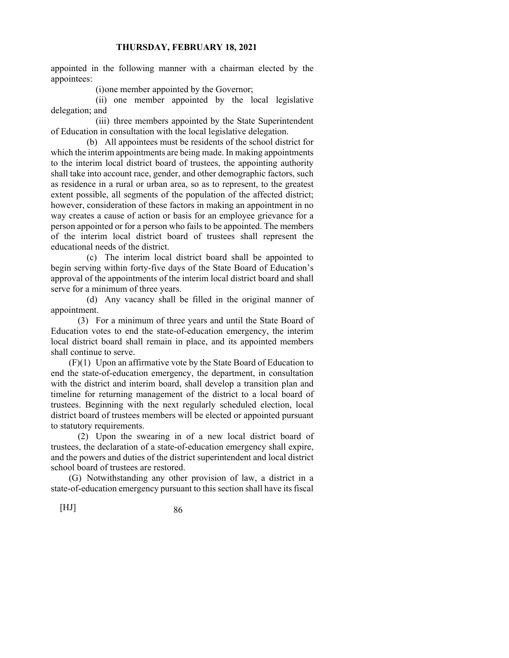appointed in the following manner with a chairman elected by the appointees:

(i) one member appointed by the Governor;

 (ii) one member appointed by the local legislative delegation; and

 (iii) three members appointed by the State Superintendent of Education in consultation with the local legislative delegation.

 (b) All appointees must be residents of the school district for which the interim appointments are being made. In making appointments to the interim local district board of trustees, the appointing authority shall take into account race, gender, and other demographic factors, such as residence in a rural or urban area, so as to represent, to the greatest extent possible, all segments of the population of the affected district; however, consideration of these factors in making an appointment in no way creates a cause of action or basis for an employee grievance for a person appointed or for a person who fails to be appointed. The members of the interim local district board of trustees shall represent the educational needs of the district.

 (c) The interim local district board shall be appointed to begin serving within forty-five days of the State Board of Education's approval of the appointments of the interim local district board and shall serve for a minimum of three years.

 (d) Any vacancy shall be filled in the original manner of appointment.

 (3) For a minimum of three years and until the State Board of Education votes to end the state-of-education emergency, the interim local district board shall remain in place, and its appointed members shall continue to serve.

 (F)(1) Upon an affirmative vote by the State Board of Education to end the state-of-education emergency, the department, in consultation with the district and interim board, shall develop a transition plan and timeline for returning management of the district to a local board of trustees. Beginning with the next regularly scheduled election, local district board of trustees members will be elected or appointed pursuant to statutory requirements.

 (2) Upon the swearing in of a new local district board of trustees, the declaration of a state-of-education emergency shall expire, and the powers and duties of the district superintendent and local district school board of trustees are restored.

 (G) Notwithstanding any other provision of law, a district in a state-of-education emergency pursuant to this section shall have its fiscal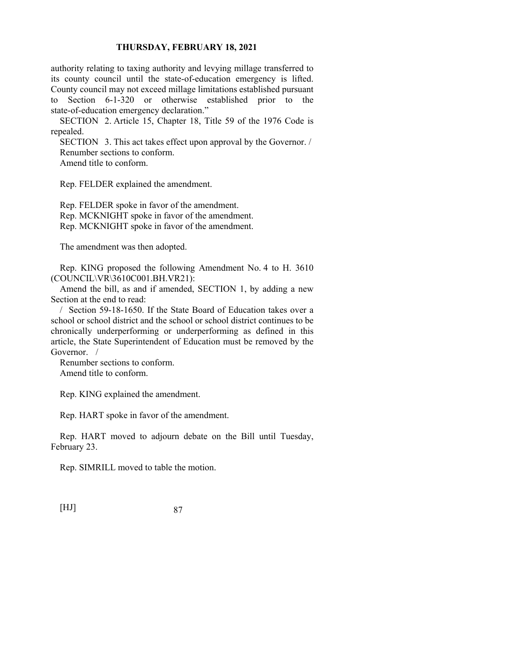authority relating to taxing authority and levying millage transferred to its county council until the state-of-education emergency is lifted. County council may not exceed millage limitations established pursuant to Section 6-1-320 or otherwise established prior to the state-of-education emergency declaration."

SECTION 2. Article 15, Chapter 18, Title 59 of the 1976 Code is repealed.

SECTION 3. This act takes effect upon approval by the Governor. / Renumber sections to conform. Amend title to conform.

Rep. FELDER explained the amendment.

Rep. FELDER spoke in favor of the amendment. Rep. MCKNIGHT spoke in favor of the amendment. Rep. MCKNIGHT spoke in favor of the amendment.

The amendment was then adopted.

Rep. KING proposed the following Amendment No. 4 to H. 3610 (COUNCIL\VR\3610C001.BH.VR21):

Amend the bill, as and if amended, SECTION 1, by adding a new Section at the end to read:

/ Section 59-18-1650. If the State Board of Education takes over a school or school district and the school or school district continues to be chronically underperforming or underperforming as defined in this article, the State Superintendent of Education must be removed by the Governor. /

Renumber sections to conform. Amend title to conform.

Rep. KING explained the amendment.

Rep. HART spoke in favor of the amendment.

Rep. HART moved to adjourn debate on the Bill until Tuesday, February 23.

Rep. SIMRILL moved to table the motion.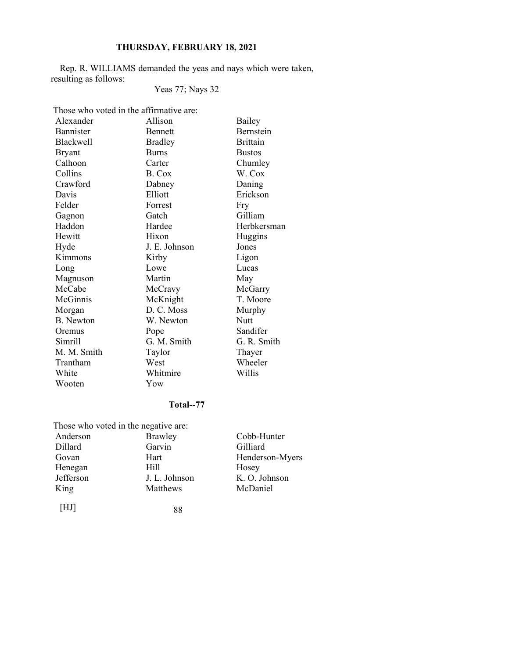Rep. R. WILLIAMS demanded the yeas and nays which were taken, resulting as follows:

# Yeas 77; Nays 32

Those who voted in the affirmative are:

| Alexander        | Allison        | Bailey           |
|------------------|----------------|------------------|
| Bannister        | <b>Bennett</b> | <b>Bernstein</b> |
| <b>Blackwell</b> | <b>Bradley</b> | <b>Brittain</b>  |
| <b>Bryant</b>    | <b>Burns</b>   | <b>Bustos</b>    |
| Calhoon          | Carter         | Chumley          |
| Collins          | B. Cox         | W. Cox           |
| Crawford         | Dabney         | Daning           |
| Davis            | Elliott        | Erickson         |
| Felder           | Forrest        | Fry              |
| Gagnon           | Gatch          | Gilliam          |
| Haddon           | Hardee         | Herbkersman      |
| Hewitt           | Hixon          | Huggins          |
| Hyde             | J. E. Johnson  | Jones            |
| Kimmons          | Kirby          | Ligon            |
| Long             | Lowe           | Lucas            |
| Magnuson         | Martin         | May              |
| McCabe           | McCravy        | McGarry          |
| McGinnis         | McKnight       | T. Moore         |
| Morgan           | D. C. Moss     | Murphy           |
| <b>B.</b> Newton | W. Newton      | Nutt             |
| Oremus           | Pope           | Sandifer         |
| Simrill          | G. M. Smith    | G. R. Smith      |
| M. M. Smith      | Taylor         | Thayer           |
| Trantham         | West           | Wheeler          |
| White            | Whitmire       | Willis           |
| Wooten           | Yow            |                  |

## **Total--77**

|           | Those who voted in the negative are: |                 |
|-----------|--------------------------------------|-----------------|
| Anderson  | <b>Brawley</b>                       | Cobb-Hunter     |
| Dillard   | Garvin                               | Gilliard        |
| Govan     | Hart                                 | Henderson-Myers |
| Henegan   | Hill                                 | Hosey           |
| Jefferson | J. L. Johnson                        | K. O. Johnson   |
| King      | Matthews                             | McDaniel        |
|           |                                      |                 |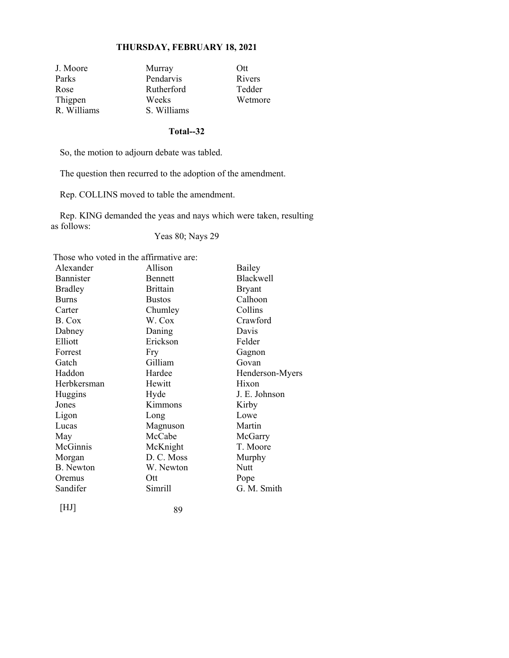| J. Moore    | Murray      | Ott     |
|-------------|-------------|---------|
| Parks       | Pendarvis   | Rivers  |
| Rose        | Rutherford  | Tedder  |
| Thigpen     | Weeks       | Wetmore |
| R. Williams | S. Williams |         |

#### **Total--32**

So, the motion to adjourn debate was tabled.

The question then recurred to the adoption of the amendment.

Rep. COLLINS moved to table the amendment.

Rep. KING demanded the yeas and nays which were taken, resulting as follows:

Yeas 80; Nays 29

Those who voted in the affirmative are:

| Alexander      | Allison         | Bailey          |
|----------------|-----------------|-----------------|
| Bannister      | <b>Bennett</b>  | Blackwell       |
| <b>Bradley</b> | <b>Brittain</b> | <b>Bryant</b>   |
| <b>Burns</b>   | <b>Bustos</b>   | Calhoon         |
| Carter         | Chumley         | Collins         |
| B. Cox         | W. Cox          | Crawford        |
| Dabney         | Daning          | Davis           |
| Elliott        | Erickson        | Felder          |
| Forrest        | Fry             | Gagnon          |
| Gatch          | Gilliam         | Govan           |
| Haddon         | Hardee          | Henderson-Myers |
| Herbkersman    | Hewitt          | Hixon           |
| Huggins        | Hyde            | J. E. Johnson   |
| Jones          | Kimmons         | Kirby           |
| Ligon          | Long            | Lowe            |
| Lucas          | Magnuson        | Martin          |
| May            | McCabe          | McGarry         |
| McGinnis       | McKnight        | T. Moore        |
| Morgan         | D. C. Moss      | Murphy          |
| B. Newton      | W. Newton       | <b>Nutt</b>     |
| Oremus         | Ott             | Pope            |
| Sandifer       | Simrill         | G. M. Smith     |
| [HJ]           | 89              |                 |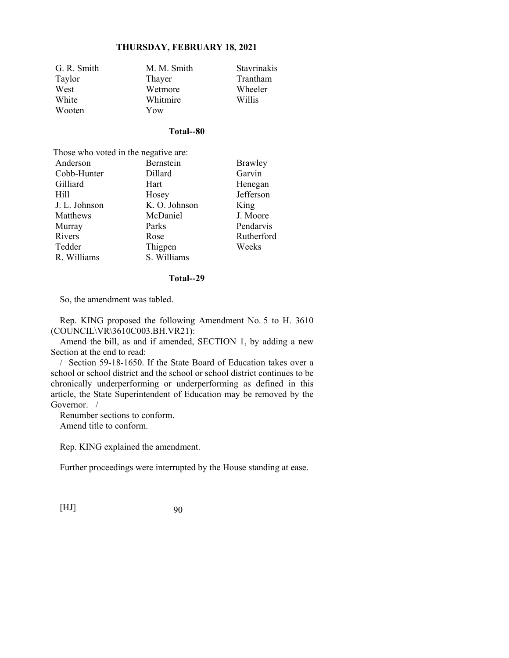| G. R. Smith | M. M. Smith | Stavrinakis |
|-------------|-------------|-------------|
| Taylor      | Thayer      | Trantham    |
| West        | Wetmore     | Wheeler     |
| White       | Whitmire    | Willis      |
| Wooten      | Yow         |             |

### **Total--80**

| Those who voted in the negative are: |               |                |  |
|--------------------------------------|---------------|----------------|--|
| Anderson                             | Bernstein     | <b>Brawley</b> |  |
| Cobb-Hunter                          | Dillard       | Garvin         |  |
| Gilliard                             | Hart          | Henegan        |  |
| Hill                                 | Hosey         | Jefferson      |  |
| J. L. Johnson                        | K. O. Johnson | King           |  |
| Matthews                             | McDaniel      | J. Moore       |  |
| Murray                               | Parks         | Pendarvis      |  |
| Rivers                               | Rose          | Rutherford     |  |
| Tedder                               | Thigpen       | Weeks          |  |
| R. Williams                          | S. Williams   |                |  |

#### **Total--29**

So, the amendment was tabled.

Rep. KING proposed the following Amendment No. 5 to H. 3610 (COUNCIL\VR\3610C003.BH.VR21):

Amend the bill, as and if amended, SECTION 1, by adding a new Section at the end to read:

/ Section 59-18-1650. If the State Board of Education takes over a school or school district and the school or school district continues to be chronically underperforming or underperforming as defined in this article, the State Superintendent of Education may be removed by the Governor. /

Renumber sections to conform. Amend title to conform.

Rep. KING explained the amendment.

Further proceedings were interrupted by the House standing at ease.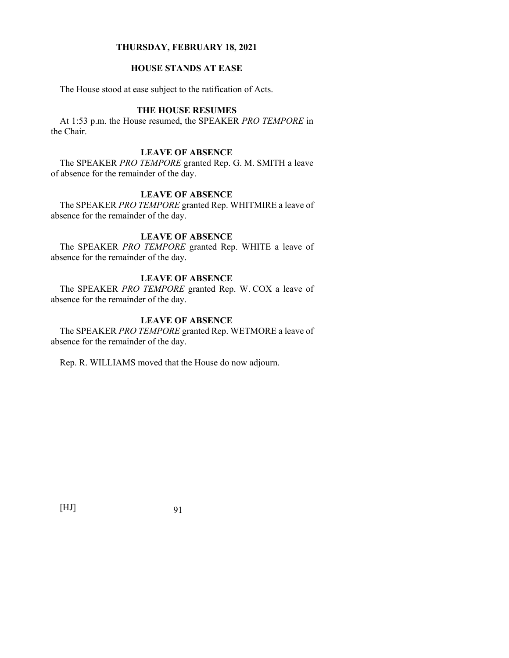## **HOUSE STANDS AT EASE**

The House stood at ease subject to the ratification of Acts.

## **THE HOUSE RESUMES**

At 1:53 p.m. the House resumed, the SPEAKER *PRO TEMPORE* in the Chair.

### **LEAVE OF ABSENCE**

The SPEAKER *PRO TEMPORE* granted Rep. G. M. SMITH a leave of absence for the remainder of the day.

## **LEAVE OF ABSENCE**

The SPEAKER *PRO TEMPORE* granted Rep. WHITMIRE a leave of absence for the remainder of the day.

## **LEAVE OF ABSENCE**

The SPEAKER *PRO TEMPORE* granted Rep. WHITE a leave of absence for the remainder of the day.

## **LEAVE OF ABSENCE**

The SPEAKER *PRO TEMPORE* granted Rep. W. COX a leave of absence for the remainder of the day.

## **LEAVE OF ABSENCE**

The SPEAKER *PRO TEMPORE* granted Rep. WETMORE a leave of absence for the remainder of the day.

Rep. R. WILLIAMS moved that the House do now adjourn.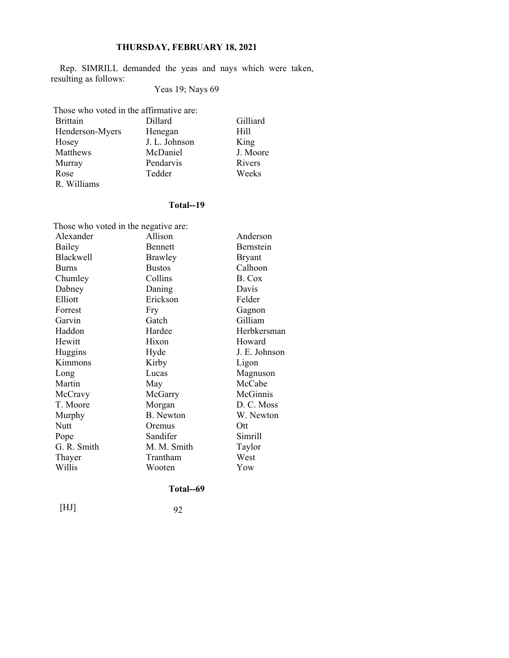Rep. SIMRILL demanded the yeas and nays which were taken, resulting as follows:

# Yeas 19; Nays 69

Those who voted in the affirmative are:

| <b>Brittain</b> | Dillard       | Gilliard |
|-----------------|---------------|----------|
| Henderson-Myers | Henegan       | Hill     |
| Hosey           | J. L. Johnson | King     |
| Matthews        | McDaniel      | J. Moore |
| Murray          | Pendarvis     | Rivers   |
| Rose            | Tedder        | Weeks    |
| R. Williams     |               |          |

## **Total--19**

| Those who voted in the negative are: |                  |               |  |
|--------------------------------------|------------------|---------------|--|
| Alexander                            | Allison          | Anderson      |  |
| Bailey                               | <b>Bennett</b>   | Bernstein     |  |
| <b>Blackwell</b>                     | Brawley          | <b>Bryant</b> |  |
| <b>Burns</b>                         | <b>Bustos</b>    | Calhoon       |  |
| Chumley                              | Collins          | B. Cox        |  |
| Dabney                               | Daning           | Davis         |  |
| Elliott                              | Erickson         | Felder        |  |
| Forrest                              | Fry              | Gagnon        |  |
| Garvin                               | Gatch            | Gilliam       |  |
| Haddon                               | Hardee           | Herbkersman   |  |
| Hewitt                               | Hixon            | Howard        |  |
| Huggins                              | Hyde             | J. E. Johnson |  |
| Kimmons                              | Kirby            | Ligon         |  |
| Long                                 | Lucas            | Magnuson      |  |
| Martin                               | May              | McCabe        |  |
| McCravy                              | McGarry          | McGinnis      |  |
| T. Moore                             | Morgan           | D. C. Moss    |  |
| Murphy                               | <b>B.</b> Newton | W. Newton     |  |
| <b>Nutt</b>                          | Oremus           | Ott           |  |
| Pope                                 | Sandifer         | Simrill       |  |
| G. R. Smith                          | M. M. Smith      | Taylor        |  |
| Thayer                               | Trantham         | West          |  |
| Willis                               | Wooten           | Yow           |  |

## **Total--69**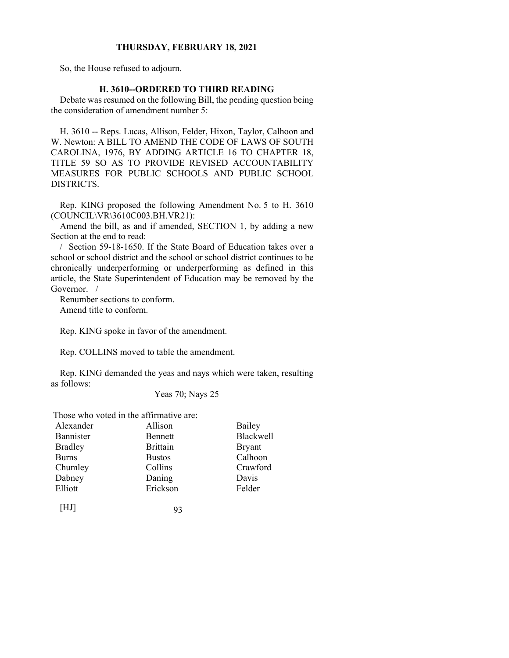So, the House refused to adjourn.

## **H. 3610--ORDERED TO THIRD READING**

Debate was resumed on the following Bill, the pending question being the consideration of amendment number 5:

H. 3610 -- Reps. Lucas, Allison, Felder, Hixon, Taylor, Calhoon and W. Newton: A BILL TO AMEND THE CODE OF LAWS OF SOUTH CAROLINA, 1976, BY ADDING ARTICLE 16 TO CHAPTER 18, TITLE 59 SO AS TO PROVIDE REVISED ACCOUNTABILITY MEASURES FOR PUBLIC SCHOOLS AND PUBLIC SCHOOL DISTRICTS.

Rep. KING proposed the following Amendment No. 5 to H. 3610 (COUNCIL\VR\3610C003.BH.VR21):

Amend the bill, as and if amended, SECTION 1, by adding a new Section at the end to read:

/ Section 59-18-1650. If the State Board of Education takes over a school or school district and the school or school district continues to be chronically underperforming or underperforming as defined in this article, the State Superintendent of Education may be removed by the Governor. /

Renumber sections to conform. Amend title to conform.

Rep. KING spoke in favor of the amendment.

Rep. COLLINS moved to table the amendment.

Rep. KING demanded the yeas and nays which were taken, resulting as follows:

Yeas 70; Nays 25

Those who voted in the affirmative are:

| Alexander      | Allison         | Bailey        |
|----------------|-----------------|---------------|
| Bannister      | Bennett         | Blackwell     |
| <b>Bradley</b> | <b>Brittain</b> | <b>Bryant</b> |
| <b>Burns</b>   | <b>Bustos</b>   | Calhoon       |
| Chumley        | Collins         | Crawford      |
| Dabney         | Daning          | Davis         |
| Elliott        | Erickson        | Felder        |
|                |                 |               |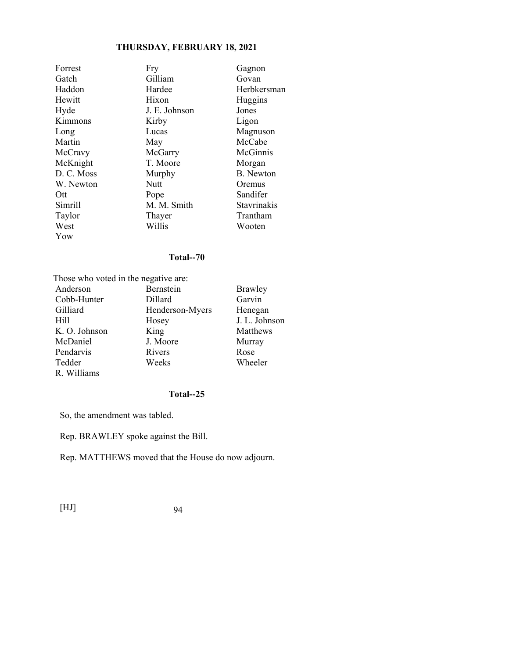| Forrest    | Fry           | Gagnon           |
|------------|---------------|------------------|
| Gatch      | Gilliam       | Govan            |
| Haddon     | Hardee        | Herbkersman      |
| Hewitt     | Hixon         | Huggins          |
| Hyde       | J. E. Johnson | Jones            |
| Kimmons    | Kirby         | Ligon            |
| Long       | Lucas         | Magnuson         |
| Martin     | May           | McCabe           |
| McCravy    | McGarry       | McGinnis         |
| McKnight   | T. Moore      | Morgan           |
| D. C. Moss | Murphy        | <b>B.</b> Newton |
| W. Newton  | Nutt          | Oremus           |
| Ott        | Pope          | Sandifer         |
| Simrill    | M. M. Smith   | Stavrinakis      |
| Taylor     | Thayer        | Trantham         |
| West       | Willis        | Wooten           |
| Yow        |               |                  |

## **Total--70**

| Those who voted in the negative are: |                 |                |
|--------------------------------------|-----------------|----------------|
| Anderson                             | Bernstein       | <b>Brawley</b> |
| Cobb-Hunter                          | Dillard         | Garvin         |
| Gilliard                             | Henderson-Myers | Henegan        |
| Hill                                 | Hosey           | J. L. Johnson  |
| K. O. Johnson                        | King            | Matthews       |
| McDaniel                             | J. Moore        | Murray         |
| Pendarvis                            | Rivers          | Rose           |
| Tedder                               | Weeks           | Wheeler        |
| R. Williams                          |                 |                |

## **Total--25**

So, the amendment was tabled.

Rep. BRAWLEY spoke against the Bill.

Rep. MATTHEWS moved that the House do now adjourn.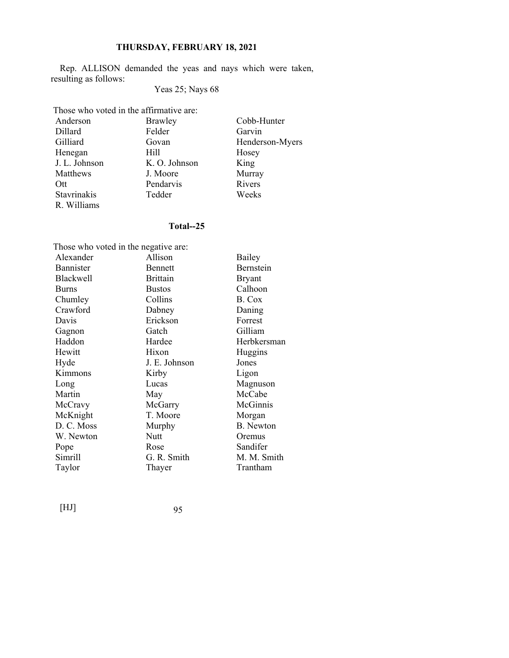Rep. ALLISON demanded the yeas and nays which were taken, resulting as follows:

# Yeas 25; Nays 68

| Those who voted in the affirmative are: |               |                 |  |
|-----------------------------------------|---------------|-----------------|--|
| Anderson                                | Brawley       | Cobb-Hunter     |  |
| Dillard                                 | Felder        | Garvin          |  |
| Gilliard                                | Govan         | Henderson-Myers |  |
| Henegan                                 | Hill          | Hosey           |  |
| J. L. Johnson                           | K. O. Johnson | King            |  |
| Matthews                                | J. Moore      | Murray          |  |
| Ott                                     | Pendarvis     | Rivers          |  |
| Stavrinakis                             | Tedder        | Weeks           |  |
| R. Williams                             |               |                 |  |

# **Total--25**

| Those who voted in the negative are: |                 |                  |
|--------------------------------------|-----------------|------------------|
| Alexander                            | Allison         | Bailey           |
| Bannister                            | <b>Bennett</b>  | Bernstein        |
| Blackwell                            | <b>Brittain</b> | <b>Bryant</b>    |
| <b>Burns</b>                         | <b>Bustos</b>   | Calhoon          |
| Chumley                              | Collins         | B. Cox           |
| Crawford                             | Dabney          | Daning           |
| Davis                                | Erickson        | Forrest          |
| Gagnon                               | Gatch           | Gilliam          |
| Haddon                               | Hardee          | Herbkersman      |
| Hewitt                               | Hixon           | Huggins          |
| Hyde                                 | J. E. Johnson   | Jones            |
| Kimmons                              | Kirby           | Ligon            |
| Long                                 | Lucas           | Magnuson         |
| Martin                               | May             | McCabe           |
| McCravy                              | McGarry         | McGinnis         |
| McKnight                             | T. Moore        | Morgan           |
| D. C. Moss                           | Murphy          | <b>B.</b> Newton |
| W. Newton                            | <b>Nutt</b>     | Oremus           |
| Pope                                 | Rose            | Sandifer         |
| Simrill                              | G. R. Smith     | M. M. Smith      |
| Taylor                               | Thayer          | Trantham         |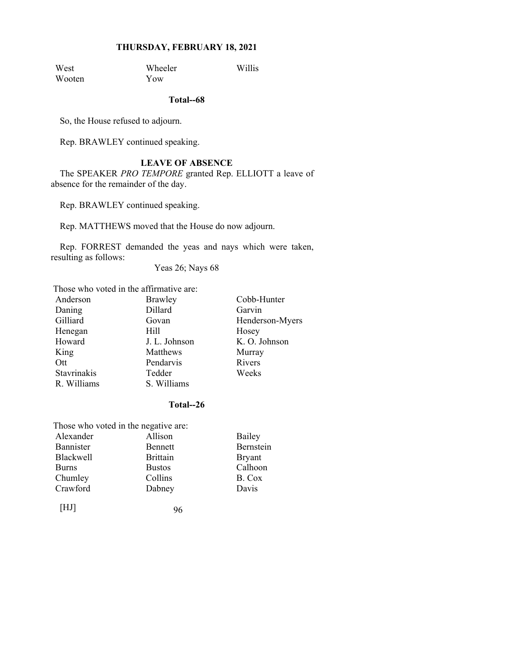West Wheeler Willis<br>Wooten Yow Wooten

**Total--68** 

So, the House refused to adjourn.

Rep. BRAWLEY continued speaking.

## **LEAVE OF ABSENCE**

The SPEAKER *PRO TEMPORE* granted Rep. ELLIOTT a leave of absence for the remainder of the day.

Rep. BRAWLEY continued speaking.

Rep. MATTHEWS moved that the House do now adjourn.

Rep. FORREST demanded the yeas and nays which were taken, resulting as follows:

Yeas 26; Nays 68

Those who voted in the affirmative are:

| Anderson    | <b>Brawley</b> | Cobb-Hunter     |
|-------------|----------------|-----------------|
| Daning      | Dillard        | Garvin          |
| Gilliard    | Govan          | Henderson-Myers |
| Henegan     | Hill           | Hosey           |
| Howard      | J. L. Johnson  | K. O. Johnson   |
| King        | Matthews       | Murray          |
| Ott         | Pendarvis      | Rivers          |
| Stavrinakis | Tedder         | Weeks           |
| R. Williams | S. Williams    |                 |

#### **Total--26**

| Those who voted in the negative are: |                 |               |
|--------------------------------------|-----------------|---------------|
| Alexander                            | Allison         | Bailey        |
| Bannister                            | <b>Bennett</b>  | Bernstein     |
| <b>Blackwell</b>                     | <b>Brittain</b> | <b>Bryant</b> |
| <b>Burns</b>                         | <b>Bustos</b>   | Calhoon       |
| Chumley                              | Collins         | B. Cox        |
| Crawford                             | Dabney          | Davis         |
|                                      |                 |               |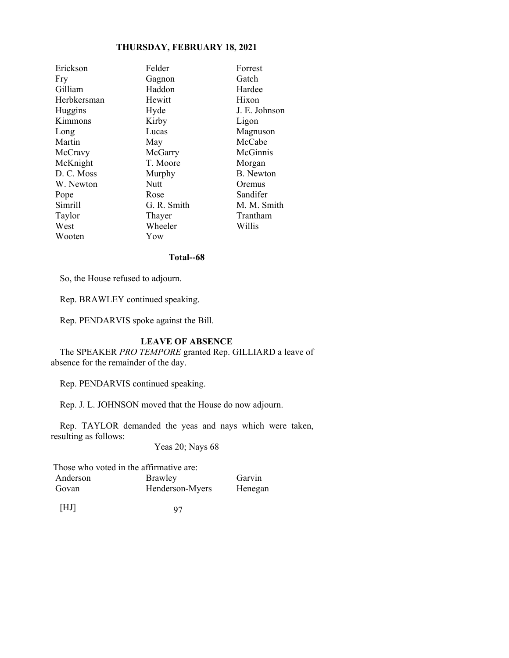| Erickson    | Felder      | Forrest          |
|-------------|-------------|------------------|
| Fry         | Gagnon      | Gatch            |
| Gilliam     | Haddon      | Hardee           |
| Herbkersman | Hewitt      | Hixon            |
| Huggins     | Hyde        | J. E. Johnson    |
| Kimmons     | Kirby       | Ligon            |
| Long        | Lucas       | Magnuson         |
| Martin      | May         | McCabe           |
| McCravy     | McGarry     | McGinnis         |
| McKnight    | T. Moore    | Morgan           |
| D. C. Moss  | Murphy      | <b>B.</b> Newton |
| W. Newton   | Nutt        | Oremus           |
| Pope        | Rose        | Sandifer         |
| Simrill     | G. R. Smith | M. M. Smith      |
| Taylor      | Thayer      | Trantham         |
| West        | Wheeler     | Willis           |
| Wooten      | Yow         |                  |

### **Total--68**

So, the House refused to adjourn.

Rep. BRAWLEY continued speaking.

Rep. PENDARVIS spoke against the Bill.

# **LEAVE OF ABSENCE**

The SPEAKER *PRO TEMPORE* granted Rep. GILLIARD a leave of absence for the remainder of the day.

Rep. PENDARVIS continued speaking.

Rep. J. L. JOHNSON moved that the House do now adjourn.

Rep. TAYLOR demanded the yeas and nays which were taken, resulting as follows:

Yeas 20; Nays 68

|          | Those who voted in the affirmative are: |         |
|----------|-----------------------------------------|---------|
| Anderson | Brawley                                 | Garvin  |
| Govan    | Henderson-Myers                         | Henegan |
| [HJ]     | 97                                      |         |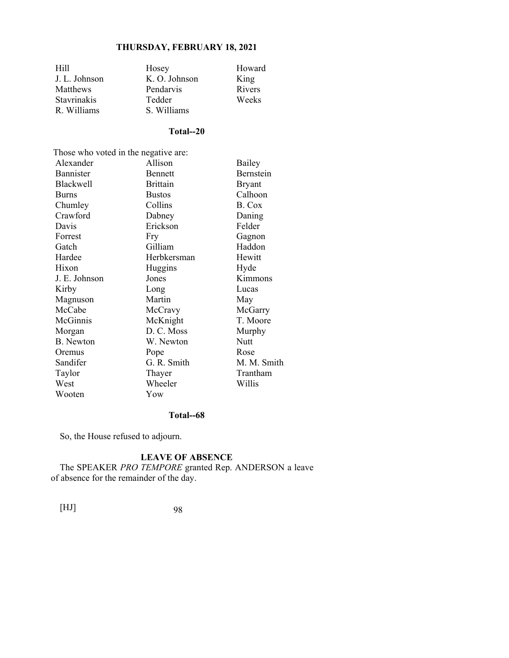| Hill            | Hosey         | Howard |
|-----------------|---------------|--------|
| J. L. Johnson   | K. O. Johnson | King   |
| <b>Matthews</b> | Pendarvis     | Rivers |
| Stavrinakis     | Tedder        | Weeks  |
| R. Williams     | S. Williams   |        |

## **Total--20**

| Those who voted in the negative are: |                 |               |
|--------------------------------------|-----------------|---------------|
| Alexander                            | Allison         | Bailey        |
| Bannister                            | <b>Bennett</b>  | Bernstein     |
| <b>Blackwell</b>                     | <b>Brittain</b> | <b>Bryant</b> |
| <b>Burns</b>                         | <b>Bustos</b>   | Calhoon       |
| Chumley                              | Collins         | B. Cox        |
| Crawford                             | Dabney          | Daning        |
| Davis                                | Erickson        | Felder        |
| Forrest                              | Fry             | Gagnon        |
| Gatch                                | Gilliam         | Haddon        |
| Hardee                               | Herbkersman     | Hewitt        |
| Hixon                                | Huggins         | Hyde          |
| J. E. Johnson                        | Jones           | Kimmons       |
| Kirby                                | Long            | Lucas         |
| Magnuson                             | Martin          | May           |
| McCabe                               | McCravy         | McGarry       |
| McGinnis                             | McKnight        | T. Moore      |
| Morgan                               | D. C. Moss      | Murphy        |
| <b>B.</b> Newton                     | W. Newton       | Nutt          |
| Oremus                               | Pope            | Rose          |
| Sandifer                             | G. R. Smith     | M. M. Smith   |
| Taylor                               | Thayer          | Trantham      |
| West                                 | Wheeler         | Willis        |
| Wooten                               | Yow             |               |

#### **Total--68**

So, the House refused to adjourn.

## **LEAVE OF ABSENCE**

The SPEAKER *PRO TEMPORE* granted Rep. ANDERSON a leave of absence for the remainder of the day.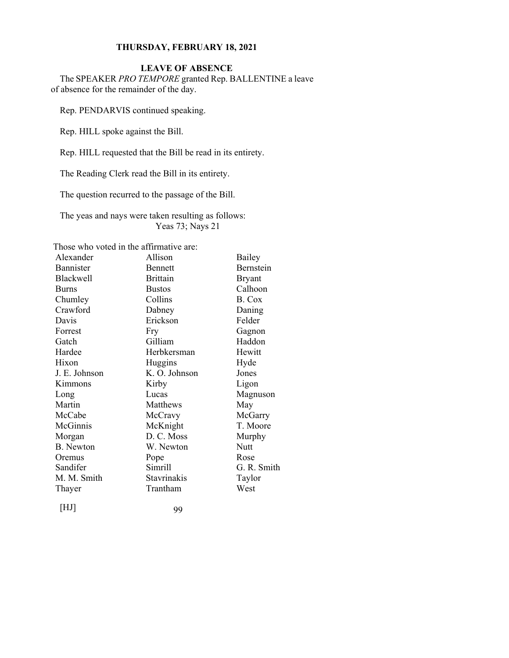# **LEAVE OF ABSENCE**

The SPEAKER *PRO TEMPORE* granted Rep. BALLENTINE a leave of absence for the remainder of the day.

Rep. PENDARVIS continued speaking.

Rep. HILL spoke against the Bill.

Rep. HILL requested that the Bill be read in its entirety.

The Reading Clerk read the Bill in its entirety.

The question recurred to the passage of the Bill.

The yeas and nays were taken resulting as follows: Yeas 73; Nays 21

Those who voted in the affirmative are:

| Alexander        | Allison            | <b>Bailey</b>    |
|------------------|--------------------|------------------|
| Bannister        | <b>Bennett</b>     | <b>Bernstein</b> |
| <b>Blackwell</b> | <b>Brittain</b>    | <b>Bryant</b>    |
| <b>Burns</b>     | <b>Bustos</b>      | Calhoon          |
| Chumley          | Collins            | B. Cox           |
| Crawford         | Dabney             | Daning           |
| Davis            | Erickson           | Felder           |
| Forrest          | Fry                | Gagnon           |
| Gatch            | Gilliam            | Haddon           |
| Hardee           | Herbkersman        | Hewitt           |
| Hixon            | Huggins            | Hyde             |
| J. E. Johnson    | K. O. Johnson      | Jones            |
| Kimmons          | Kirby              | Ligon            |
| Long             | Lucas              | Magnuson         |
| Martin           | Matthews           | May              |
| McCabe           | McCravy            | McGarry          |
| McGinnis         | McKnight           | T. Moore         |
| Morgan           | D. C. Moss         | Murphy           |
| <b>B.</b> Newton | W. Newton          | Nutt             |
| Oremus           | Pope               | Rose             |
| Sandifer         | Simrill            | G. R. Smith      |
| M. M. Smith      | <b>Stavrinakis</b> | Taylor           |
| Thayer           | Trantham           | West             |
|                  |                    |                  |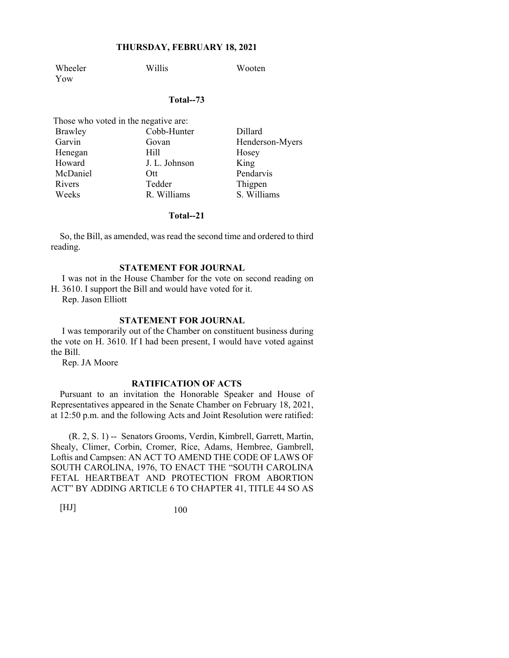Wheeler Willis Wooten Yow

#### **Total--73**

| Those who voted in the negative are: |               |                 |
|--------------------------------------|---------------|-----------------|
| Brawley                              | Cobb-Hunter   | Dillard         |
| Garvin                               | Govan         | Henderson-Myers |
| Henegan                              | Hill          | Hosey           |
| Howard                               | J. L. Johnson | King            |
| McDaniel                             | Ott.          | Pendarvis       |
| Rivers                               | Tedder        | Thigpen         |
| Weeks                                | R. Williams   | S. Williams     |

### **Total--21**

So, the Bill, as amended, was read the second time and ordered to third reading.

#### **STATEMENT FOR JOURNAL**

 I was not in the House Chamber for the vote on second reading on H. 3610. I support the Bill and would have voted for it.

Rep. Jason Elliott

## **STATEMENT FOR JOURNAL**

 I was temporarily out of the Chamber on constituent business during the vote on H. 3610. If I had been present, I would have voted against the Bill.

Rep. JA Moore

## **RATIFICATION OF ACTS**

Pursuant to an invitation the Honorable Speaker and House of Representatives appeared in the Senate Chamber on February 18, 2021, at 12:50 p.m. and the following Acts and Joint Resolution were ratified:

 (R. 2, S. 1) -- Senators Grooms, Verdin, Kimbrell, Garrett, Martin, Shealy, Climer, Corbin, Cromer, Rice, Adams, Hembree, Gambrell, Loftis and Campsen: AN ACT TO AMEND THE CODE OF LAWS OF SOUTH CAROLINA, 1976, TO ENACT THE "SOUTH CAROLINA FETAL HEARTBEAT AND PROTECTION FROM ABORTION ACT" BY ADDING ARTICLE 6 TO CHAPTER 41, TITLE 44 SO AS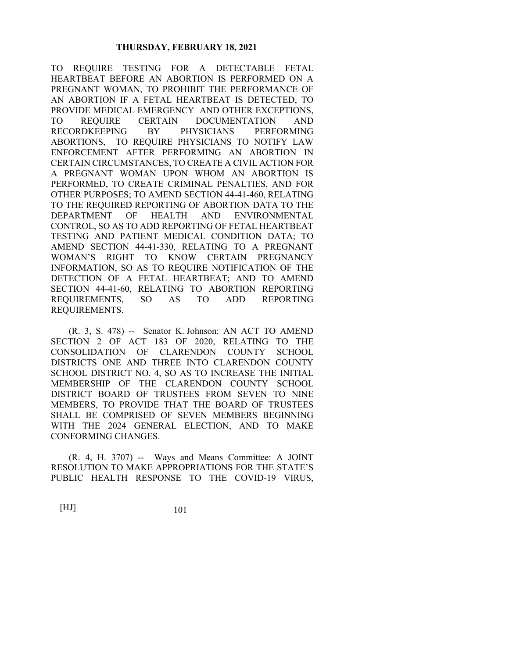TO REQUIRE TESTING FOR A DETECTABLE FETAL HEARTBEAT BEFORE AN ABORTION IS PERFORMED ON A PREGNANT WOMAN, TO PROHIBIT THE PERFORMANCE OF AN ABORTION IF A FETAL HEARTBEAT IS DETECTED, TO PROVIDE MEDICAL EMERGENCY AND OTHER EXCEPTIONS, TO REQUIRE CERTAIN DOCUMENTATION AND RECORDKEEPING BY PHYSICIANS PERFORMING ABORTIONS, TO REQUIRE PHYSICIANS TO NOTIFY LAW ENFORCEMENT AFTER PERFORMING AN ABORTION IN CERTAIN CIRCUMSTANCES, TO CREATE A CIVIL ACTION FOR A PREGNANT WOMAN UPON WHOM AN ABORTION IS PERFORMED, TO CREATE CRIMINAL PENALTIES, AND FOR OTHER PURPOSES; TO AMEND SECTION 44-41-460, RELATING TO THE REQUIRED REPORTING OF ABORTION DATA TO THE DEPARTMENT OF HEALTH AND ENVIRONMENTAL CONTROL, SO AS TO ADD REPORTING OF FETAL HEARTBEAT TESTING AND PATIENT MEDICAL CONDITION DATA; TO AMEND SECTION 44-41-330, RELATING TO A PREGNANT WOMAN'S RIGHT TO KNOW CERTAIN PREGNANCY INFORMATION, SO AS TO REQUIRE NOTIFICATION OF THE DETECTION OF A FETAL HEARTBEAT; AND TO AMEND SECTION 44-41-60, RELATING TO ABORTION REPORTING REQUIREMENTS, SO AS TO ADD REPORTING REQUIREMENTS.

 (R. 3, S. 478) -- Senator K. Johnson: AN ACT TO AMEND SECTION 2 OF ACT 183 OF 2020, RELATING TO THE CONSOLIDATION OF CLARENDON COUNTY SCHOOL DISTRICTS ONE AND THREE INTO CLARENDON COUNTY SCHOOL DISTRICT NO. 4, SO AS TO INCREASE THE INITIAL MEMBERSHIP OF THE CLARENDON COUNTY SCHOOL DISTRICT BOARD OF TRUSTEES FROM SEVEN TO NINE MEMBERS, TO PROVIDE THAT THE BOARD OF TRUSTEES SHALL BE COMPRISED OF SEVEN MEMBERS BEGINNING WITH THE 2024 GENERAL ELECTION, AND TO MAKE CONFORMING CHANGES.

 (R. 4, H. 3707) -- Ways and Means Committee: A JOINT RESOLUTION TO MAKE APPROPRIATIONS FOR THE STATE'S PUBLIC HEALTH RESPONSE TO THE COVID-19 VIRUS,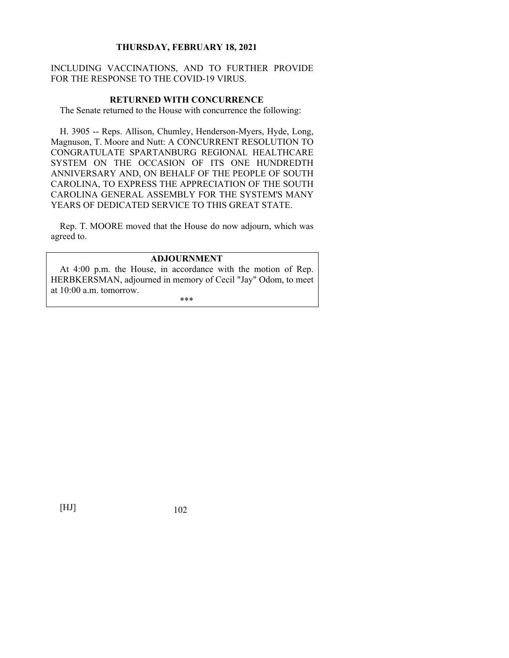## INCLUDING VACCINATIONS, AND TO FURTHER PROVIDE FOR THE RESPONSE TO THE COVID-19 VIRUS.

#### **RETURNED WITH CONCURRENCE**

The Senate returned to the House with concurrence the following:

H. 3905 -- Reps. Allison, Chumley, Henderson-Myers, Hyde, Long, Magnuson, T. Moore and Nutt: A CONCURRENT RESOLUTION TO CONGRATULATE SPARTANBURG REGIONAL HEALTHCARE SYSTEM ON THE OCCASION OF ITS ONE HUNDREDTH ANNIVERSARY AND, ON BEHALF OF THE PEOPLE OF SOUTH CAROLINA, TO EXPRESS THE APPRECIATION OF THE SOUTH CAROLINA GENERAL ASSEMBLY FOR THE SYSTEM'S MANY YEARS OF DEDICATED SERVICE TO THIS GREAT STATE.

Rep. T. MOORE moved that the House do now adjourn, which was agreed to.

## **ADJOURNMENT**

At 4:00 p.m. the House, in accordance with the motion of Rep. HERBKERSMAN, adjourned in memory of Cecil "Jay" Odom, to meet at 10:00 a.m. tomorrow.

\*\*\*